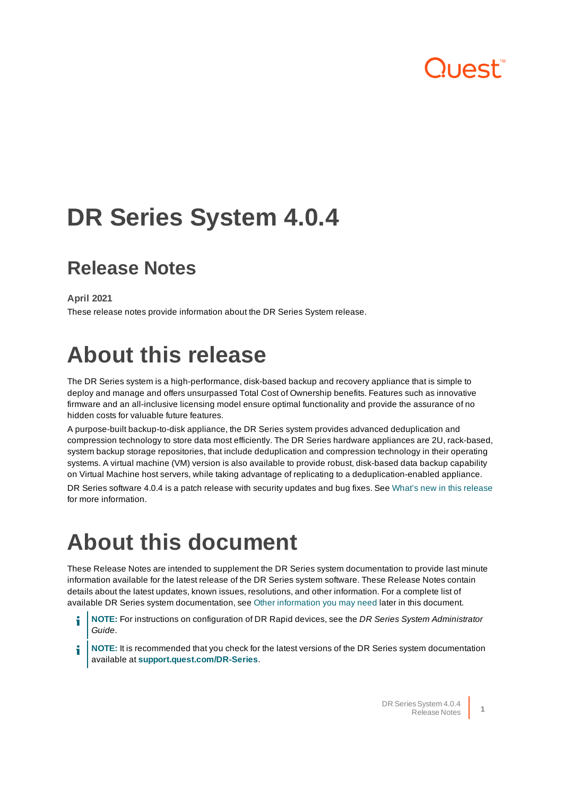## luest<sup>"</sup>

# **DR Series System 4.0.4**

### **Release Notes**

**April 2021**

These release notes provide information about the DR Series System release.

## **About this release**

The DR Series system is a high-performance, disk-based backup and recovery appliance that is simple to deploy and manage and offers unsurpassed Total Cost of Ownership benefits. Features such as innovative firmware and an all-inclusive licensing model ensure optimal functionality and provide the assurance of no hidden costs for valuable future features.

A purpose-built backup-to-disk appliance, the DR Series system provides advanced deduplication and compression technology to store data most efficiently. The DR Series hardware appliances are 2U, rack-based, system backup storage repositories, that include deduplication and compression technology in their operating systems. A virtual machine (VM) version is also available to provide robust, disk-based data backup capability on Virtual Machine host servers, while taking advantage of replicating to a deduplication-enabled appliance.

DR Series software 4.0.4 is a patch release with security updates and bug fixes. See What's new in [this release](#page-1-0) for more information.

## **About this document**

These Release Notes are intended to supplement the DR Series system documentation to provide last minute information available for the latest release of the DR Series system software. These Release Notes contain details about the latest updates, known issues, resolutions, and other information. For a complete list of available DR Series system documentation, see Other [information](#page-19-0) you may need later in this document.

- **NOTE:** For instructions on configuration of DR Rapid devices, see the DR Series System Administrator i Guide.
- **NOTE:** It is recommended that you check for the latest versions of the DR Series system documentation available at **[support.quest.com/DR-Series](http://support.quest.com/DR-Series)**.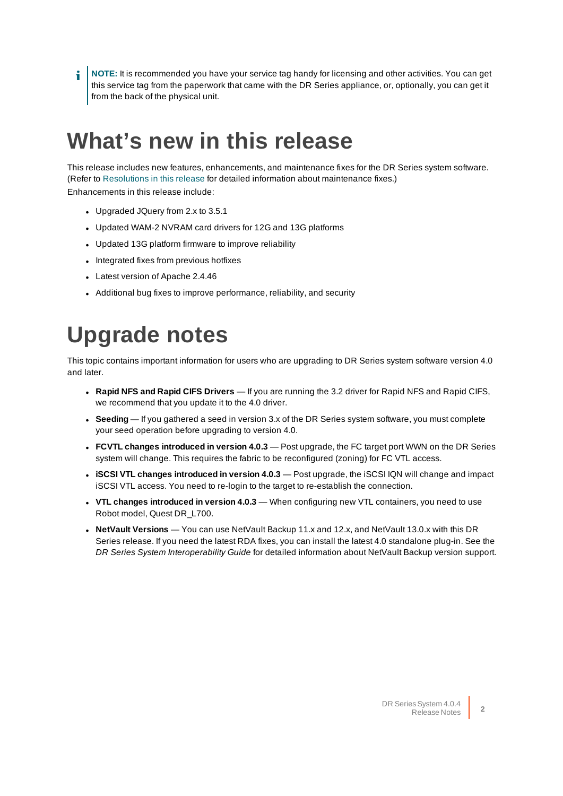**NOTE:** It is recommended you have your service tag handy for licensing and other activities. You can get this service tag from the paperwork that came with the DR Series appliance, or, optionally, you can get it from the back of the physical unit.

### <span id="page-1-0"></span>**What's new in this release**

This release includes new features, enhancements, and maintenance fixes for the DR Series system software. (Refer to [Resolutions](#page-2-0) in this release for detailed information about maintenance fixes.) Enhancements in this release include:

- Upgraded JQuery from 2.x to 3.5.1
- Updated WAM-2 NVRAM card drivers for 12G and 13G platforms
- Updated 13G platform firmware to improve reliability
- Integrated fixes from previous hotfixes
- Latest version of Apache 2.4.46
- Additional bug fixes to improve performance, reliability, and security

## **Upgrade notes**

This topic contains important information for users who are upgrading to DR Series system software version 4.0 and later.

- <sup>l</sup> **Rapid NFS and Rapid CIFS Drivers** If you are running the 3.2 driver for Rapid NFS and Rapid CIFS, we recommend that you update it to the 4.0 driver.
- Seeding If you gathered a seed in version 3.x of the DR Series system software, you must complete your seed operation before upgrading to version 4.0.
- <sup>l</sup> **FCVTL changes introduced in version 4.0.3** Post upgrade, the FC target port WWN on the DR Series system will change. This requires the fabric to be reconfigured (zoning) for FC VTL access.
- <sup>l</sup> **iSCSI VTL changes introduced in version 4.0.3** Post upgrade, the iSCSI IQN will change and impact iSCSI VTL access. You need to re-login to the target to re-establish the connection.
- <sup>l</sup> **VTL changes introduced in version 4.0.3** When configuring new VTL containers, you need to use Robot model, Quest DR\_L700.
- **NetVault Versions** You can use NetVault Backup 11.x and 12.x, and NetVault 13.0.x with this DR Series release. If you need the latest RDA fixes, you can install the latest 4.0 standalone plug-in. See the DR Series System Interoperability Guide for detailed information about NetVault Backup version support.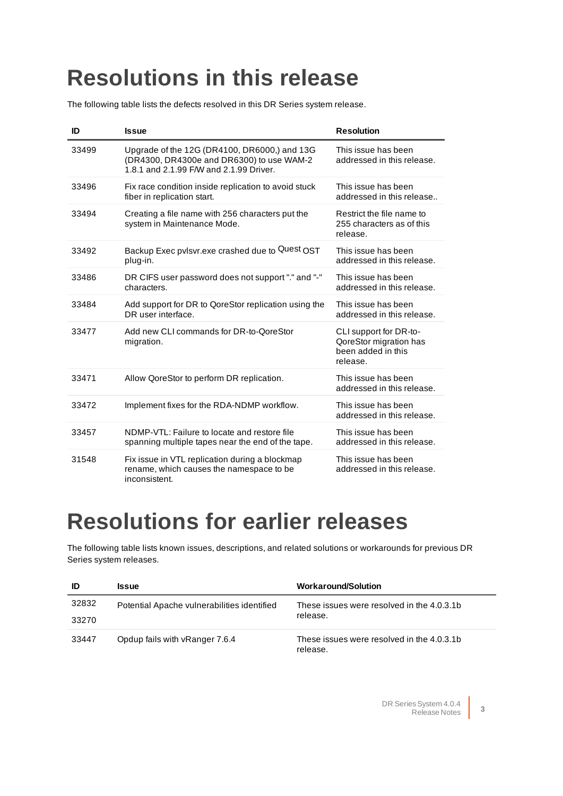## <span id="page-2-0"></span>**Resolutions in this release**

The following table lists the defects resolved in this DR Series system release.

| ID    | <b>Issue</b>                                                                                                                         | <b>Resolution</b>                                                                  |
|-------|--------------------------------------------------------------------------------------------------------------------------------------|------------------------------------------------------------------------------------|
| 33499 | Upgrade of the 12G (DR4100, DR6000,) and 13G<br>(DR4300, DR4300e and DR6300) to use WAM-2<br>1.8.1 and 2.1.99 F/W and 2.1.99 Driver. | This issue has been<br>addressed in this release.                                  |
| 33496 | Fix race condition inside replication to avoid stuck<br>fiber in replication start.                                                  | This issue has been<br>addressed in this release                                   |
| 33494 | Creating a file name with 256 characters put the<br>system in Maintenance Mode.                                                      | Restrict the file name to<br>255 characters as of this<br>release.                 |
| 33492 | Backup Exec pvlsvr.exe crashed due to Quest OST<br>plug-in.                                                                          | This issue has been<br>addressed in this release.                                  |
| 33486 | DR CIFS user password does not support "." and "-"<br>characters.                                                                    | This issue has been<br>addressed in this release.                                  |
| 33484 | Add support for DR to QoreStor replication using the<br>DR user interface.                                                           | This issue has been<br>addressed in this release.                                  |
| 33477 | Add new CLI commands for DR-to-QoreStor<br>migration.                                                                                | CLI support for DR-to-<br>QoreStor migration has<br>been added in this<br>release. |
| 33471 | Allow QoreStor to perform DR replication.                                                                                            | This issue has been<br>addressed in this release.                                  |
| 33472 | Implement fixes for the RDA-NDMP workflow.                                                                                           | This issue has been<br>addressed in this release.                                  |
| 33457 | NDMP-VTL: Failure to locate and restore file<br>spanning multiple tapes near the end of the tape.                                    | This issue has been<br>addressed in this release.                                  |
| 31548 | Fix issue in VTL replication during a blockmap<br>rename, which causes the namespace to be<br>inconsistent.                          | This issue has been<br>addressed in this release.                                  |

### **Resolutions for earlier releases**

The following table lists known issues, descriptions, and related solutions or workarounds for previous DR Series system releases.

| ID    | <b>Issue</b>                                | <b>Workaround/Solution</b>                             |
|-------|---------------------------------------------|--------------------------------------------------------|
| 32832 | Potential Apache vulnerabilities identified | These issues were resolved in the 4.0.3.1b             |
| 33270 |                                             | release.                                               |
| 33447 | Opdup fails with vRanger 7.6.4              | These issues were resolved in the 4.0.3.1b<br>release. |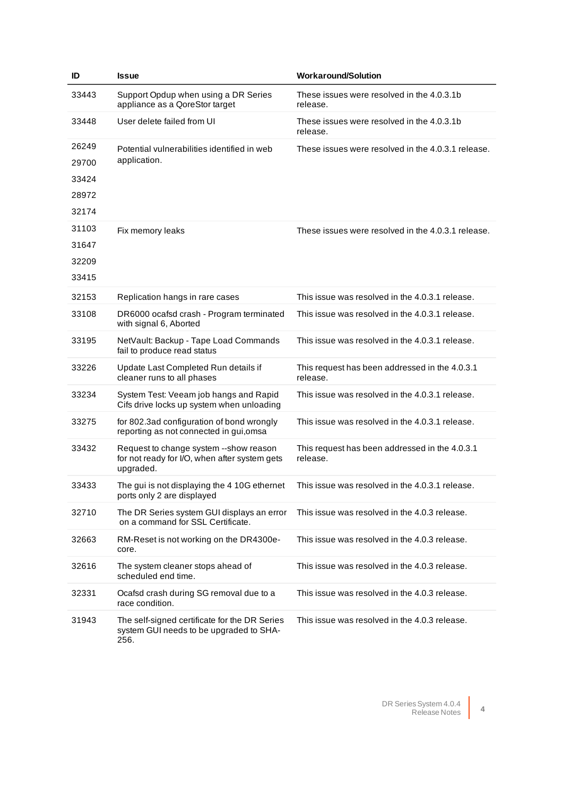| ID    | <b>Issue</b>                                                                                         | <b>Workaround/Solution</b>                                 |
|-------|------------------------------------------------------------------------------------------------------|------------------------------------------------------------|
| 33443 | Support Opdup when using a DR Series<br>appliance as a QoreStor target                               | These issues were resolved in the 4.0.3.1b<br>release.     |
| 33448 | User delete failed from UI                                                                           | These issues were resolved in the 4.0.3.1b<br>release.     |
| 26249 | Potential vulnerabilities identified in web                                                          | These issues were resolved in the 4.0.3.1 release.         |
| 29700 | application.                                                                                         |                                                            |
| 33424 |                                                                                                      |                                                            |
| 28972 |                                                                                                      |                                                            |
| 32174 |                                                                                                      |                                                            |
| 31103 | Fix memory leaks                                                                                     | These issues were resolved in the 4.0.3.1 release.         |
| 31647 |                                                                                                      |                                                            |
| 32209 |                                                                                                      |                                                            |
| 33415 |                                                                                                      |                                                            |
| 32153 | Replication hangs in rare cases                                                                      | This issue was resolved in the 4.0.3.1 release.            |
| 33108 | DR6000 ocafsd crash - Program terminated<br>with signal 6, Aborted                                   | This issue was resolved in the 4.0.3.1 release.            |
| 33195 | NetVault: Backup - Tape Load Commands<br>fail to produce read status                                 | This issue was resolved in the 4.0.3.1 release.            |
| 33226 | Update Last Completed Run details if<br>cleaner runs to all phases                                   | This request has been addressed in the 4.0.3.1<br>release. |
| 33234 | System Test: Veeam job hangs and Rapid<br>Cifs drive locks up system when unloading                  | This issue was resolved in the 4.0.3.1 release.            |
| 33275 | for 802.3ad configuration of bond wrongly<br>reporting as not connected in gui, omsa                 | This issue was resolved in the 4.0.3.1 release.            |
| 33432 | Request to change system --show reason<br>for not ready for I/O, when after system gets<br>upgraded. | This request has been addressed in the 4.0.3.1<br>release. |
| 33433 | The gui is not displaying the 4 10G ethernet<br>ports only 2 are displayed                           | This issue was resolved in the 4.0.3.1 release.            |
| 32710 | The DR Series system GUI displays an error<br>on a command for SSL Certificate.                      | This issue was resolved in the 4.0.3 release.              |
| 32663 | RM-Reset is not working on the DR4300e-<br>core.                                                     | This issue was resolved in the 4.0.3 release.              |
| 32616 | The system cleaner stops ahead of<br>scheduled end time.                                             | This issue was resolved in the 4.0.3 release.              |
| 32331 | Ocafsd crash during SG removal due to a<br>race condition.                                           | This issue was resolved in the 4.0.3 release.              |
| 31943 | The self-signed certificate for the DR Series<br>system GUI needs to be upgraded to SHA-<br>256.     | This issue was resolved in the 4.0.3 release.              |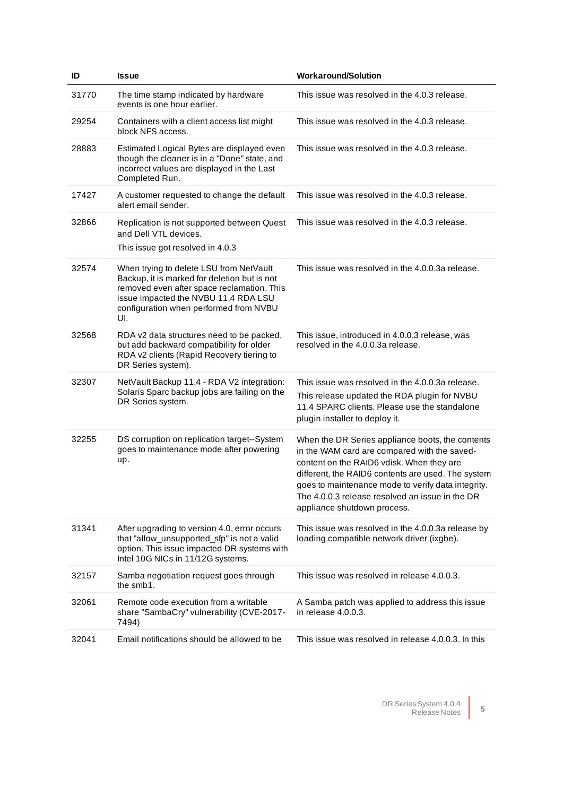| ID    | <b>Issue</b>                                                                                                                                                                                                                   | <b>Workaround/Solution</b>                                                                                                                                                                                                                                                                                                                  |
|-------|--------------------------------------------------------------------------------------------------------------------------------------------------------------------------------------------------------------------------------|---------------------------------------------------------------------------------------------------------------------------------------------------------------------------------------------------------------------------------------------------------------------------------------------------------------------------------------------|
| 31770 | The time stamp indicated by hardware<br>events is one hour earlier.                                                                                                                                                            | This issue was resolved in the 4.0.3 release.                                                                                                                                                                                                                                                                                               |
| 29254 | Containers with a client access list might<br>block NFS access.                                                                                                                                                                | This issue was resolved in the 4.0.3 release.                                                                                                                                                                                                                                                                                               |
| 28883 | Estimated Logical Bytes are displayed even<br>though the cleaner is in a "Done" state, and<br>incorrect values are displayed in the Last<br>Completed Run.                                                                     | This issue was resolved in the 4.0.3 release.                                                                                                                                                                                                                                                                                               |
| 17427 | A customer requested to change the default<br>alert email sender.                                                                                                                                                              | This issue was resolved in the 4.0.3 release.                                                                                                                                                                                                                                                                                               |
| 32866 | Replication is not supported between Quest<br>and Dell VTL devices.<br>This issue got resolved in 4.0.3                                                                                                                        | This issue was resolved in the 4.0.3 release.                                                                                                                                                                                                                                                                                               |
| 32574 | When trying to delete LSU from NetVault<br>Backup, it is marked for deletion but is not<br>removed even after space reclamation. This<br>issue impacted the NVBU 11.4 RDA LSU<br>configuration when performed from NVBU<br>UI. | This issue was resolved in the 4.0.0.3a release.                                                                                                                                                                                                                                                                                            |
| 32568 | RDA v2 data structures need to be packed,<br>but add backward compatibility for older<br>RDA v2 clients (Rapid Recovery tiering to<br>DR Series system).                                                                       | This issue, introduced in 4.0.0.3 release, was<br>resolved in the 4.0.0.3a release.                                                                                                                                                                                                                                                         |
| 32307 | NetVault Backup 11.4 - RDA V2 integration:<br>Solaris Sparc backup jobs are failing on the<br>DR Series system.                                                                                                                | This issue was resolved in the 4.0.0.3a release.<br>This release updated the RDA plugin for NVBU<br>11.4 SPARC clients. Please use the standalone<br>plugin installer to deploy it.                                                                                                                                                         |
| 32255 | DS corruption on replication target--System<br>goes to maintenance mode after powering<br>up.                                                                                                                                  | When the DR Series appliance boots, the contents<br>in the WAM card are compared with the saved-<br>content on the RAID6 vdisk. When they are<br>different, the RAID6 contents are used. The system<br>goes to maintenance mode to verify data integrity.<br>The 4.0.0.3 release resolved an issue in the DR<br>appliance shutdown process. |
| 31341 | After upgrading to version 4.0, error occurs<br>that "allow_unsupported_sfp" is not a valid<br>option. This issue impacted DR systems with<br>Intel 10G NICs in 11/12G systems.                                                | This issue was resolved in the 4.0.0.3a release by<br>loading compatible network driver (ixgbe).                                                                                                                                                                                                                                            |
| 32157 | Samba negotiation request goes through<br>the smb1.                                                                                                                                                                            | This issue was resolved in release 4.0.0.3.                                                                                                                                                                                                                                                                                                 |
| 32061 | Remote code execution from a writable<br>share "SambaCry" vulnerability (CVE-2017-<br>7494)                                                                                                                                    | A Samba patch was applied to address this issue<br>in release 4.0.0.3.                                                                                                                                                                                                                                                                      |
| 32041 | Email notifications should be allowed to be                                                                                                                                                                                    | This issue was resolved in release 4.0.0.3. In this                                                                                                                                                                                                                                                                                         |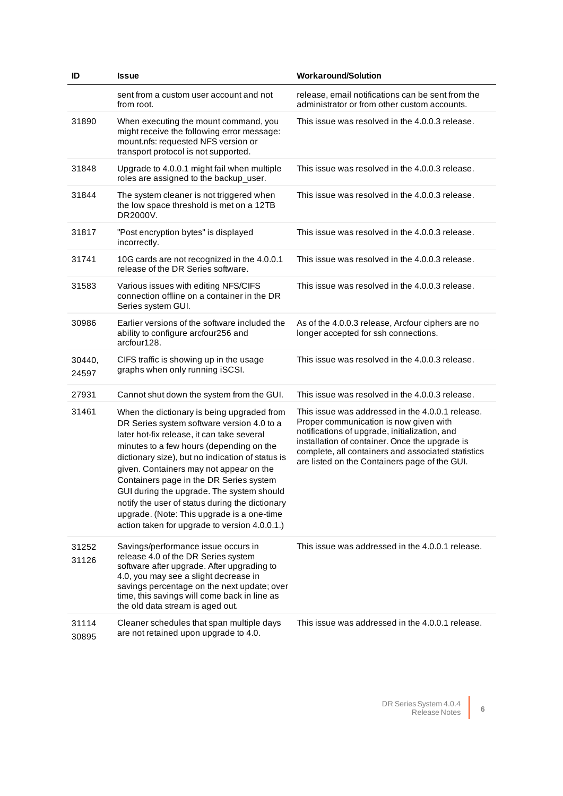| ID              | <b>Issue</b>                                                                                                                                                                                                                                                                                                                                                                                                                                                                                                                | <b>Workaround/Solution</b>                                                                                                                                                                                                                                                                           |
|-----------------|-----------------------------------------------------------------------------------------------------------------------------------------------------------------------------------------------------------------------------------------------------------------------------------------------------------------------------------------------------------------------------------------------------------------------------------------------------------------------------------------------------------------------------|------------------------------------------------------------------------------------------------------------------------------------------------------------------------------------------------------------------------------------------------------------------------------------------------------|
|                 | sent from a custom user account and not<br>from root.                                                                                                                                                                                                                                                                                                                                                                                                                                                                       | release, email notifications can be sent from the<br>administrator or from other custom accounts.                                                                                                                                                                                                    |
| 31890           | When executing the mount command, you<br>might receive the following error message:<br>mount.nfs: requested NFS version or<br>transport protocol is not supported.                                                                                                                                                                                                                                                                                                                                                          | This issue was resolved in the 4.0.0.3 release.                                                                                                                                                                                                                                                      |
| 31848           | Upgrade to 4.0.0.1 might fail when multiple<br>roles are assigned to the backup_user.                                                                                                                                                                                                                                                                                                                                                                                                                                       | This issue was resolved in the 4.0.0.3 release.                                                                                                                                                                                                                                                      |
| 31844           | The system cleaner is not triggered when<br>the low space threshold is met on a 12TB<br>DR2000V.                                                                                                                                                                                                                                                                                                                                                                                                                            | This issue was resolved in the 4.0.0.3 release.                                                                                                                                                                                                                                                      |
| 31817           | "Post encryption bytes" is displayed<br>incorrectly.                                                                                                                                                                                                                                                                                                                                                                                                                                                                        | This issue was resolved in the 4.0.0.3 release.                                                                                                                                                                                                                                                      |
| 31741           | 10G cards are not recognized in the 4.0.0.1<br>release of the DR Series software.                                                                                                                                                                                                                                                                                                                                                                                                                                           | This issue was resolved in the 4.0.0.3 release.                                                                                                                                                                                                                                                      |
| 31583           | Various issues with editing NFS/CIFS<br>connection offline on a container in the DR<br>Series system GUI.                                                                                                                                                                                                                                                                                                                                                                                                                   | This issue was resolved in the 4.0.0.3 release.                                                                                                                                                                                                                                                      |
| 30986           | Earlier versions of the software included the<br>ability to configure arcfour256 and<br>arcfour128.                                                                                                                                                                                                                                                                                                                                                                                                                         | As of the 4.0.0.3 release, Arcfour ciphers are no<br>longer accepted for ssh connections.                                                                                                                                                                                                            |
| 30440,<br>24597 | CIFS traffic is showing up in the usage<br>graphs when only running iSCSI.                                                                                                                                                                                                                                                                                                                                                                                                                                                  | This issue was resolved in the 4.0.0.3 release.                                                                                                                                                                                                                                                      |
| 27931           | Cannot shut down the system from the GUI.                                                                                                                                                                                                                                                                                                                                                                                                                                                                                   | This issue was resolved in the 4.0.0.3 release.                                                                                                                                                                                                                                                      |
| 31461           | When the dictionary is being upgraded from<br>DR Series system software version 4.0 to a<br>later hot-fix release, it can take several<br>minutes to a few hours (depending on the<br>dictionary size), but no indication of status is<br>given. Containers may not appear on the<br>Containers page in the DR Series system<br>GUI during the upgrade. The system should<br>notify the user of status during the dictionary<br>upgrade. (Note: This upgrade is a one-time<br>action taken for upgrade to version 4.0.0.1.) | This issue was addressed in the 4.0.0.1 release.<br>Proper communication is now given with<br>notifications of upgrade, initialization, and<br>installation of container. Once the upgrade is<br>complete, all containers and associated statistics<br>are listed on the Containers page of the GUI. |
| 31252<br>31126  | Savings/performance issue occurs in<br>release 4.0 of the DR Series system<br>software after upgrade. After upgrading to<br>4.0, you may see a slight decrease in<br>savings percentage on the next update; over<br>time, this savings will come back in line as<br>the old data stream is aged out.                                                                                                                                                                                                                        | This issue was addressed in the 4.0.0.1 release.                                                                                                                                                                                                                                                     |
| 31114<br>30895  | Cleaner schedules that span multiple days<br>are not retained upon upgrade to 4.0.                                                                                                                                                                                                                                                                                                                                                                                                                                          | This issue was addressed in the 4.0.0.1 release.                                                                                                                                                                                                                                                     |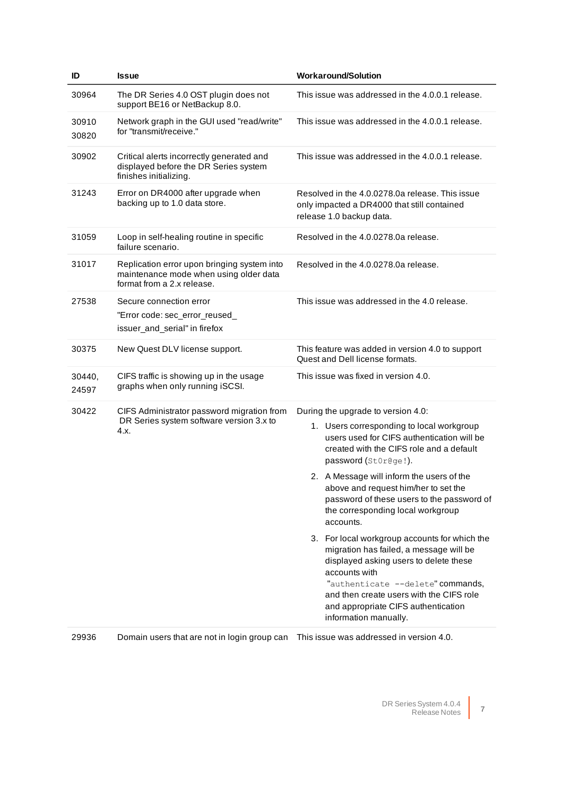| ID              | <b>Issue</b>                                                                                                        | <b>Workaround/Solution</b>                                                                                                                                                                                                                                                                           |
|-----------------|---------------------------------------------------------------------------------------------------------------------|------------------------------------------------------------------------------------------------------------------------------------------------------------------------------------------------------------------------------------------------------------------------------------------------------|
| 30964           | The DR Series 4.0 OST plugin does not<br>support BE16 or NetBackup 8.0.                                             | This issue was addressed in the 4.0.0.1 release.                                                                                                                                                                                                                                                     |
| 30910<br>30820  | Network graph in the GUI used "read/write"<br>for "transmit/receive."                                               | This issue was addressed in the 4.0.0.1 release.                                                                                                                                                                                                                                                     |
| 30902           | Critical alerts incorrectly generated and<br>displayed before the DR Series system<br>finishes initializing.        | This issue was addressed in the 4.0.0.1 release.                                                                                                                                                                                                                                                     |
| 31243           | Error on DR4000 after upgrade when<br>backing up to 1.0 data store.                                                 | Resolved in the 4.0.0278.0a release. This issue<br>only impacted a DR4000 that still contained<br>release 1.0 backup data.                                                                                                                                                                           |
| 31059           | Loop in self-healing routine in specific<br>failure scenario.                                                       | Resolved in the 4.0.0278.0a release.                                                                                                                                                                                                                                                                 |
| 31017           | Replication error upon bringing system into<br>maintenance mode when using older data<br>format from a 2.x release. | Resolved in the 4.0.0278.0a release.                                                                                                                                                                                                                                                                 |
| 27538           | Secure connection error<br>"Error code: sec_error_reused_<br>issuer_and_serial" in firefox                          | This issue was addressed in the 4.0 release.                                                                                                                                                                                                                                                         |
| 30375           | New Quest DLV license support.                                                                                      | This feature was added in version 4.0 to support<br>Quest and Dell license formats.                                                                                                                                                                                                                  |
| 30440,<br>24597 | CIFS traffic is showing up in the usage<br>graphs when only running iSCSI.                                          | This issue was fixed in version 4.0.                                                                                                                                                                                                                                                                 |
| 30422           | CIFS Administrator password migration from                                                                          | During the upgrade to version 4.0:                                                                                                                                                                                                                                                                   |
| 4.x.            | DR Series system software version 3.x to                                                                            | 1. Users corresponding to local workgroup<br>users used for CIFS authentication will be<br>created with the CIFS role and a default<br>password (StOr@ge!).                                                                                                                                          |
|                 |                                                                                                                     | 2. A Message will inform the users of the<br>above and request him/her to set the<br>password of these users to the password of<br>the corresponding local workgroup<br>accounts.                                                                                                                    |
|                 |                                                                                                                     | 3. For local workgroup accounts for which the<br>migration has failed, a message will be<br>displayed asking users to delete these<br>accounts with<br>"authenticate --delete" commands,<br>and then create users with the CIFS role<br>and appropriate CIFS authentication<br>information manually. |

29936 Domain users that are not in login group can This issue was addressed in version 4.0.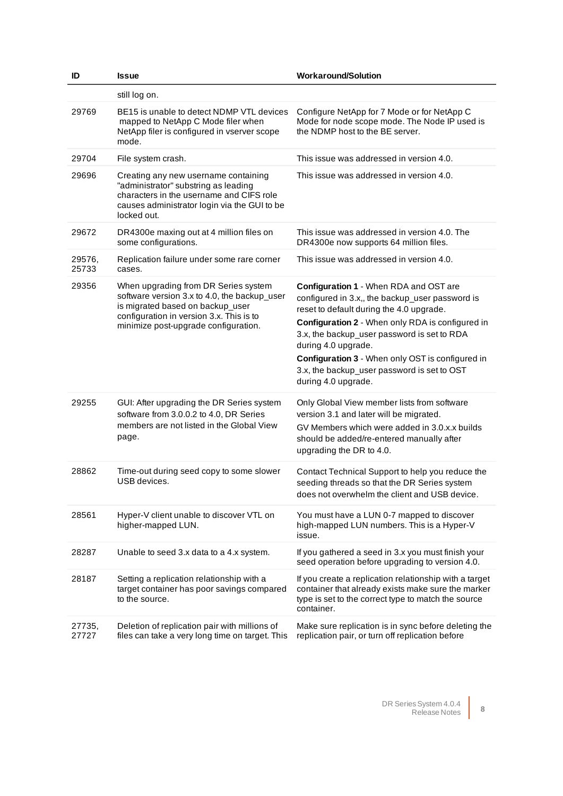| ID              | <b>Issue</b>                                                                                                                                                                                                 | <b>Workaround/Solution</b>                                                                                                                                                                                                                                                                                                                                                                |
|-----------------|--------------------------------------------------------------------------------------------------------------------------------------------------------------------------------------------------------------|-------------------------------------------------------------------------------------------------------------------------------------------------------------------------------------------------------------------------------------------------------------------------------------------------------------------------------------------------------------------------------------------|
|                 | still log on.                                                                                                                                                                                                |                                                                                                                                                                                                                                                                                                                                                                                           |
| 29769           | BE15 is unable to detect NDMP VTL devices<br>mapped to NetApp C Mode filer when<br>NetApp filer is configured in vserver scope<br>mode.                                                                      | Configure NetApp for 7 Mode or for NetApp C<br>Mode for node scope mode. The Node IP used is<br>the NDMP host to the BE server.                                                                                                                                                                                                                                                           |
| 29704           | File system crash.                                                                                                                                                                                           | This issue was addressed in version 4.0.                                                                                                                                                                                                                                                                                                                                                  |
| 29696           | Creating any new username containing<br>"administrator" substring as leading<br>characters in the username and CIFS role<br>causes administrator login via the GUI to be<br>locked out.                      | This issue was addressed in version 4.0.                                                                                                                                                                                                                                                                                                                                                  |
| 29672           | DR4300e maxing out at 4 million files on<br>some configurations.                                                                                                                                             | This issue was addressed in version 4.0. The<br>DR4300e now supports 64 million files.                                                                                                                                                                                                                                                                                                    |
| 29576,<br>25733 | Replication failure under some rare corner<br>cases.                                                                                                                                                         | This issue was addressed in version 4.0.                                                                                                                                                                                                                                                                                                                                                  |
| 29356           | When upgrading from DR Series system<br>software version 3.x to 4.0, the backup_user<br>is migrated based on backup_user<br>configuration in version 3.x. This is to<br>minimize post-upgrade configuration. | Configuration 1 - When RDA and OST are<br>configured in 3.x,, the backup_user password is<br>reset to default during the 4.0 upgrade.<br>Configuration 2 - When only RDA is configured in<br>3.x, the backup_user password is set to RDA<br>during 4.0 upgrade.<br>Configuration 3 - When only OST is configured in<br>3.x, the backup_user password is set to OST<br>during 4.0 upgrade. |
| 29255           | GUI: After upgrading the DR Series system<br>software from 3.0.0.2 to 4.0, DR Series<br>members are not listed in the Global View<br>page.                                                                   | Only Global View member lists from software<br>version 3.1 and later will be migrated.<br>GV Members which were added in 3.0.x.x builds<br>should be added/re-entered manually after<br>upgrading the DR to 4.0.                                                                                                                                                                          |
| 28862           | Time-out during seed copy to some slower<br>USB devices.                                                                                                                                                     | Contact Technical Support to help you reduce the<br>seeding threads so that the DR Series system<br>does not overwhelm the client and USB device.                                                                                                                                                                                                                                         |
| 28561           | Hyper-V client unable to discover VTL on<br>higher-mapped LUN.                                                                                                                                               | You must have a LUN 0-7 mapped to discover<br>high-mapped LUN numbers. This is a Hyper-V<br>issue.                                                                                                                                                                                                                                                                                        |
| 28287           | Unable to seed 3.x data to a 4.x system.                                                                                                                                                                     | If you gathered a seed in 3.x you must finish your<br>seed operation before upgrading to version 4.0.                                                                                                                                                                                                                                                                                     |
| 28187           | Setting a replication relationship with a<br>target container has poor savings compared<br>to the source.                                                                                                    | If you create a replication relationship with a target<br>container that already exists make sure the marker<br>type is set to the correct type to match the source<br>container.                                                                                                                                                                                                         |
| 27735,<br>27727 | Deletion of replication pair with millions of<br>files can take a very long time on target. This                                                                                                             | Make sure replication is in sync before deleting the<br>replication pair, or turn off replication before                                                                                                                                                                                                                                                                                  |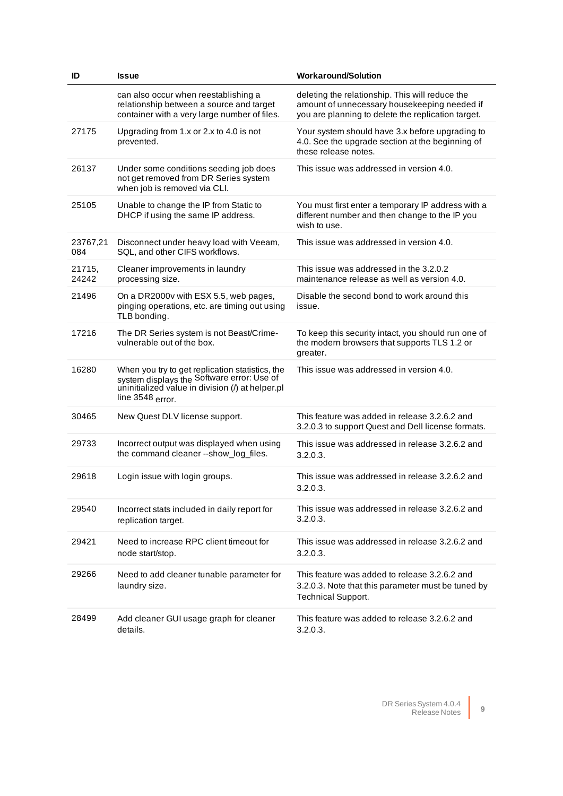| ID              | <b>Issue</b>                                                                                                                                                            | <b>Workaround/Solution</b>                                                                                                                            |
|-----------------|-------------------------------------------------------------------------------------------------------------------------------------------------------------------------|-------------------------------------------------------------------------------------------------------------------------------------------------------|
|                 | can also occur when reestablishing a<br>relationship between a source and target<br>container with a very large number of files.                                        | deleting the relationship. This will reduce the<br>amount of unnecessary housekeeping needed if<br>you are planning to delete the replication target. |
| 27175           | Upgrading from 1.x or 2.x to 4.0 is not<br>prevented.                                                                                                                   | Your system should have 3.x before upgrading to<br>4.0. See the upgrade section at the beginning of<br>these release notes.                           |
| 26137           | Under some conditions seeding job does<br>not get removed from DR Series system<br>when job is removed via CLI.                                                         | This issue was addressed in version 4.0.                                                                                                              |
| 25105           | Unable to change the IP from Static to<br>DHCP if using the same IP address.                                                                                            | You must first enter a temporary IP address with a<br>different number and then change to the IP you<br>wish to use.                                  |
| 23767,21<br>084 | Disconnect under heavy load with Veeam,<br>SQL, and other CIFS workflows.                                                                                               | This issue was addressed in version 4.0.                                                                                                              |
| 21715,<br>24242 | Cleaner improvements in laundry<br>processing size.                                                                                                                     | This issue was addressed in the 3.2.0.2<br>maintenance release as well as version 4.0.                                                                |
| 21496           | On a DR2000v with ESX 5.5, web pages,<br>pinging operations, etc. are timing out using<br>TLB bonding.                                                                  | Disable the second bond to work around this<br>issue.                                                                                                 |
| 17216           | The DR Series system is not Beast/Crime-<br>vulnerable out of the box.                                                                                                  | To keep this security intact, you should run one of<br>the modern browsers that supports TLS 1.2 or<br>greater.                                       |
| 16280           | When you try to get replication statistics, the<br>system displays the Software error: Use of<br>uninitialized value in division (/) at helper.pl<br>line $3548$ error. | This issue was addressed in version 4.0.                                                                                                              |
| 30465           | New Quest DLV license support.                                                                                                                                          | This feature was added in release 3.2.6.2 and<br>3.2.0.3 to support Quest and Dell license formats.                                                   |
| 29733           | Incorrect output was displayed when using<br>the command cleaner --show_log_files.                                                                                      | This issue was addressed in release 3.2.6.2 and<br>3.2.0.3.                                                                                           |
| 29618           | Login issue with login groups.                                                                                                                                          | This issue was addressed in release 3.2.6.2 and<br>3.2.0.3.                                                                                           |
| 29540           | Incorrect stats included in daily report for<br>replication target.                                                                                                     | This issue was addressed in release 3.2.6.2 and<br>3.2.0.3.                                                                                           |
| 29421           | Need to increase RPC client timeout for<br>node start/stop.                                                                                                             | This issue was addressed in release 3.2.6.2 and<br>3.2.0.3.                                                                                           |
| 29266           | Need to add cleaner tunable parameter for<br>laundry size.                                                                                                              | This feature was added to release 3.2.6.2 and<br>3.2.0.3. Note that this parameter must be tuned by<br><b>Technical Support.</b>                      |
| 28499           | Add cleaner GUI usage graph for cleaner<br>details.                                                                                                                     | This feature was added to release 3.2.6.2 and<br>3.2.0.3.                                                                                             |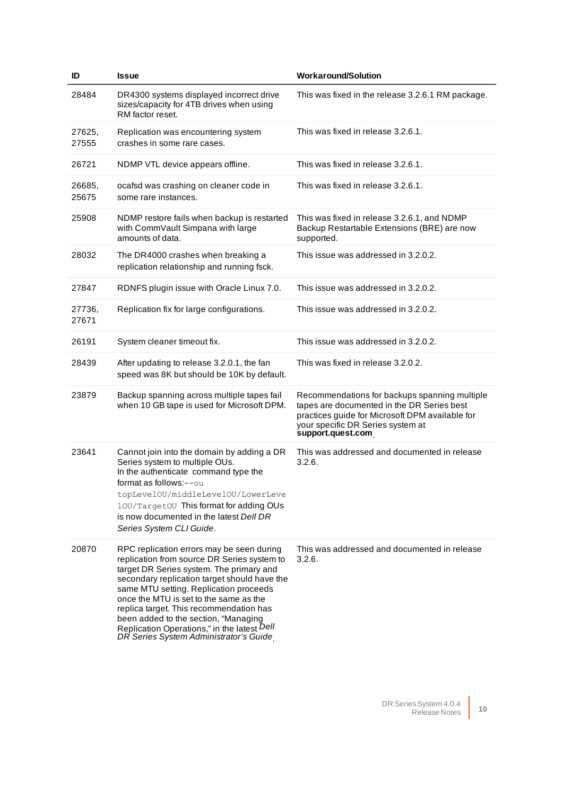| ID              | <b>Issue</b>                                                                                                                                                                                                                                                                                                                                                                                                                                         | <b>Workaround/Solution</b>                                                                                                                                                                               |
|-----------------|------------------------------------------------------------------------------------------------------------------------------------------------------------------------------------------------------------------------------------------------------------------------------------------------------------------------------------------------------------------------------------------------------------------------------------------------------|----------------------------------------------------------------------------------------------------------------------------------------------------------------------------------------------------------|
| 28484           | DR4300 systems displayed incorrect drive<br>sizes/capacity for 4TB drives when using<br>RM factor reset.                                                                                                                                                                                                                                                                                                                                             | This was fixed in the release 3.2.6.1 RM package.                                                                                                                                                        |
| 27625,<br>27555 | Replication was encountering system<br>crashes in some rare cases.                                                                                                                                                                                                                                                                                                                                                                                   | This was fixed in release 3.2.6.1.                                                                                                                                                                       |
| 26721           | NDMP VTL device appears offline.                                                                                                                                                                                                                                                                                                                                                                                                                     | This was fixed in release 3.2.6.1.                                                                                                                                                                       |
| 26685,<br>25675 | ocafsd was crashing on cleaner code in<br>some rare instances.                                                                                                                                                                                                                                                                                                                                                                                       | This was fixed in release 3.2.6.1.                                                                                                                                                                       |
| 25908           | NDMP restore fails when backup is restarted<br>with CommVault Simpana with large<br>amounts of data.                                                                                                                                                                                                                                                                                                                                                 | This was fixed in release 3.2.6.1, and NDMP<br>Backup Restartable Extensions (BRE) are now<br>supported.                                                                                                 |
| 28032           | The DR4000 crashes when breaking a<br>replication relationship and running fsck.                                                                                                                                                                                                                                                                                                                                                                     | This issue was addressed in 3.2.0.2.                                                                                                                                                                     |
| 27847           | RDNFS plugin issue with Oracle Linux 7.0.                                                                                                                                                                                                                                                                                                                                                                                                            | This issue was addressed in 3.2.0.2.                                                                                                                                                                     |
| 27736,<br>27671 | Replication fix for large configurations.                                                                                                                                                                                                                                                                                                                                                                                                            | This issue was addressed in 3.2.0.2.                                                                                                                                                                     |
| 26191           | System cleaner timeout fix.                                                                                                                                                                                                                                                                                                                                                                                                                          | This issue was addressed in 3.2.0.2.                                                                                                                                                                     |
| 28439           | After updating to release 3.2.0.1, the fan<br>speed was 8K but should be 10K by default.                                                                                                                                                                                                                                                                                                                                                             | This was fixed in release 3.2.0.2.                                                                                                                                                                       |
| 23879           | Backup spanning across multiple tapes fail<br>when 10 GB tape is used for Microsoft DPM.                                                                                                                                                                                                                                                                                                                                                             | Recommendations for backups spanning multiple<br>tapes are documented in the DR Series best<br>practices guide for Microsoft DPM available for<br>your specific DR Series system at<br>support.quest.com |
| 23641           | Cannot join into the domain by adding a DR<br>Series system to multiple OUs.<br>In the authenticate command type the<br>format as follows:--ou<br>topLevelOU/middleLevelOU/LowerLeve<br>10U/Target0U This format for adding OUs<br>is now documented in the latest Dell DR<br>Series System CLI Guide.                                                                                                                                               | This was addressed and documented in release<br>3.2.6.                                                                                                                                                   |
| 20870           | RPC replication errors may be seen during<br>replication from source DR Series system to<br>target DR Series system. The primary and<br>secondary replication target should have the<br>same MTU setting. Replication proceeds<br>once the MTU is set to the same as the<br>replica target. This recommendation has<br>been added to the section, "Managing<br>Replication Operations," in the latest Dell<br>DR Series System Administrator's Guide | This was addressed and documented in release<br>3.2.6.                                                                                                                                                   |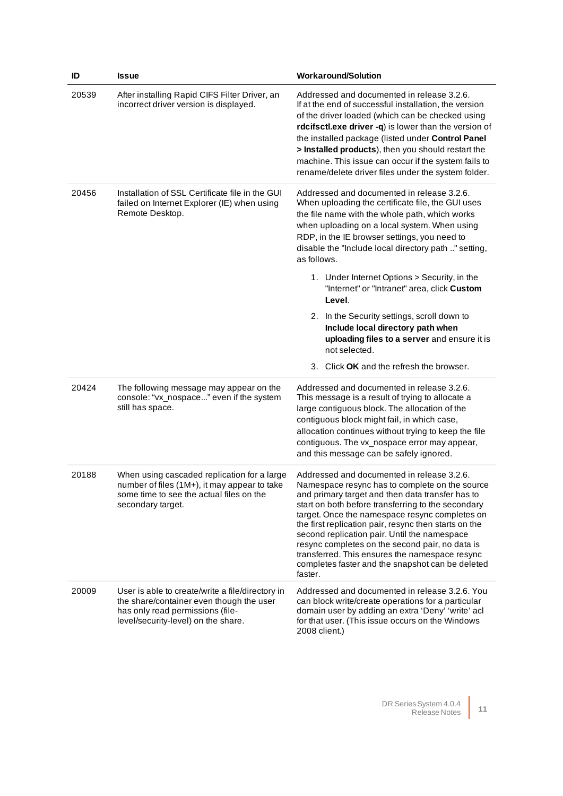| ID    | <b>Issue</b>                                                                                                                                                            | <b>Workaround/Solution</b>                                                                                                                                                                                                                                                                                                                                                                                                                                                                                                                                                                                                         |
|-------|-------------------------------------------------------------------------------------------------------------------------------------------------------------------------|------------------------------------------------------------------------------------------------------------------------------------------------------------------------------------------------------------------------------------------------------------------------------------------------------------------------------------------------------------------------------------------------------------------------------------------------------------------------------------------------------------------------------------------------------------------------------------------------------------------------------------|
| 20539 | After installing Rapid CIFS Filter Driver, an<br>incorrect driver version is displayed.                                                                                 | Addressed and documented in release 3.2.6.<br>If at the end of successful installation, the version<br>of the driver loaded (which can be checked using<br>rdcifsctl.exe driver -q) is lower than the version of<br>the installed package (listed under Control Panel<br>> Installed products), then you should restart the<br>machine. This issue can occur if the system fails to<br>rename/delete driver files under the system folder.                                                                                                                                                                                         |
| 20456 | Installation of SSL Certificate file in the GUI<br>failed on Internet Explorer (IE) when using<br>Remote Desktop.                                                       | Addressed and documented in release 3.2.6.<br>When uploading the certificate file, the GUI uses<br>the file name with the whole path, which works<br>when uploading on a local system. When using<br>RDP, in the IE browser settings, you need to<br>disable the "Include local directory path " setting,<br>as follows.<br>1. Under Internet Options > Security, in the<br>"Internet" or "Intranet" area, click Custom<br>Level.<br>2. In the Security settings, scroll down to<br>Include local directory path when<br>uploading files to a server and ensure it is<br>not selected.<br>3. Click OK and the refresh the browser. |
| 20424 | The following message may appear on the<br>console: "vx_nospace" even if the system<br>still has space.                                                                 | Addressed and documented in release 3.2.6.<br>This message is a result of trying to allocate a<br>large contiguous block. The allocation of the<br>contiguous block might fail, in which case,<br>allocation continues without trying to keep the file<br>contiguous. The vx_nospace error may appear,<br>and this message can be safely ignored.                                                                                                                                                                                                                                                                                  |
| 20188 | When using cascaded replication for a large<br>number of files (1M+), it may appear to take<br>some time to see the actual files on the<br>secondary target.            | Addressed and documented in release 3.2.6.<br>Namespace resync has to complete on the source<br>and primary target and then data transfer has to<br>start on both before transferring to the secondary<br>target. Once the namespace resync completes on<br>the first replication pair, resync then starts on the<br>second replication pair. Until the namespace<br>resync completes on the second pair, no data is<br>transferred. This ensures the namespace resync<br>completes faster and the snapshot can be deleted<br>faster.                                                                                              |
| 20009 | User is able to create/write a file/directory in<br>the share/container even though the user<br>has only read permissions (file-<br>level/security-level) on the share. | Addressed and documented in release 3.2.6. You<br>can block write/create operations for a particular<br>domain user by adding an extra 'Deny' 'write' acl<br>for that user. (This issue occurs on the Windows<br>2008 client.)                                                                                                                                                                                                                                                                                                                                                                                                     |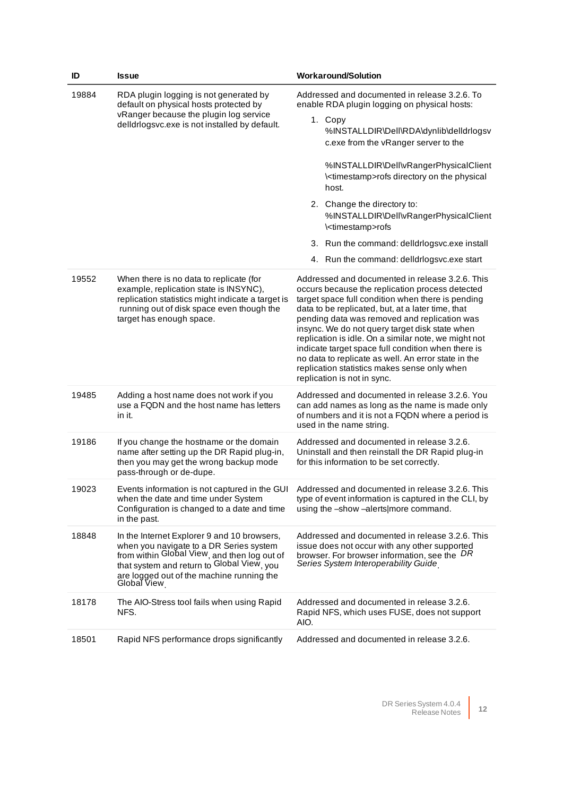| ID    | <b>Issue</b>                                                                                                                                                                                                                                     | <b>Workaround/Solution</b>                                                                                                                                                                                                                                                                                                                                                                                                                                                                                                                                         |
|-------|--------------------------------------------------------------------------------------------------------------------------------------------------------------------------------------------------------------------------------------------------|--------------------------------------------------------------------------------------------------------------------------------------------------------------------------------------------------------------------------------------------------------------------------------------------------------------------------------------------------------------------------------------------------------------------------------------------------------------------------------------------------------------------------------------------------------------------|
| 19884 | RDA plugin logging is not generated by<br>default on physical hosts protected by<br>vRanger because the plugin log service<br>delldrlogsvc.exe is not installed by default.                                                                      | Addressed and documented in release 3.2.6. To<br>enable RDA plugin logging on physical hosts:<br>1. Copy<br>%INSTALLDIR\Dell\RDA\dynlib\delldrlogsv<br>c.exe from the vRanger server to the<br>%INSTALLDIR\Dell\vRangerPhysicalClient                                                                                                                                                                                                                                                                                                                              |
|       |                                                                                                                                                                                                                                                  | \ <timestamp>rofs directory on the physical<br/>host.<br/>2. Change the directory to:</timestamp>                                                                                                                                                                                                                                                                                                                                                                                                                                                                  |
|       |                                                                                                                                                                                                                                                  | %INSTALLDIR\Dell\vRangerPhysicalClient<br>\ <timestamp>rofs</timestamp>                                                                                                                                                                                                                                                                                                                                                                                                                                                                                            |
|       |                                                                                                                                                                                                                                                  | 3. Run the command: delldrlogsvc.exe install                                                                                                                                                                                                                                                                                                                                                                                                                                                                                                                       |
|       |                                                                                                                                                                                                                                                  | 4. Run the command: delidrlogsvc.exe start                                                                                                                                                                                                                                                                                                                                                                                                                                                                                                                         |
| 19552 | When there is no data to replicate (for<br>example, replication state is INSYNC),<br>replication statistics might indicate a target is<br>running out of disk space even though the<br>target has enough space.                                  | Addressed and documented in release 3.2.6. This<br>occurs because the replication process detected<br>target space full condition when there is pending<br>data to be replicated, but, at a later time, that<br>pending data was removed and replication was<br>insync. We do not query target disk state when<br>replication is idle. On a similar note, we might not<br>indicate target space full condition when there is<br>no data to replicate as well. An error state in the<br>replication statistics makes sense only when<br>replication is not in sync. |
| 19485 | Adding a host name does not work if you<br>use a FQDN and the host name has letters<br>in it.                                                                                                                                                    | Addressed and documented in release 3.2.6. You<br>can add names as long as the name is made only<br>of numbers and it is not a FQDN where a period is<br>used in the name string.                                                                                                                                                                                                                                                                                                                                                                                  |
| 19186 | If you change the hostname or the domain<br>name after setting up the DR Rapid plug-in,<br>then you may get the wrong backup mode<br>pass-through or de-dupe.                                                                                    | Addressed and documented in release 3.2.6.<br>Uninstall and then reinstall the DR Rapid plug-in<br>for this information to be set correctly.                                                                                                                                                                                                                                                                                                                                                                                                                       |
| 19023 | Events information is not captured in the GUI<br>when the date and time under System<br>Configuration is changed to a date and time<br>in the past.                                                                                              | Addressed and documented in release 3.2.6. This<br>type of event information is captured in the CLI, by<br>using the -show -alerts/more command.                                                                                                                                                                                                                                                                                                                                                                                                                   |
| 18848 | In the Internet Explorer 9 and 10 browsers,<br>when you navigate to a DR Series system<br>from within Global View, and then log out of<br>that system and return to Global View, you<br>are logged out of the machine running the<br>Global View | Addressed and documented in release 3.2.6. This<br>issue does not occur with any other supported<br>browser. For browser information, see the DR<br>Series System Interoperability Guide                                                                                                                                                                                                                                                                                                                                                                           |
| 18178 | The AIO-Stress tool fails when using Rapid<br>NFS.                                                                                                                                                                                               | Addressed and documented in release 3.2.6.<br>Rapid NFS, which uses FUSE, does not support<br>AIO.                                                                                                                                                                                                                                                                                                                                                                                                                                                                 |
| 18501 | Rapid NFS performance drops significantly                                                                                                                                                                                                        | Addressed and documented in release 3.2.6.                                                                                                                                                                                                                                                                                                                                                                                                                                                                                                                         |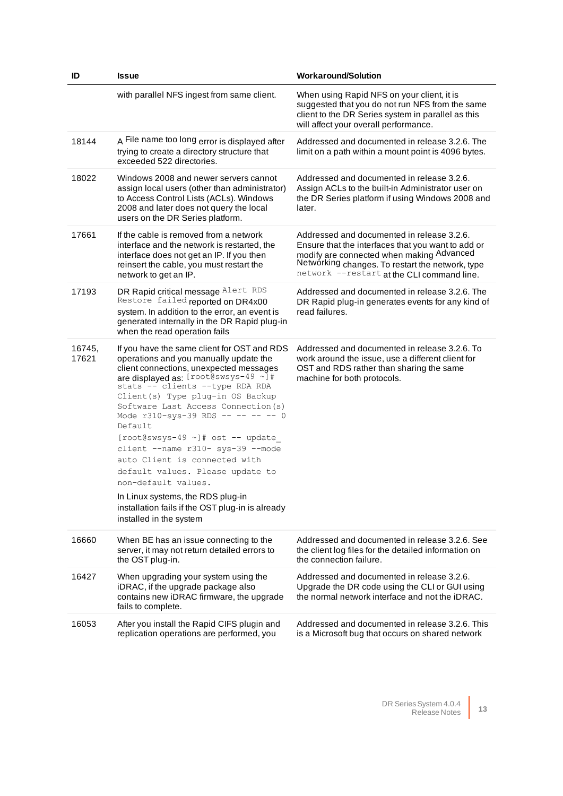| ID              | <b>Issue</b>                                                                                                                                                                                                                                                                                                                                                                                                                                                                                                                                                                                                                      | <b>Workaround/Solution</b>                                                                                                                                                                                                                      |
|-----------------|-----------------------------------------------------------------------------------------------------------------------------------------------------------------------------------------------------------------------------------------------------------------------------------------------------------------------------------------------------------------------------------------------------------------------------------------------------------------------------------------------------------------------------------------------------------------------------------------------------------------------------------|-------------------------------------------------------------------------------------------------------------------------------------------------------------------------------------------------------------------------------------------------|
|                 | with parallel NFS ingest from same client.                                                                                                                                                                                                                                                                                                                                                                                                                                                                                                                                                                                        | When using Rapid NFS on your client, it is<br>suggested that you do not run NFS from the same<br>client to the DR Series system in parallel as this<br>will affect your overall performance.                                                    |
| 18144           | A File name too long error is displayed after<br>trying to create a directory structure that<br>exceeded 522 directories.                                                                                                                                                                                                                                                                                                                                                                                                                                                                                                         | Addressed and documented in release 3.2.6. The<br>limit on a path within a mount point is 4096 bytes.                                                                                                                                           |
| 18022           | Windows 2008 and newer servers cannot<br>assign local users (other than administrator)<br>to Access Control Lists (ACLs). Windows<br>2008 and later does not query the local<br>users on the DR Series platform.                                                                                                                                                                                                                                                                                                                                                                                                                  | Addressed and documented in release 3.2.6.<br>Assign ACLs to the built-in Administrator user on<br>the DR Series platform if using Windows 2008 and<br>later.                                                                                   |
| 17661           | If the cable is removed from a network<br>interface and the network is restarted, the<br>interface does not get an IP. If you then<br>reinsert the cable, you must restart the<br>network to get an IP.                                                                                                                                                                                                                                                                                                                                                                                                                           | Addressed and documented in release 3.2.6.<br>Ensure that the interfaces that you want to add or<br>modify are connected when making Advanced<br>Networking changes. To restart the network, type<br>network --restart at the CLI command line. |
| 17193           | DR Rapid critical message Alert RDS<br>Restore failed reported on DR4x00<br>system. In addition to the error, an event is<br>generated internally in the DR Rapid plug-in<br>when the read operation fails                                                                                                                                                                                                                                                                                                                                                                                                                        | Addressed and documented in release 3.2.6. The<br>DR Rapid plug-in generates events for any kind of<br>read failures.                                                                                                                           |
| 16745,<br>17621 | If you have the same client for OST and RDS<br>operations and you manually update the<br>client connections, unexpected messages<br>are displayed as: [root@swsys-49 ~]#<br>stats -- clients --type RDA RDA<br>Client (s) Type plug-in OS Backup<br>Software Last Access Connection (s)<br>Mode r310-sys-39 RDS -- -- -- -- 0<br>Default<br>[root@swsys-49 ~]# ost -- update<br>client --name r310- sys-39 --mode<br>auto Client is connected with<br>default values. Please update to<br>non-default values.<br>In Linux systems, the RDS plug-in<br>installation fails if the OST plug-in is already<br>installed in the system | Addressed and documented in release 3.2.6. To<br>work around the issue, use a different client for<br>OST and RDS rather than sharing the same<br>machine for both protocols.                                                                   |
| 16660           | When BE has an issue connecting to the<br>server, it may not return detailed errors to<br>the OST plug-in.                                                                                                                                                                                                                                                                                                                                                                                                                                                                                                                        | Addressed and documented in release 3.2.6. See<br>the client log files for the detailed information on<br>the connection failure.                                                                                                               |
| 16427           | When upgrading your system using the<br>iDRAC, if the upgrade package also<br>contains new iDRAC firmware, the upgrade<br>fails to complete.                                                                                                                                                                                                                                                                                                                                                                                                                                                                                      | Addressed and documented in release 3.2.6.<br>Upgrade the DR code using the CLI or GUI using<br>the normal network interface and not the iDRAC.                                                                                                 |
| 16053           | After you install the Rapid CIFS plugin and<br>replication operations are performed, you                                                                                                                                                                                                                                                                                                                                                                                                                                                                                                                                          | Addressed and documented in release 3.2.6. This<br>is a Microsoft bug that occurs on shared network                                                                                                                                             |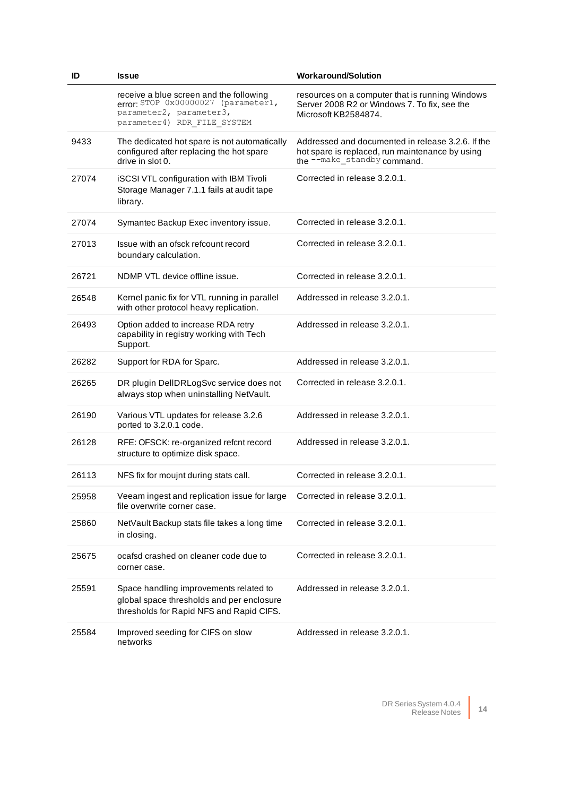| ID    | <b>Issue</b>                                                                                                                             | <b>Workaround/Solution</b>                                                                                                          |
|-------|------------------------------------------------------------------------------------------------------------------------------------------|-------------------------------------------------------------------------------------------------------------------------------------|
|       | receive a blue screen and the following<br>error: STOP 0x00000027 (parameter1,<br>parameter2, parameter3,<br>parameter4) RDR_FILE_SYSTEM | resources on a computer that is running Windows<br>Server 2008 R2 or Windows 7. To fix, see the<br>Microsoft KB2584874.             |
| 9433  | The dedicated hot spare is not automatically<br>configured after replacing the hot spare<br>drive in slot 0.                             | Addressed and documented in release 3.2.6. If the<br>hot spare is replaced, run maintenance by using<br>the --make_standby command. |
| 27074 | iSCSI VTL configuration with IBM Tivoli<br>Storage Manager 7.1.1 fails at audit tape<br>library.                                         | Corrected in release 3.2.0.1.                                                                                                       |
| 27074 | Symantec Backup Exec inventory issue.                                                                                                    | Corrected in release 3.2.0.1.                                                                                                       |
| 27013 | Issue with an ofsck refcount record<br>boundary calculation.                                                                             | Corrected in release 3.2.0.1.                                                                                                       |
| 26721 | NDMP VTL device offline issue.                                                                                                           | Corrected in release 3.2.0.1.                                                                                                       |
| 26548 | Kernel panic fix for VTL running in parallel<br>with other protocol heavy replication.                                                   | Addressed in release 3.2.0.1.                                                                                                       |
| 26493 | Option added to increase RDA retry<br>capability in registry working with Tech<br>Support.                                               | Addressed in release 3.2.0.1.                                                                                                       |
| 26282 | Support for RDA for Sparc.                                                                                                               | Addressed in release 3.2.0.1.                                                                                                       |
| 26265 | DR plugin DellDRLogSvc service does not<br>always stop when uninstalling NetVault.                                                       | Corrected in release 3.2.0.1.                                                                                                       |
| 26190 | Various VTL updates for release 3.2.6<br>ported to 3.2.0.1 code.                                                                         | Addressed in release 3.2.0.1.                                                                                                       |
| 26128 | RFE: OFSCK: re-organized refcnt record<br>structure to optimize disk space.                                                              | Addressed in release 3.2.0.1.                                                                                                       |
| 26113 | NFS fix for moujnt during stats call.                                                                                                    | Corrected in release 3.2.0.1.                                                                                                       |
| 25958 | Veeam ingest and replication issue for large Corrected in release 3.2.0.1.<br>file overwrite corner case.                                |                                                                                                                                     |
| 25860 | NetVault Backup stats file takes a long time<br>in closing.                                                                              | Corrected in release 3.2.0.1.                                                                                                       |
| 25675 | ocafsd crashed on cleaner code due to<br>corner case.                                                                                    | Corrected in release 3.2.0.1.                                                                                                       |
| 25591 | Space handling improvements related to<br>global space thresholds and per enclosure<br>thresholds for Rapid NFS and Rapid CIFS.          | Addressed in release 3.2.0.1.                                                                                                       |
| 25584 | Improved seeding for CIFS on slow<br>networks                                                                                            | Addressed in release 3.2.0.1.                                                                                                       |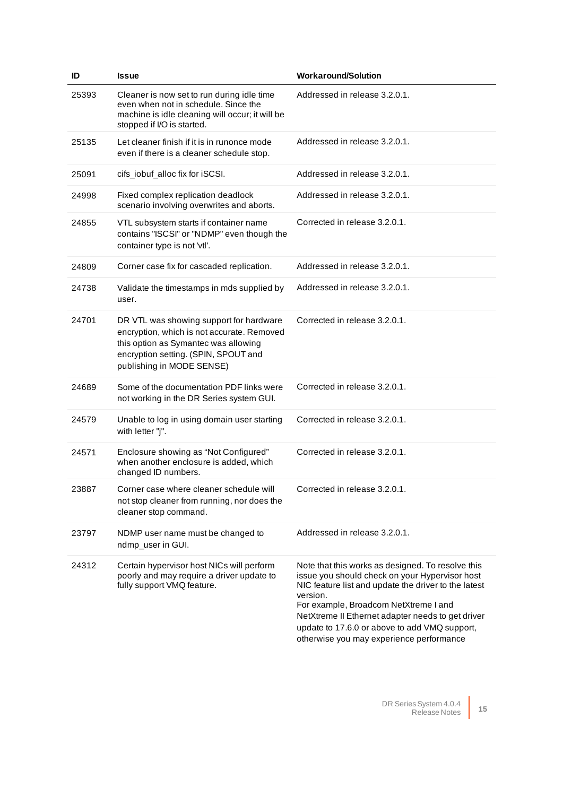| ID    | <b>Issue</b>                                                                                                                                                                                       | <b>Workaround/Solution</b>                                                                                                                                                                                                                                                                                                                                         |
|-------|----------------------------------------------------------------------------------------------------------------------------------------------------------------------------------------------------|--------------------------------------------------------------------------------------------------------------------------------------------------------------------------------------------------------------------------------------------------------------------------------------------------------------------------------------------------------------------|
| 25393 | Cleaner is now set to run during idle time<br>even when not in schedule. Since the<br>machine is idle cleaning will occur; it will be<br>stopped if I/O is started.                                | Addressed in release 3.2.0.1.                                                                                                                                                                                                                                                                                                                                      |
| 25135 | Let cleaner finish if it is in runonce mode<br>even if there is a cleaner schedule stop.                                                                                                           | Addressed in release 3.2.0.1.                                                                                                                                                                                                                                                                                                                                      |
| 25091 | cifs_iobuf_alloc fix for iSCSI.                                                                                                                                                                    | Addressed in release 3.2.0.1.                                                                                                                                                                                                                                                                                                                                      |
| 24998 | Fixed complex replication deadlock<br>scenario involving overwrites and aborts.                                                                                                                    | Addressed in release 3.2.0.1.                                                                                                                                                                                                                                                                                                                                      |
| 24855 | VTL subsystem starts if container name<br>contains "ISCSI" or "NDMP" even though the<br>container type is not 'vtl'.                                                                               | Corrected in release 3.2.0.1.                                                                                                                                                                                                                                                                                                                                      |
| 24809 | Corner case fix for cascaded replication.                                                                                                                                                          | Addressed in release 3.2.0.1.                                                                                                                                                                                                                                                                                                                                      |
| 24738 | Validate the timestamps in mds supplied by<br>user.                                                                                                                                                | Addressed in release 3.2.0.1.                                                                                                                                                                                                                                                                                                                                      |
| 24701 | DR VTL was showing support for hardware<br>encryption, which is not accurate. Removed<br>this option as Symantec was allowing<br>encryption setting. (SPIN, SPOUT and<br>publishing in MODE SENSE) | Corrected in release 3.2.0.1.                                                                                                                                                                                                                                                                                                                                      |
| 24689 | Some of the documentation PDF links were<br>not working in the DR Series system GUI.                                                                                                               | Corrected in release 3.2.0.1.                                                                                                                                                                                                                                                                                                                                      |
| 24579 | Unable to log in using domain user starting<br>with letter "j".                                                                                                                                    | Corrected in release 3.2.0.1.                                                                                                                                                                                                                                                                                                                                      |
| 24571 | Enclosure showing as "Not Configured"<br>when another enclosure is added, which<br>changed ID numbers.                                                                                             | Corrected in release 3.2.0.1.                                                                                                                                                                                                                                                                                                                                      |
| 23887 | Corner case where cleaner schedule will<br>not stop cleaner from running, nor does the<br>cleaner stop command.                                                                                    | Corrected in release 3.2.0.1.                                                                                                                                                                                                                                                                                                                                      |
| 23797 | NDMP user name must be changed to<br>ndmp_user in GUI.                                                                                                                                             | Addressed in release 3.2.0.1.                                                                                                                                                                                                                                                                                                                                      |
| 24312 | Certain hypervisor host NICs will perform<br>poorly and may require a driver update to<br>fully support VMQ feature.                                                                               | Note that this works as designed. To resolve this<br>issue you should check on your Hypervisor host<br>NIC feature list and update the driver to the latest<br>version.<br>For example, Broadcom NetXtreme I and<br>NetXtreme II Ethernet adapter needs to get driver<br>update to 17.6.0 or above to add VMQ support,<br>otherwise you may experience performance |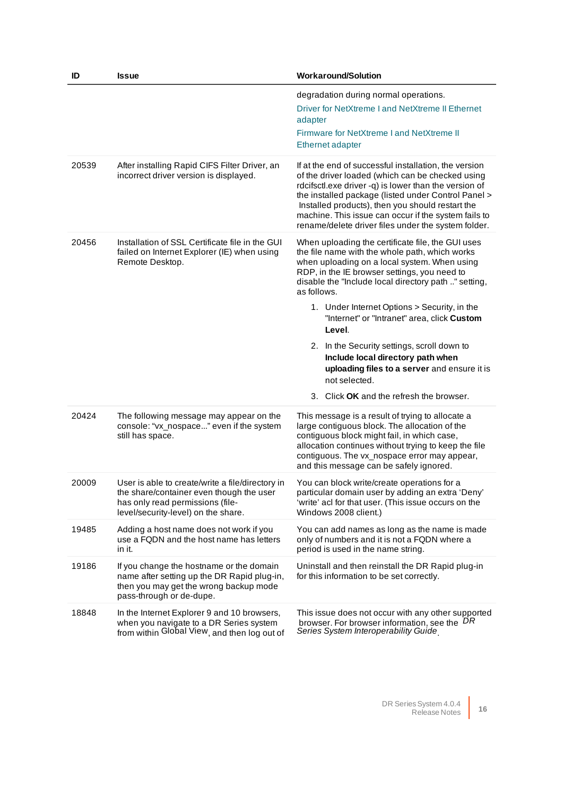| ID    | <b>Issue</b>                                                                                                                                                            | <b>Workaround/Solution</b>                                                                                                                                                                                                                                                                                                                                                                                                         |
|-------|-------------------------------------------------------------------------------------------------------------------------------------------------------------------------|------------------------------------------------------------------------------------------------------------------------------------------------------------------------------------------------------------------------------------------------------------------------------------------------------------------------------------------------------------------------------------------------------------------------------------|
|       |                                                                                                                                                                         | degradation during normal operations.<br>Driver for NetXtreme I and NetXtreme II Ethernet<br>adapter<br>Firmware for NetXtreme I and NetXtreme II<br><b>Ethernet adapter</b>                                                                                                                                                                                                                                                       |
| 20539 | After installing Rapid CIFS Filter Driver, an<br>incorrect driver version is displayed.                                                                                 | If at the end of successful installation, the version<br>of the driver loaded (which can be checked using<br>rdcifsctl.exe driver -q) is lower than the version of<br>the installed package (listed under Control Panel ><br>Installed products), then you should restart the<br>machine. This issue can occur if the system fails to<br>rename/delete driver files under the system folder.                                       |
| 20456 | Installation of SSL Certificate file in the GUI<br>failed on Internet Explorer (IE) when using<br>Remote Desktop.                                                       | When uploading the certificate file, the GUI uses<br>the file name with the whole path, which works<br>when uploading on a local system. When using<br>RDP, in the IE browser settings, you need to<br>disable the "Include local directory path " setting,<br>as follows.<br>1. Under Internet Options > Security, in the<br>"Internet" or "Intranet" area, click Custom<br>Level.<br>2. In the Security settings, scroll down to |
|       |                                                                                                                                                                         | Include local directory path when<br>uploading files to a server and ensure it is<br>not selected.<br>3. Click <b>OK</b> and the refresh the browser.                                                                                                                                                                                                                                                                              |
| 20424 | The following message may appear on the<br>console: "vx_nospace" even if the system<br>still has space.                                                                 | This message is a result of trying to allocate a<br>large contiguous block. The allocation of the<br>contiguous block might fail, in which case,<br>allocation continues without trying to keep the file<br>contiguous. The vx_nospace error may appear,<br>and this message can be safely ignored.                                                                                                                                |
| 20009 | User is able to create/write a file/directory in<br>the share/container even though the user<br>has only read permissions (file-<br>level/security-level) on the share. | You can block write/create operations for a<br>particular domain user by adding an extra 'Deny'<br>'write' acl for that user. (This issue occurs on the<br>Windows 2008 client.)                                                                                                                                                                                                                                                   |
| 19485 | Adding a host name does not work if you<br>use a FQDN and the host name has letters<br>in it.                                                                           | You can add names as long as the name is made<br>only of numbers and it is not a FQDN where a<br>period is used in the name string.                                                                                                                                                                                                                                                                                                |
| 19186 | If you change the hostname or the domain<br>name after setting up the DR Rapid plug-in,<br>then you may get the wrong backup mode<br>pass-through or de-dupe.           | Uninstall and then reinstall the DR Rapid plug-in<br>for this information to be set correctly.                                                                                                                                                                                                                                                                                                                                     |
| 18848 | In the Internet Explorer 9 and 10 browsers,<br>when you navigate to a DR Series system<br>from within Global View, and then log out of                                  | This issue does not occur with any other supported<br>browser. For browser information, see the DR<br>Series System Interoperability Guide                                                                                                                                                                                                                                                                                         |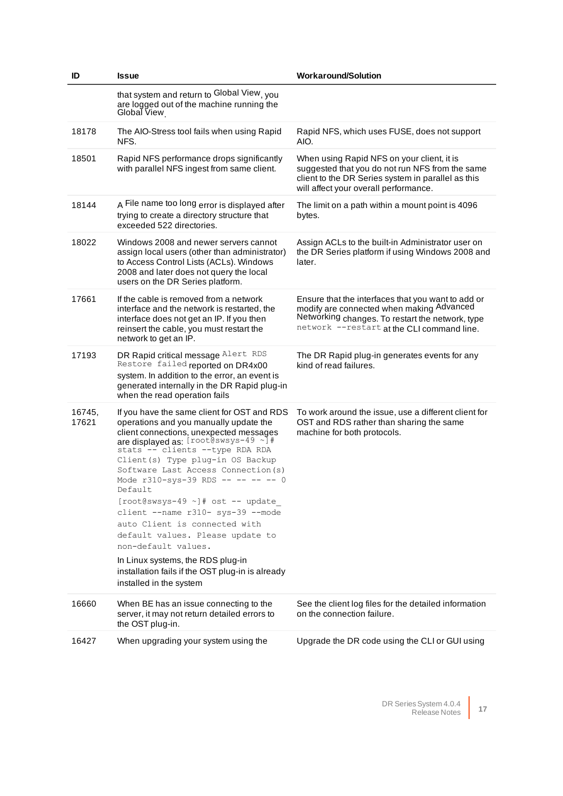| ID              | <b>Issue</b>                                                                                                                                                                                                                                                                                                                                                                                                                                                                                                                                                                                                                            | <b>Workaround/Solution</b>                                                                                                                                                                        |
|-----------------|-----------------------------------------------------------------------------------------------------------------------------------------------------------------------------------------------------------------------------------------------------------------------------------------------------------------------------------------------------------------------------------------------------------------------------------------------------------------------------------------------------------------------------------------------------------------------------------------------------------------------------------------|---------------------------------------------------------------------------------------------------------------------------------------------------------------------------------------------------|
|                 | that system and return to Global View, you<br>are logged out of the machine running the<br>Global View                                                                                                                                                                                                                                                                                                                                                                                                                                                                                                                                  |                                                                                                                                                                                                   |
| 18178           | The AIO-Stress tool fails when using Rapid<br>NFS.                                                                                                                                                                                                                                                                                                                                                                                                                                                                                                                                                                                      | Rapid NFS, which uses FUSE, does not support<br>AIO.                                                                                                                                              |
| 18501           | Rapid NFS performance drops significantly<br>with parallel NFS ingest from same client.                                                                                                                                                                                                                                                                                                                                                                                                                                                                                                                                                 | When using Rapid NFS on your client, it is<br>suggested that you do not run NFS from the same<br>client to the DR Series system in parallel as this<br>will affect your overall performance.      |
| 18144           | A File name too long error is displayed after<br>trying to create a directory structure that<br>exceeded 522 directories.                                                                                                                                                                                                                                                                                                                                                                                                                                                                                                               | The limit on a path within a mount point is 4096<br>bytes.                                                                                                                                        |
| 18022           | Windows 2008 and newer servers cannot<br>assign local users (other than administrator)<br>to Access Control Lists (ACLs). Windows<br>2008 and later does not query the local<br>users on the DR Series platform.                                                                                                                                                                                                                                                                                                                                                                                                                        | Assign ACLs to the built-in Administrator user on<br>the DR Series platform if using Windows 2008 and<br>later.                                                                                   |
| 17661           | If the cable is removed from a network<br>interface and the network is restarted, the<br>interface does not get an IP. If you then<br>reinsert the cable, you must restart the<br>network to get an IP.                                                                                                                                                                                                                                                                                                                                                                                                                                 | Ensure that the interfaces that you want to add or<br>modify are connected when making Advanced<br>Networking changes. To restart the network, type<br>network --restart at the CLI command line. |
| 17193           | DR Rapid critical message Alert RDS<br>Restore failed reported on DR4x00<br>system. In addition to the error, an event is<br>generated internally in the DR Rapid plug-in<br>when the read operation fails                                                                                                                                                                                                                                                                                                                                                                                                                              | The DR Rapid plug-in generates events for any<br>kind of read failures.                                                                                                                           |
| 16745,<br>17621 | If you have the same client for OST and RDS<br>operations and you manually update the<br>client connections, unexpected messages<br>are displayed as: $[root@swsys-49 \sim]$ #<br>stats -- clients --type RDA RDA<br>Client (s) Type plug-in OS Backup<br>Software Last Access Connection (s)<br>Mode r310-sys-39 RDS -- -- -- -- 0<br>Default<br>[root@swsys-49 ~]# ost -- update<br>client --name r310- sys-39 --mode<br>auto Client is connected with<br>default values. Please update to<br>non-default values.<br>In Linux systems, the RDS plug-in<br>installation fails if the OST plug-in is already<br>installed in the system | To work around the issue, use a different client for<br>OST and RDS rather than sharing the same<br>machine for both protocols.                                                                   |
| 16660           | When BE has an issue connecting to the<br>server, it may not return detailed errors to<br>the OST plug-in.                                                                                                                                                                                                                                                                                                                                                                                                                                                                                                                              | See the client log files for the detailed information<br>on the connection failure.                                                                                                               |
| 16427           | When upgrading your system using the                                                                                                                                                                                                                                                                                                                                                                                                                                                                                                                                                                                                    | Upgrade the DR code using the CLI or GUI using                                                                                                                                                    |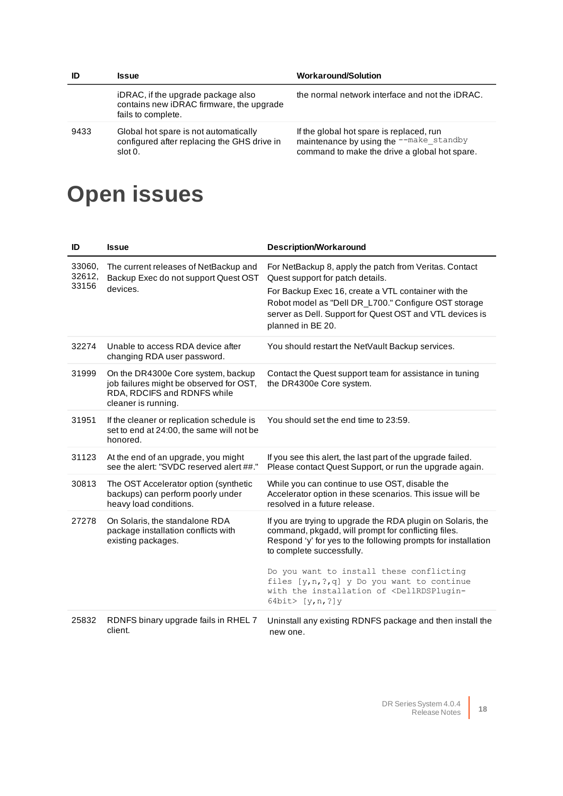| ID   | <b>Issue</b>                                                                                         | <b>Workaround/Solution</b>                                                                                                           |
|------|------------------------------------------------------------------------------------------------------|--------------------------------------------------------------------------------------------------------------------------------------|
|      | iDRAC, if the upgrade package also<br>contains new iDRAC firmware, the upgrade<br>fails to complete. | the normal network interface and not the iDRAC.                                                                                      |
| 9433 | Global hot spare is not automatically<br>configured after replacing the GHS drive in<br>slot 0.      | If the global hot spare is replaced, run<br>maintenance by using the --make_standby<br>command to make the drive a global hot spare. |

## **Open issues**

| ID                        | <b>Issue</b>                                                                                                                        | <b>Description/Workaround</b>                                                                                                                                                                                                                                                              |
|---------------------------|-------------------------------------------------------------------------------------------------------------------------------------|--------------------------------------------------------------------------------------------------------------------------------------------------------------------------------------------------------------------------------------------------------------------------------------------|
| 33060,<br>32612,<br>33156 | The current releases of NetBackup and<br>Backup Exec do not support Quest OST<br>devices.                                           | For NetBackup 8, apply the patch from Veritas. Contact<br>Quest support for patch details.<br>For Backup Exec 16, create a VTL container with the<br>Robot model as "Dell DR_L700." Configure OST storage<br>server as Dell. Support for Quest OST and VTL devices is<br>planned in BE 20. |
| 32274                     | Unable to access RDA device after<br>changing RDA user password.                                                                    | You should restart the NetVault Backup services.                                                                                                                                                                                                                                           |
| 31999                     | On the DR4300e Core system, backup<br>job failures might be observed for OST,<br>RDA, RDCIFS and RDNFS while<br>cleaner is running. | Contact the Quest support team for assistance in tuning<br>the DR4300e Core system.                                                                                                                                                                                                        |
| 31951                     | If the cleaner or replication schedule is<br>set to end at 24:00, the same will not be<br>honored.                                  | You should set the end time to 23:59.                                                                                                                                                                                                                                                      |
| 31123                     | At the end of an upgrade, you might<br>see the alert: "SVDC reserved alert ##."                                                     | If you see this alert, the last part of the upgrade failed.<br>Please contact Quest Support, or run the upgrade again.                                                                                                                                                                     |
| 30813                     | The OST Accelerator option (synthetic<br>backups) can perform poorly under<br>heavy load conditions.                                | While you can continue to use OST, disable the<br>Accelerator option in these scenarios. This issue will be<br>resolved in a future release.                                                                                                                                               |
| 27278                     | On Solaris, the standalone RDA<br>package installation conflicts with<br>existing packages.                                         | If you are trying to upgrade the RDA plugin on Solaris, the<br>command, pkgadd, will prompt for conflicting files.<br>Respond 'y' for yes to the following prompts for installation<br>to complete successfully.<br>Do you want to install these conflicting                               |
|                           |                                                                                                                                     | files [y, n, ?, q] y Do you want to continue<br>with the installation of <dellrdsplugin-<br>64bit&gt; <math>[y,n, ?]</math>y</dellrdsplugin-<br>                                                                                                                                           |
| 25832                     | RDNFS binary upgrade fails in RHEL 7<br>client.                                                                                     | Uninstall any existing RDNFS package and then install the<br>new one.                                                                                                                                                                                                                      |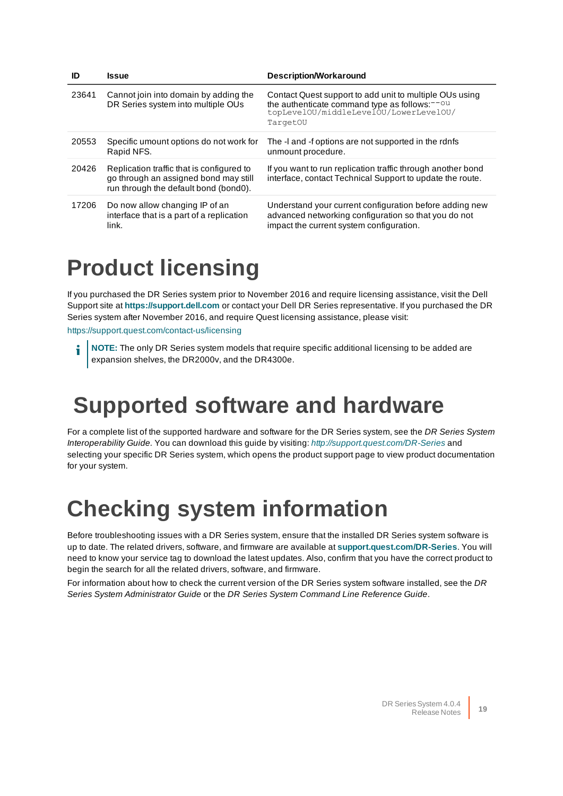| ID    | <b>Issue</b>                                                                                                                | <b>Description/Workaround</b>                                                                                                                                              |
|-------|-----------------------------------------------------------------------------------------------------------------------------|----------------------------------------------------------------------------------------------------------------------------------------------------------------------------|
| 23641 | Cannot join into domain by adding the<br>DR Series system into multiple OUs                                                 | Contact Quest support to add unit to multiple OUs using<br>the authenticate command type as follows: <sup>--ou</sup><br>topLevelOU/middleLevelOU/LowerLevelOU/<br>TargetOU |
| 20553 | Specific umount options do not work for<br>Rapid NFS.                                                                       | The -l and -f options are not supported in the rdnfs<br>unmount procedure.                                                                                                 |
| 20426 | Replication traffic that is configured to<br>go through an assigned bond may still<br>run through the default bond (bond0). | If you want to run replication traffic through another bond<br>interface, contact Technical Support to update the route.                                                   |
| 17206 | Do now allow changing IP of an<br>interface that is a part of a replication<br>link.                                        | Understand your current configuration before adding new<br>advanced networking configuration so that you do not<br>impact the current system configuration.                |

### **Product licensing**

If you purchased the DR Series system prior to November 2016 and require licensing assistance, visit the Dell Support site at **[https://support.dell.com](https://support.dell.com/)** or contact your Dell DR Series representative. If you purchased the DR Series system after November 2016, and require Quest licensing assistance, please visit:

<https://support.quest.com/contact-us/licensing>

**NOTE:** The only DR Series system models that require specific additional licensing to be added are expansion shelves, the DR2000v, and the DR4300e.

### **Supported software and hardware**

For a complete list of the supported hardware and software for the DR Series system, see the DR Series System Interoperability Guide. You can download this guide by visiting: <http://support.quest.com/DR-Series> and selecting your specific DR Series system, which opens the product support page to view product documentation for your system.

### **Checking system information**

Before troubleshooting issues with a DR Series system, ensure that the installed DR Series system software is up to date. The related drivers, software, and firmware are available at **[support.quest.com/DR-Series](http://support.quest.com/DR-Series)**. You will need to know your service tag to download the latest updates. Also, confirm that you have the correct product to begin the search for all the related drivers, software, and firmware.

For information about how to check the current version of the DR Series system software installed, see the DR Series System Administrator Guide or the DR Series System Command Line Reference Guide.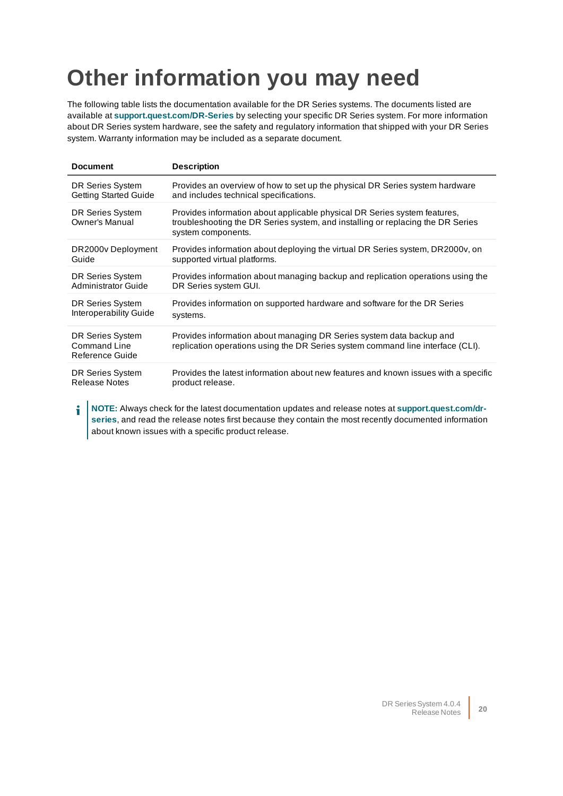## <span id="page-19-0"></span>**Other information you may need**

The following table lists the documentation available for the DR Series systems. The documents listed are available at **[support.quest.com/DR-Series](http://support.quest.com/DR-Series)** by selecting your specific DR Series system. For more information about DR Series system hardware, see the safety and regulatory information that shipped with your DR Series system. Warranty information may be included as a separate document.

| <b>Document</b>                                     | <b>Description</b>                                                                                                                                                                 |
|-----------------------------------------------------|------------------------------------------------------------------------------------------------------------------------------------------------------------------------------------|
| DR Series System                                    | Provides an overview of how to set up the physical DR Series system hardware                                                                                                       |
| <b>Getting Started Guide</b>                        | and includes technical specifications.                                                                                                                                             |
| DR Series System<br><b>Owner's Manual</b>           | Provides information about applicable physical DR Series system features,<br>troubleshooting the DR Series system, and installing or replacing the DR Series<br>system components. |
| DR2000v Deployment                                  | Provides information about deploying the virtual DR Series system, DR2000v, on                                                                                                     |
| Guide                                               | supported virtual platforms.                                                                                                                                                       |
| DR Series System                                    | Provides information about managing backup and replication operations using the                                                                                                    |
| Administrator Guide                                 | DR Series system GUI.                                                                                                                                                              |
| DR Series System                                    | Provides information on supported hardware and software for the DR Series                                                                                                          |
| Interoperability Guide                              | systems.                                                                                                                                                                           |
| DR Series System<br>Command Line<br>Reference Guide | Provides information about managing DR Series system data backup and<br>replication operations using the DR Series system command line interface (CLI).                            |
| DR Series System                                    | Provides the latest information about new features and known issues with a specific                                                                                                |
| <b>Release Notes</b>                                | product release.                                                                                                                                                                   |

**NOTE:** Always check for the latest documentation updates and release notes at **[support.quest.com/dr](http://support.quest.com/DR-Series)**f **[series](http://support.quest.com/DR-Series)**, and read the release notes first because they contain the most recently documented information about known issues with a specific product release.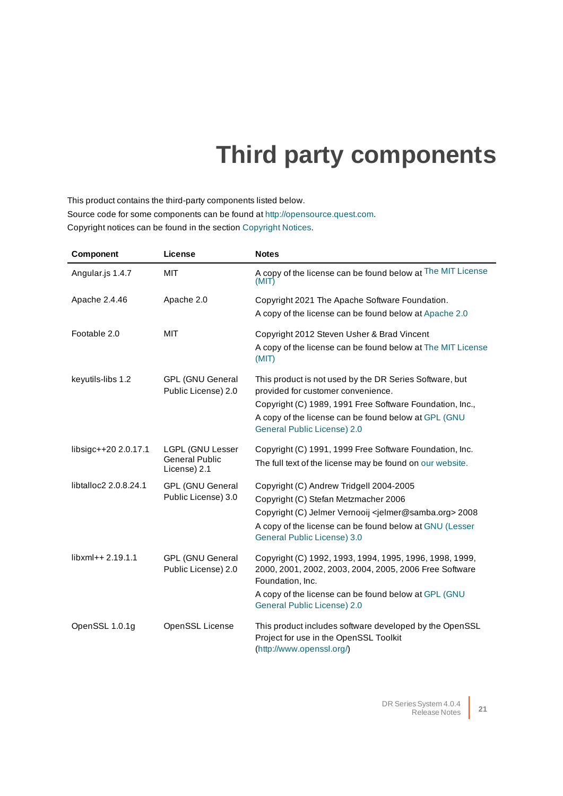## **Third party components**

This product contains the third-party components listed below. Source code for some components can be found at [http://opensource.quest.com](http://opensource.quest.com/).

Copyright notices can be found in the section [Copyright Notices](#page-43-0).

| Component             | License                                        | <b>Notes</b>                                                                                                                          |
|-----------------------|------------------------------------------------|---------------------------------------------------------------------------------------------------------------------------------------|
| Angular.js 1.4.7      | <b>MIT</b>                                     | A copy of the license can be found below at The MIT License<br>(MIT)                                                                  |
| Apache 2.4.46         | Apache 2.0                                     | Copyright 2021 The Apache Software Foundation.                                                                                        |
|                       |                                                | A copy of the license can be found below at Apache 2.0                                                                                |
| Footable 2.0          | <b>MIT</b>                                     | Copyright 2012 Steven Usher & Brad Vincent                                                                                            |
|                       |                                                | A copy of the license can be found below at The MIT License<br>(MIT)                                                                  |
| keyutils-libs 1.2     | <b>GPL (GNU General</b><br>Public License) 2.0 | This product is not used by the DR Series Software, but<br>provided for customer convenience.                                         |
|                       |                                                | Copyright (C) 1989, 1991 Free Software Foundation, Inc.,                                                                              |
|                       |                                                | A copy of the license can be found below at GPL (GNU<br><b>General Public License) 2.0</b>                                            |
| libsigc++20 2.0.17.1  | <b>LGPL (GNU Lesser</b>                        | Copyright (C) 1991, 1999 Free Software Foundation, Inc.                                                                               |
|                       | <b>General Public</b><br>License) 2.1          | The full text of the license may be found on our website.                                                                             |
| libtalloc2 2.0.8.24.1 | <b>GPL (GNU General</b>                        | Copyright (C) Andrew Tridgell 2004-2005                                                                                               |
|                       | Public License) 3.0                            | Copyright (C) Stefan Metzmacher 2006                                                                                                  |
|                       |                                                | Copyright (C) Jelmer Vernooij <jelmer@samba.org> 2008</jelmer@samba.org>                                                              |
|                       |                                                | A copy of the license can be found below at GNU (Lesser<br>General Public License) 3.0                                                |
| libxml++ 2.19.1.1     | <b>GPL (GNU General</b><br>Public License) 2.0 | Copyright (C) 1992, 1993, 1994, 1995, 1996, 1998, 1999,<br>2000, 2001, 2002, 2003, 2004, 2005, 2006 Free Software<br>Foundation, Inc. |
|                       |                                                | A copy of the license can be found below at GPL (GNU<br><b>General Public License) 2.0</b>                                            |
| OpenSSL 1.0.1g        | OpenSSL License                                | This product includes software developed by the OpenSSL<br>Project for use in the OpenSSL Toolkit<br>(http://www.openssl.org/)        |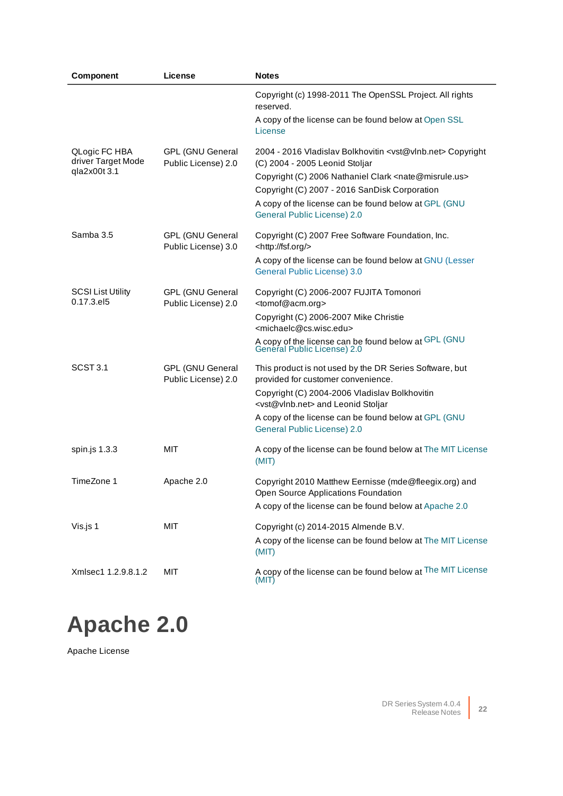| Component                              | License                                        | <b>Notes</b>                                                                                                             |
|----------------------------------------|------------------------------------------------|--------------------------------------------------------------------------------------------------------------------------|
|                                        |                                                | Copyright (c) 1998-2011 The OpenSSL Project. All rights<br>reserved.                                                     |
|                                        |                                                | A copy of the license can be found below at Open SSL<br>License                                                          |
| QLogic FC HBA<br>driver Target Mode    | <b>GPL (GNU General</b><br>Public License) 2.0 | 2004 - 2016 Vladislav Bolkhovitin <vst@vlnb.net> Copyright<br/>(C) 2004 - 2005 Leonid Stoljar</vst@vlnb.net>             |
| qla2x00t 3.1                           |                                                | Copyright (C) 2006 Nathaniel Clark <nate@misrule.us><br/>Copyright (C) 2007 - 2016 SanDisk Corporation</nate@misrule.us> |
|                                        |                                                | A copy of the license can be found below at GPL (GNU<br>General Public License) 2.0                                      |
| Samba 3.5                              | <b>GPL (GNU General</b><br>Public License) 3.0 | Copyright (C) 2007 Free Software Foundation, Inc.<br><http: fsf.org=""></http:>                                          |
|                                        |                                                | A copy of the license can be found below at GNU (Lesser<br><b>General Public License) 3.0</b>                            |
| <b>SCSI List Utility</b><br>0.17.3.el5 | <b>GPL (GNU General</b><br>Public License) 2.0 | Copyright (C) 2006-2007 FUJITA Tomonori<br><tomof@acm.org></tomof@acm.org>                                               |
|                                        |                                                | Copyright (C) 2006-2007 Mike Christie<br><michaelc@cs.wisc.edu></michaelc@cs.wisc.edu>                                   |
|                                        |                                                | A copy of the license can be found below at GPL (GNU<br>General Public License) 2.0                                      |
| SCST <sub>3.1</sub>                    | <b>GPL (GNU General</b><br>Public License) 2.0 | This product is not used by the DR Series Software, but<br>provided for customer convenience.                            |
|                                        |                                                | Copyright (C) 2004-2006 Vladislav Bolkhovitin<br><vst@vlnb.net> and Leonid Stoljar</vst@vlnb.net>                        |
|                                        |                                                | A copy of the license can be found below at GPL (GNU<br>General Public License) 2.0                                      |
| spin.js 1.3.3                          | MIT                                            | A copy of the license can be found below at The MIT License<br>(MIT)                                                     |
| TimeZone 1                             | Apache 2.0                                     | Copyright 2010 Matthew Eernisse (mde@fleegix.org) and<br>Open Source Applications Foundation                             |
|                                        |                                                | A copy of the license can be found below at Apache 2.0                                                                   |
| Vis.js 1                               | <b>MIT</b>                                     | Copyright (c) 2014-2015 Almende B.V.                                                                                     |
|                                        |                                                | A copy of the license can be found below at The MIT License<br>(MIT)                                                     |
| Xmlsec1 1.2.9.8.1.2                    | <b>MIT</b>                                     | A copy of the license can be found below at The MIT License<br>(MIT)                                                     |

## <span id="page-21-0"></span>**Apache 2.0**

Apache License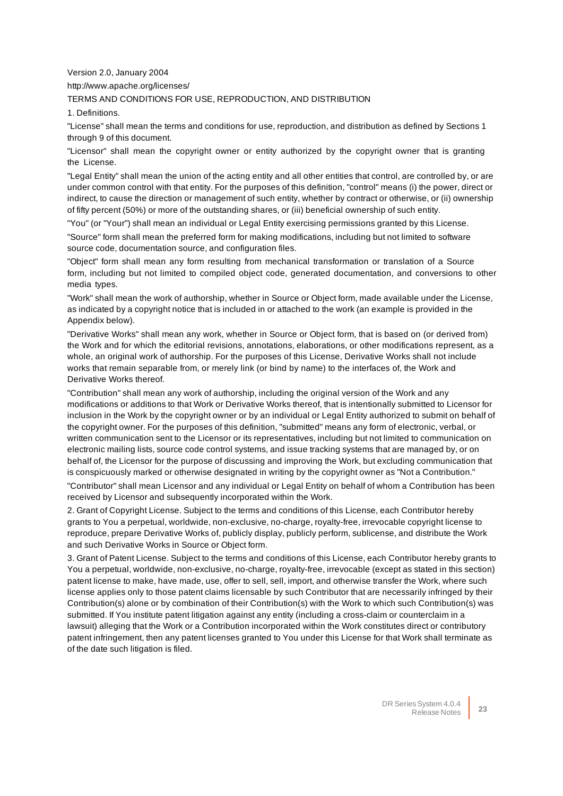Version 2.0, January 2004

http://www.apache.org/licenses/

TERMS AND CONDITIONS FOR USE, REPRODUCTION, AND DISTRIBUTION

1. Definitions.

"License" shall mean the terms and conditions for use, reproduction, and distribution as defined by Sections 1 through 9 of this document.

"Licensor" shall mean the copyright owner or entity authorized by the copyright owner that is granting the License.

"Legal Entity" shall mean the union of the acting entity and all other entities that control, are controlled by, or are under common control with that entity. For the purposes of this definition, "control" means (i) the power, direct or indirect, to cause the direction or management of such entity, whether by contract or otherwise, or (ii) ownership of fifty percent (50%) or more of the outstanding shares, or (iii) beneficial ownership of such entity.

"You" (or "Your") shall mean an individual or Legal Entity exercising permissions granted by this License.

"Source" form shall mean the preferred form for making modifications, including but not limited to software source code, documentation source, and configuration files.

"Object" form shall mean any form resulting from mechanical transformation or translation of a Source form, including but not limited to compiled object code, generated documentation, and conversions to other media types.

"Work" shall mean the work of authorship, whether in Source or Object form, made available under the License, as indicated by a copyright notice that is included in or attached to the work (an example is provided in the Appendix below).

"Derivative Works" shall mean any work, whether in Source or Object form, that is based on (or derived from) the Work and for which the editorial revisions, annotations, elaborations, or other modifications represent, as a whole, an original work of authorship. For the purposes of this License, Derivative Works shall not include works that remain separable from, or merely link (or bind by name) to the interfaces of, the Work and Derivative Works thereof.

"Contribution" shall mean any work of authorship, including the original version of the Work and any modifications or additions to that Work or Derivative Works thereof, that is intentionally submitted to Licensor for inclusion in the Work by the copyright owner or by an individual or Legal Entity authorized to submit on behalf of the copyright owner. For the purposes of this definition, "submitted" means any form of electronic, verbal, or written communication sent to the Licensor or its representatives, including but not limited to communication on electronic mailing lists, source code control systems, and issue tracking systems that are managed by, or on behalf of, the Licensor for the purpose of discussing and improving the Work, but excluding communication that is conspicuously marked or otherwise designated in writing by the copyright owner as "Not a Contribution."

"Contributor" shall mean Licensor and any individual or Legal Entity on behalf of whom a Contribution has been received by Licensor and subsequently incorporated within the Work.

2. Grant of Copyright License. Subject to the terms and conditions of this License, each Contributor hereby grants to You a perpetual, worldwide, non-exclusive, no-charge, royalty-free, irrevocable copyright license to reproduce, prepare Derivative Works of, publicly display, publicly perform, sublicense, and distribute the Work and such Derivative Works in Source or Object form.

3. Grant of Patent License. Subject to the terms and conditions of this License, each Contributor hereby grants to You a perpetual, worldwide, non-exclusive, no-charge, royalty-free, irrevocable (except as stated in this section) patent license to make, have made, use, offer to sell, sell, import, and otherwise transfer the Work, where such license applies only to those patent claims licensable by such Contributor that are necessarily infringed by their Contribution(s) alone or by combination of their Contribution(s) with the Work to which such Contribution(s) was submitted. If You institute patent litigation against any entity (including a cross-claim or counterclaim in a lawsuit) alleging that the Work or a Contribution incorporated within the Work constitutes direct or contributory patent infringement, then any patent licenses granted to You under this License for that Work shall terminate as of the date such litigation is filed.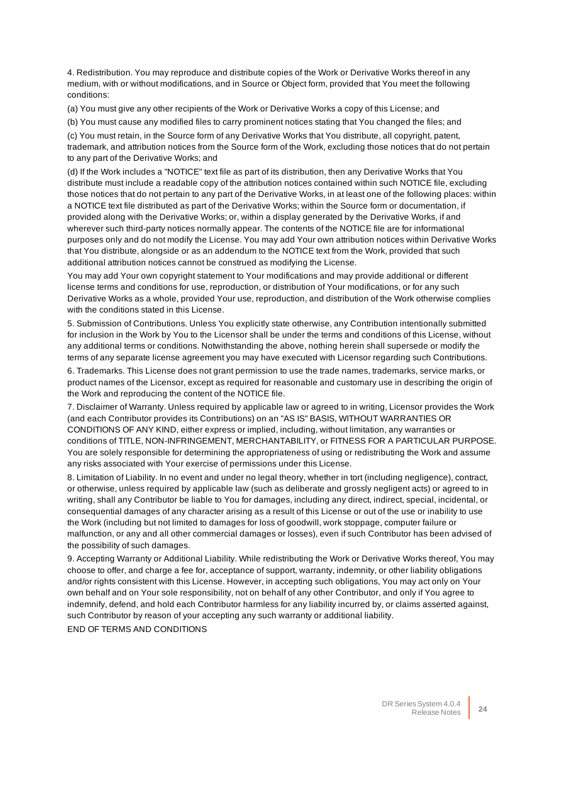4. Redistribution. You may reproduce and distribute copies of the Work or Derivative Works thereof in any medium, with or without modifications, and in Source or Object form, provided that You meet the following conditions:

(a) You must give any other recipients of the Work or Derivative Works a copy of this License; and

(b) You must cause any modified files to carry prominent notices stating that You changed the files; and

(c) You must retain, in the Source form of any Derivative Works that You distribute, all copyright, patent, trademark, and attribution notices from the Source form of the Work, excluding those notices that do not pertain to any part of the Derivative Works; and

(d) If the Work includes a "NOTICE" text file as part of its distribution, then any Derivative Works that You distribute must include a readable copy of the attribution notices contained within such NOTICE file, excluding those notices that do not pertain to any part of the Derivative Works, in at least one of the following places: within a NOTICE text file distributed as part of the Derivative Works; within the Source form or documentation, if provided along with the Derivative Works; or, within a display generated by the Derivative Works, if and wherever such third-party notices normally appear. The contents of the NOTICE file are for informational purposes only and do not modify the License. You may add Your own attribution notices within Derivative Works that You distribute, alongside or as an addendum to the NOTICE text from the Work, provided that such additional attribution notices cannot be construed as modifying the License.

You may add Your own copyright statement to Your modifications and may provide additional or different license terms and conditions for use, reproduction, or distribution of Your modifications, or for any such Derivative Works as a whole, provided Your use, reproduction, and distribution of the Work otherwise complies with the conditions stated in this License.

5. Submission of Contributions. Unless You explicitly state otherwise, any Contribution intentionally submitted for inclusion in the Work by You to the Licensor shall be under the terms and conditions of this License, without any additional terms or conditions. Notwithstanding the above, nothing herein shall supersede or modify the terms of any separate license agreement you may have executed with Licensor regarding such Contributions.

6. Trademarks. This License does not grant permission to use the trade names, trademarks, service marks, or product names of the Licensor, except as required for reasonable and customary use in describing the origin of the Work and reproducing the content of the NOTICE file.

7. Disclaimer of Warranty. Unless required by applicable law or agreed to in writing, Licensor provides the Work (and each Contributor provides its Contributions) on an "AS IS" BASIS, WITHOUT WARRANTIES OR CONDITIONS OF ANY KIND, either express or implied, including, without limitation, any warranties or conditions of TITLE, NON-INFRINGEMENT, MERCHANTABILITY, or FITNESS FOR A PARTICULAR PURPOSE. You are solely responsible for determining the appropriateness of using or redistributing the Work and assume any risks associated with Your exercise of permissions under this License.

8. Limitation of Liability. In no event and under no legal theory, whether in tort (including negligence), contract, or otherwise, unless required by applicable law (such as deliberate and grossly negligent acts) or agreed to in writing, shall any Contributor be liable to You for damages, including any direct, indirect, special, incidental, or consequential damages of any character arising as a result of this License or out of the use or inability to use the Work (including but not limited to damages for loss of goodwill, work stoppage, computer failure or malfunction, or any and all other commercial damages or losses), even if such Contributor has been advised of the possibility of such damages.

9. Accepting Warranty or Additional Liability. While redistributing the Work or Derivative Works thereof, You may choose to offer, and charge a fee for, acceptance of support, warranty, indemnity, or other liability obligations and/or rights consistent with this License. However, in accepting such obligations, You may act only on Your own behalf and on Your sole responsibility, not on behalf of any other Contributor, and only if You agree to indemnify, defend, and hold each Contributor harmless for any liability incurred by, or claims asserted against, such Contributor by reason of your accepting any such warranty or additional liability.

END OF TERMS AND CONDITIONS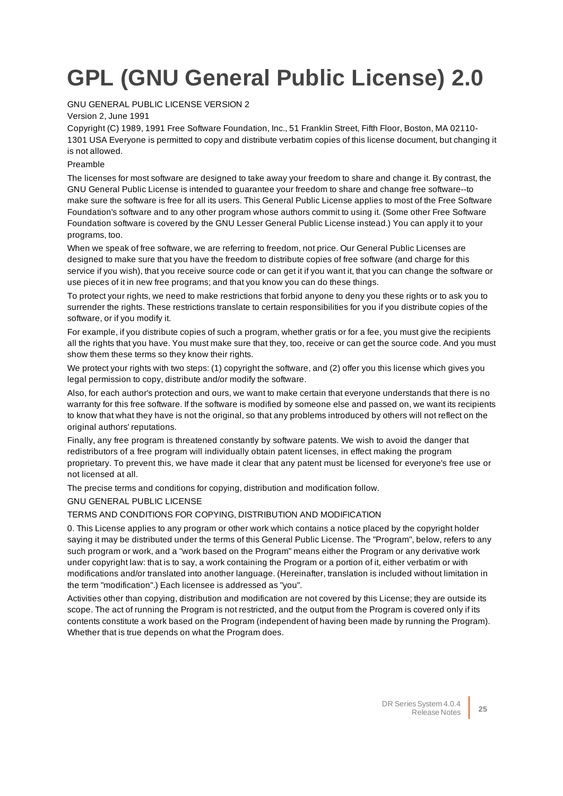# <span id="page-24-0"></span>**GPL (GNU General Public License) 2.0**

#### GNU GENERAL PUBLIC LICENSE VERSION 2

#### Version 2, June 1991

Copyright (C) 1989, 1991 Free Software Foundation, Inc., 51 Franklin Street, Fifth Floor, Boston, MA 02110- 1301 USA Everyone is permitted to copy and distribute verbatim copies of this license document, but changing it is not allowed.

#### Preamble

The licenses for most software are designed to take away your freedom to share and change it. By contrast, the GNU General Public License is intended to guarantee your freedom to share and change free software--to make sure the software is free for all its users. This General Public License applies to most of the Free Software Foundation's software and to any other program whose authors commit to using it. (Some other Free Software Foundation software is covered by the GNU Lesser General Public License instead.) You can apply it to your programs, too.

When we speak of free software, we are referring to freedom, not price. Our General Public Licenses are designed to make sure that you have the freedom to distribute copies of free software (and charge for this service if you wish), that you receive source code or can get it if you want it, that you can change the software or use pieces of it in new free programs; and that you know you can do these things.

To protect your rights, we need to make restrictions that forbid anyone to deny you these rights or to ask you to surrender the rights. These restrictions translate to certain responsibilities for you if you distribute copies of the software, or if you modify it.

For example, if you distribute copies of such a program, whether gratis or for a fee, you must give the recipients all the rights that you have. You must make sure that they, too, receive or can get the source code. And you must show them these terms so they know their rights.

We protect your rights with two steps: (1) copyright the software, and (2) offer you this license which gives you legal permission to copy, distribute and/or modify the software.

Also, for each author's protection and ours, we want to make certain that everyone understands that there is no warranty for this free software. If the software is modified by someone else and passed on, we want its recipients to know that what they have is not the original, so that any problems introduced by others will not reflect on the original authors' reputations.

Finally, any free program is threatened constantly by software patents. We wish to avoid the danger that redistributors of a free program will individually obtain patent licenses, in effect making the program proprietary. To prevent this, we have made it clear that any patent must be licensed for everyone's free use or not licensed at all.

The precise terms and conditions for copying, distribution and modification follow.

#### GNU GENERAL PUBLIC LICENSE

#### TERMS AND CONDITIONS FOR COPYING, DISTRIBUTION AND MODIFICATION

0. This License applies to any program or other work which contains a notice placed by the copyright holder saying it may be distributed under the terms of this General Public License. The "Program", below, refers to any such program or work, and a "work based on the Program" means either the Program or any derivative work under copyright law: that is to say, a work containing the Program or a portion of it, either verbatim or with modifications and/or translated into another language. (Hereinafter, translation is included without limitation in the term "modification".) Each licensee is addressed as "you".

Activities other than copying, distribution and modification are not covered by this License; they are outside its scope. The act of running the Program is not restricted, and the output from the Program is covered only if its contents constitute a work based on the Program (independent of having been made by running the Program). Whether that is true depends on what the Program does.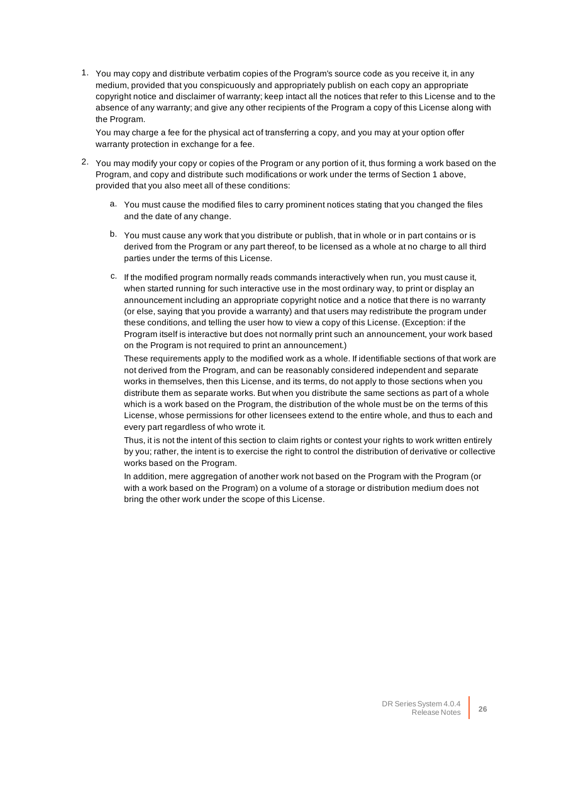1. You may copy and distribute verbatim copies of the Program's source code as you receive it, in any medium, provided that you conspicuously and appropriately publish on each copy an appropriate copyright notice and disclaimer of warranty; keep intact all the notices that refer to this License and to the absence of any warranty; and give any other recipients of the Program a copy of this License along with the Program.

You may charge a fee for the physical act of transferring a copy, and you may at your option offer warranty protection in exchange for a fee.

- 2. You may modify your copy or copies of the Program or any portion of it, thus forming a work based on the Program, and copy and distribute such modifications or work under the terms of Section 1 above, provided that you also meet all of these conditions:
	- a. You must cause the modified files to carry prominent notices stating that you changed the files and the date of any change.
	- b. You must cause any work that you distribute or publish, that in whole or in part contains or is derived from the Program or any part thereof, to be licensed as a whole at no charge to all third parties under the terms of this License.
	- c. If the modified program normally reads commands interactively when run, you must cause it, when started running for such interactive use in the most ordinary way, to print or display an announcement including an appropriate copyright notice and a notice that there is no warranty (or else, saying that you provide a warranty) and that users may redistribute the program under these conditions, and telling the user how to view a copy of this License. (Exception: if the Program itself is interactive but does not normally print such an announcement, your work based on the Program is not required to print an announcement.)

These requirements apply to the modified work as a whole. If identifiable sections of that work are not derived from the Program, and can be reasonably considered independent and separate works in themselves, then this License, and its terms, do not apply to those sections when you distribute them as separate works. But when you distribute the same sections as part of a whole which is a work based on the Program, the distribution of the whole must be on the terms of this License, whose permissions for other licensees extend to the entire whole, and thus to each and every part regardless of who wrote it.

Thus, it is not the intent of this section to claim rights or contest your rights to work written entirely by you; rather, the intent is to exercise the right to control the distribution of derivative or collective works based on the Program.

In addition, mere aggregation of another work not based on the Program with the Program (or with a work based on the Program) on a volume of a storage or distribution medium does not bring the other work under the scope of this License.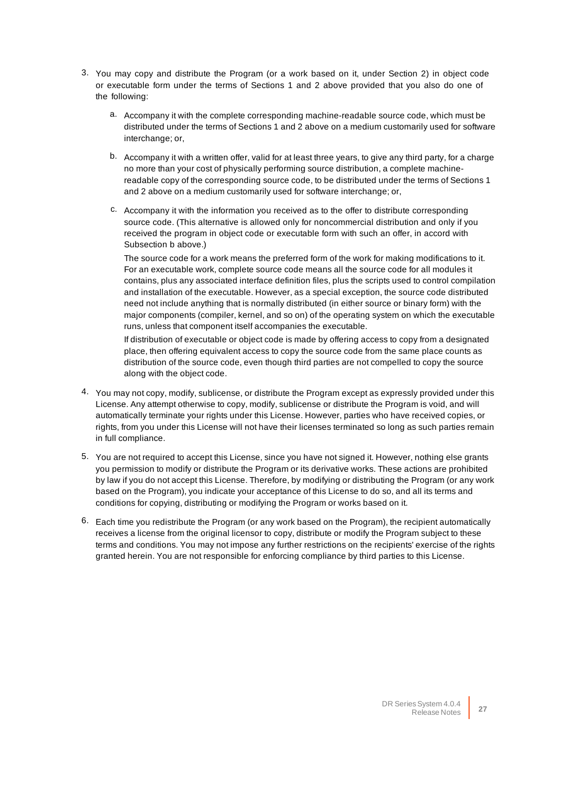- 3. You may copy and distribute the Program (or a work based on it, under Section 2) in object code or executable form under the terms of Sections 1 and 2 above provided that you also do one of the following:
	- a. Accompany it with the complete corresponding machine-readable source code, which must be distributed under the terms of Sections 1 and 2 above on a medium customarily used for software interchange; or,
	- b. Accompany it with a written offer, valid for at least three years, to give any third party, for a charge no more than your cost of physically performing source distribution, a complete machinereadable copy of the corresponding source code, to be distributed under the terms of Sections 1 and 2 above on a medium customarily used for software interchange; or,
	- c. Accompany it with the information you received as to the offer to distribute corresponding source code. (This alternative is allowed only for noncommercial distribution and only if you received the program in object code or executable form with such an offer, in accord with Subsection b above.)

The source code for a work means the preferred form of the work for making modifications to it. For an executable work, complete source code means all the source code for all modules it contains, plus any associated interface definition files, plus the scripts used to control compilation and installation of the executable. However, as a special exception, the source code distributed need not include anything that is normally distributed (in either source or binary form) with the major components (compiler, kernel, and so on) of the operating system on which the executable runs, unless that component itself accompanies the executable.

If distribution of executable or object code is made by offering access to copy from a designated place, then offering equivalent access to copy the source code from the same place counts as distribution of the source code, even though third parties are not compelled to copy the source along with the object code.

- 4. You may not copy, modify, sublicense, or distribute the Program except as expressly provided under this License. Any attempt otherwise to copy, modify, sublicense or distribute the Program is void, and will automatically terminate your rights under this License. However, parties who have received copies, or rights, from you under this License will not have their licenses terminated so long as such parties remain in full compliance.
- 5. You are not required to accept this License, since you have not signed it. However, nothing else grants you permission to modify or distribute the Program or its derivative works. These actions are prohibited by law if you do not accept this License. Therefore, by modifying or distributing the Program (or any work based on the Program), you indicate your acceptance of this License to do so, and all its terms and conditions for copying, distributing or modifying the Program or works based on it.
- 6. Each time you redistribute the Program (or any work based on the Program), the recipient automatically receives a license from the original licensor to copy, distribute or modify the Program subject to these terms and conditions. You may not impose any further restrictions on the recipients' exercise of the rights granted herein. You are not responsible for enforcing compliance by third parties to this License.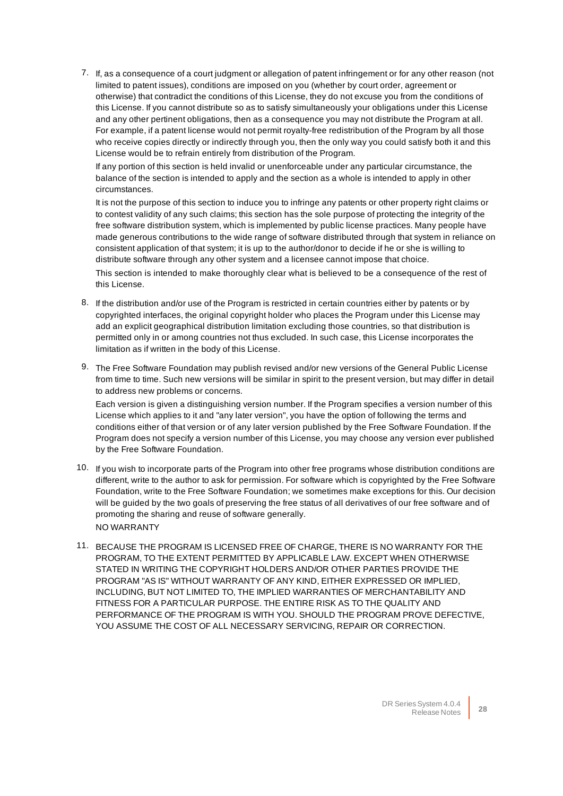7. If, as a consequence of a court judgment or allegation of patent infringement or for any other reason (not limited to patent issues), conditions are imposed on you (whether by court order, agreement or otherwise) that contradict the conditions of this License, they do not excuse you from the conditions of this License. If you cannot distribute so as to satisfy simultaneously your obligations under this License and any other pertinent obligations, then as a consequence you may not distribute the Program at all. For example, if a patent license would not permit royalty-free redistribution of the Program by all those who receive copies directly or indirectly through you, then the only way you could satisfy both it and this License would be to refrain entirely from distribution of the Program.

If any portion of this section is held invalid or unenforceable under any particular circumstance, the balance of the section is intended to apply and the section as a whole is intended to apply in other circumstances.

It is not the purpose of this section to induce you to infringe any patents or other property right claims or to contest validity of any such claims; this section has the sole purpose of protecting the integrity of the free software distribution system, which is implemented by public license practices. Many people have made generous contributions to the wide range of software distributed through that system in reliance on consistent application of that system; it is up to the author/donor to decide if he or she is willing to distribute software through any other system and a licensee cannot impose that choice.

This section is intended to make thoroughly clear what is believed to be a consequence of the rest of this License.

- 8. If the distribution and/or use of the Program is restricted in certain countries either by patents or by copyrighted interfaces, the original copyright holder who places the Program under this License may add an explicit geographical distribution limitation excluding those countries, so that distribution is permitted only in or among countries not thus excluded. In such case, this License incorporates the limitation as if written in the body of this License.
- 9. The Free Software Foundation may publish revised and/or new versions of the General Public License from time to time. Such new versions will be similar in spirit to the present version, but may differ in detail to address new problems or concerns.

Each version is given a distinguishing version number. If the Program specifies a version number of this License which applies to it and "any later version", you have the option of following the terms and conditions either of that version or of any later version published by the Free Software Foundation. If the Program does not specify a version number of this License, you may choose any version ever published by the Free Software Foundation.

- 10. If you wish to incorporate parts of the Program into other free programs whose distribution conditions are different, write to the author to ask for permission. For software which is copyrighted by the Free Software Foundation, write to the Free Software Foundation; we sometimes make exceptions for this. Our decision will be guided by the two goals of preserving the free status of all derivatives of our free software and of promoting the sharing and reuse of software generally. NO WARRANTY
- 11. BECAUSE THE PROGRAM IS LICENSED FREE OF CHARGE, THERE IS NO WARRANTY FOR THE PROGRAM, TO THE EXTENT PERMITTED BY APPLICABLE LAW. EXCEPT WHEN OTHERWISE STATED IN WRITING THE COPYRIGHT HOLDERS AND/OR OTHER PARTIES PROVIDE THE PROGRAM "AS IS" WITHOUT WARRANTY OF ANY KIND, EITHER EXPRESSED OR IMPLIED, INCLUDING, BUT NOT LIMITED TO, THE IMPLIED WARRANTIES OF MERCHANTABILITY AND FITNESS FOR A PARTICULAR PURPOSE. THE ENTIRE RISK AS TO THE QUALITY AND PERFORMANCE OF THE PROGRAM IS WITH YOU. SHOULD THE PROGRAM PROVE DEFECTIVE, YOU ASSUME THE COST OF ALL NECESSARY SERVICING, REPAIR OR CORRECTION.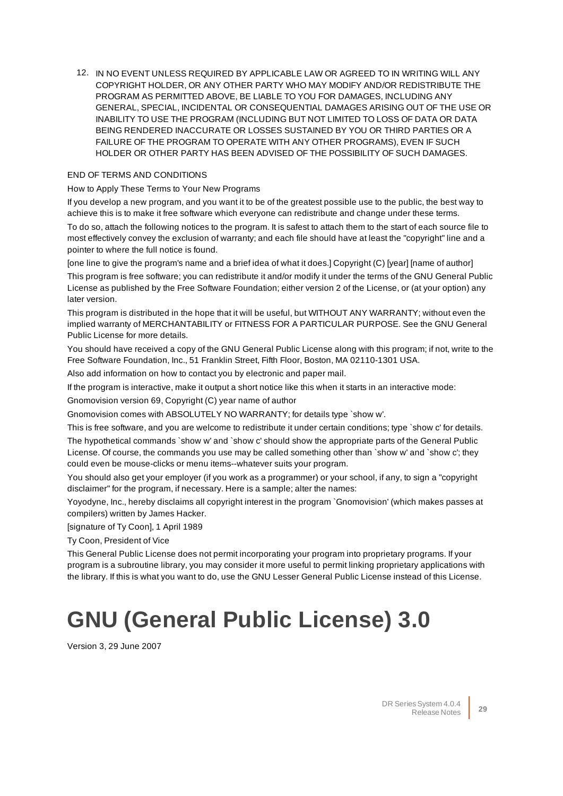12. IN NO EVENT UNLESS REQUIRED BY APPLICABLE LAW OR AGREED TO IN WRITING WILL ANY COPYRIGHT HOLDER, OR ANY OTHER PARTY WHO MAY MODIFY AND/OR REDISTRIBUTE THE PROGRAM AS PERMITTED ABOVE, BE LIABLE TO YOU FOR DAMAGES, INCLUDING ANY GENERAL, SPECIAL, INCIDENTAL OR CONSEQUENTIAL DAMAGES ARISING OUT OF THE USE OR INABILITY TO USE THE PROGRAM (INCLUDING BUT NOT LIMITED TO LOSS OF DATA OR DATA BEING RENDERED INACCURATE OR LOSSES SUSTAINED BY YOU OR THIRD PARTIES OR A FAILURE OF THE PROGRAM TO OPERATE WITH ANY OTHER PROGRAMS), EVEN IF SUCH HOLDER OR OTHER PARTY HAS BEEN ADVISED OF THE POSSIBILITY OF SUCH DAMAGES.

#### END OF TERMS AND CONDITIONS

How to Apply These Terms to Your New Programs

If you develop a new program, and you want it to be of the greatest possible use to the public, the best way to achieve this is to make it free software which everyone can redistribute and change under these terms.

To do so, attach the following notices to the program. It is safest to attach them to the start of each source file to most effectively convey the exclusion of warranty; and each file should have at least the "copyright" line and a pointer to where the full notice is found.

[one line to give the program's name and a brief idea of what it does.] Copyright (C) [year] [name of author] This program is free software; you can redistribute it and/or modify it under the terms of the GNU General Public License as published by the Free Software Foundation; either version 2 of the License, or (at your option) any later version.

This program is distributed in the hope that it will be useful, but WITHOUT ANY WARRANTY; without even the implied warranty of MERCHANTABILITY or FITNESS FOR A PARTICULAR PURPOSE. See the GNU General Public License for more details.

You should have received a copy of the GNU General Public License along with this program; if not, write to the Free Software Foundation, Inc., 51 Franklin Street, Fifth Floor, Boston, MA 02110-1301 USA.

Also add information on how to contact you by electronic and paper mail.

If the program is interactive, make it output a short notice like this when it starts in an interactive mode:

Gnomovision version 69, Copyright (C) year name of author

Gnomovision comes with ABSOLUTELY NO WARRANTY; for details type `show w'.

This is free software, and you are welcome to redistribute it under certain conditions; type `show c' for details.

The hypothetical commands `show w' and `show c' should show the appropriate parts of the General Public License. Of course, the commands you use may be called something other than `show w' and `show c'; they could even be mouse-clicks or menu items--whatever suits your program.

You should also get your employer (if you work as a programmer) or your school, if any, to sign a "copyright disclaimer" for the program, if necessary. Here is a sample; alter the names:

Yoyodyne, Inc., hereby disclaims all copyright interest in the program `Gnomovision' (which makes passes at compilers) written by James Hacker.

[signature of Ty Coon], 1 April 1989

Ty Coon, President of Vice

This General Public License does not permit incorporating your program into proprietary programs. If your program is a subroutine library, you may consider it more useful to permit linking proprietary applications with the library. If this is what you want to do, use the GNU Lesser General Public License instead of this License.

# **GNU (General Public License) 3.0**

Version 3, 29 June 2007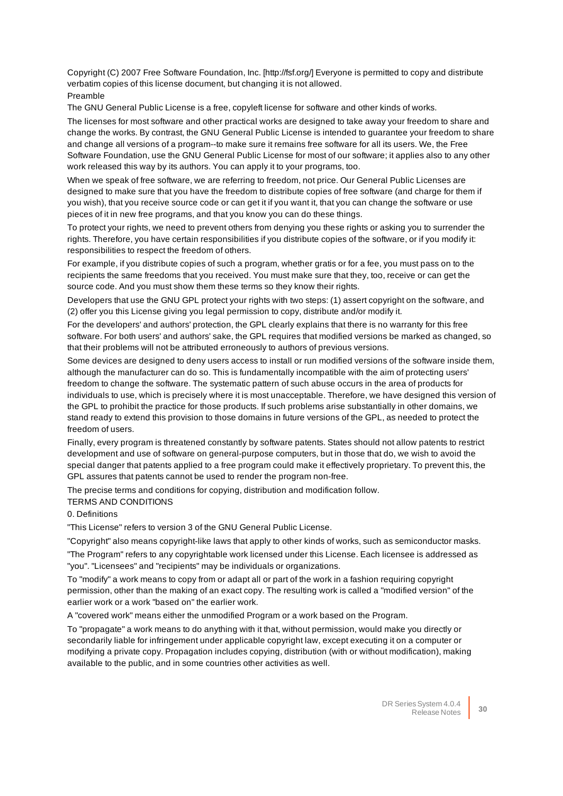Copyright (C) 2007 Free Software Foundation, Inc. [http://fsf.org/] Everyone is permitted to copy and distribute verbatim copies of this license document, but changing it is not allowed. Preamble

The GNU General Public License is a free, copyleft license for software and other kinds of works.

The licenses for most software and other practical works are designed to take away your freedom to share and change the works. By contrast, the GNU General Public License is intended to guarantee your freedom to share and change all versions of a program--to make sure it remains free software for all its users. We, the Free Software Foundation, use the GNU General Public License for most of our software; it applies also to any other work released this way by its authors. You can apply it to your programs, too.

When we speak of free software, we are referring to freedom, not price. Our General Public Licenses are designed to make sure that you have the freedom to distribute copies of free software (and charge for them if you wish), that you receive source code or can get it if you want it, that you can change the software or use pieces of it in new free programs, and that you know you can do these things.

To protect your rights, we need to prevent others from denying you these rights or asking you to surrender the rights. Therefore, you have certain responsibilities if you distribute copies of the software, or if you modify it: responsibilities to respect the freedom of others.

For example, if you distribute copies of such a program, whether gratis or for a fee, you must pass on to the recipients the same freedoms that you received. You must make sure that they, too, receive or can get the source code. And you must show them these terms so they know their rights.

Developers that use the GNU GPL protect your rights with two steps: (1) assert copyright on the software, and (2) offer you this License giving you legal permission to copy, distribute and/or modify it.

For the developers' and authors' protection, the GPL clearly explains that there is no warranty for this free software. For both users' and authors' sake, the GPL requires that modified versions be marked as changed, so that their problems will not be attributed erroneously to authors of previous versions.

Some devices are designed to deny users access to install or run modified versions of the software inside them, although the manufacturer can do so. This is fundamentally incompatible with the aim of protecting users' freedom to change the software. The systematic pattern of such abuse occurs in the area of products for individuals to use, which is precisely where it is most unacceptable. Therefore, we have designed this version of the GPL to prohibit the practice for those products. If such problems arise substantially in other domains, we stand ready to extend this provision to those domains in future versions of the GPL, as needed to protect the freedom of users.

Finally, every program is threatened constantly by software patents. States should not allow patents to restrict development and use of software on general-purpose computers, but in those that do, we wish to avoid the special danger that patents applied to a free program could make it effectively proprietary. To prevent this, the GPL assures that patents cannot be used to render the program non-free.

The precise terms and conditions for copying, distribution and modification follow.

#### TERMS AND CONDITIONS

0. Definitions

"This License" refers to version 3 of the GNU General Public License.

"Copyright" also means copyright-like laws that apply to other kinds of works, such as semiconductor masks.

"The Program" refers to any copyrightable work licensed under this License. Each licensee is addressed as "you". "Licensees" and "recipients" may be individuals or organizations.

To "modify" a work means to copy from or adapt all or part of the work in a fashion requiring copyright permission, other than the making of an exact copy. The resulting work is called a "modified version" of the earlier work or a work "based on" the earlier work.

A "covered work" means either the unmodified Program or a work based on the Program.

To "propagate" a work means to do anything with it that, without permission, would make you directly or secondarily liable for infringement under applicable copyright law, except executing it on a computer or modifying a private copy. Propagation includes copying, distribution (with or without modification), making available to the public, and in some countries other activities as well.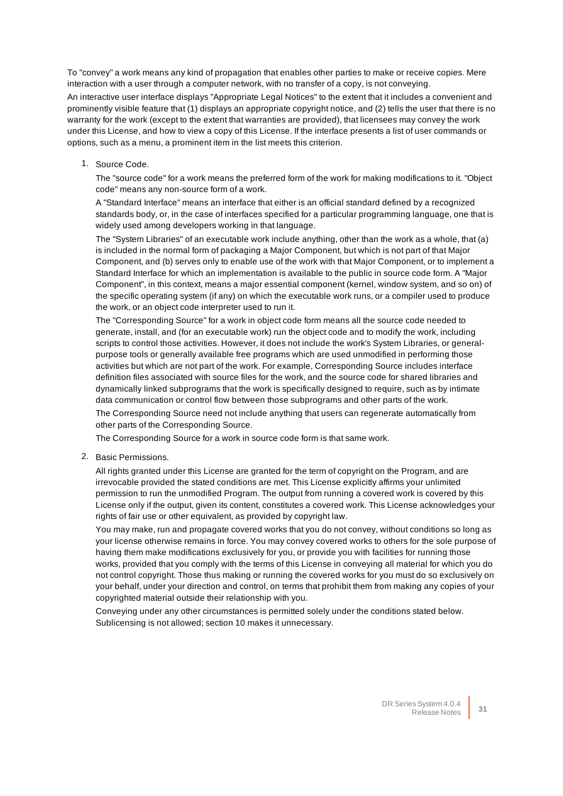To "convey" a work means any kind of propagation that enables other parties to make or receive copies. Mere interaction with a user through a computer network, with no transfer of a copy, is not conveying.

An interactive user interface displays "Appropriate Legal Notices" to the extent that it includes a convenient and prominently visible feature that (1) displays an appropriate copyright notice, and (2) tells the user that there is no warranty for the work (except to the extent that warranties are provided), that licensees may convey the work under this License, and how to view a copy of this License. If the interface presents a list of user commands or options, such as a menu, a prominent item in the list meets this criterion.

1. Source Code.

The "source code" for a work means the preferred form of the work for making modifications to it. "Object code" means any non-source form of a work.

A "Standard Interface" means an interface that either is an official standard defined by a recognized standards body, or, in the case of interfaces specified for a particular programming language, one that is widely used among developers working in that language.

The "System Libraries" of an executable work include anything, other than the work as a whole, that (a) is included in the normal form of packaging a Major Component, but which is not part of that Major Component, and (b) serves only to enable use of the work with that Major Component, or to implement a Standard Interface for which an implementation is available to the public in source code form. A "Major Component", in this context, means a major essential component (kernel, window system, and so on) of the specific operating system (if any) on which the executable work runs, or a compiler used to produce the work, or an object code interpreter used to run it.

The "Corresponding Source" for a work in object code form means all the source code needed to generate, install, and (for an executable work) run the object code and to modify the work, including scripts to control those activities. However, it does not include the work's System Libraries, or generalpurpose tools or generally available free programs which are used unmodified in performing those activities but which are not part of the work. For example, Corresponding Source includes interface definition files associated with source files for the work, and the source code for shared libraries and dynamically linked subprograms that the work is specifically designed to require, such as by intimate data communication or control flow between those subprograms and other parts of the work.

The Corresponding Source need not include anything that users can regenerate automatically from other parts of the Corresponding Source.

The Corresponding Source for a work in source code form is that same work.

2. Basic Permissions.

All rights granted under this License are granted for the term of copyright on the Program, and are irrevocable provided the stated conditions are met. This License explicitly affirms your unlimited permission to run the unmodified Program. The output from running a covered work is covered by this License only if the output, given its content, constitutes a covered work. This License acknowledges your rights of fair use or other equivalent, as provided by copyright law.

You may make, run and propagate covered works that you do not convey, without conditions so long as your license otherwise remains in force. You may convey covered works to others for the sole purpose of having them make modifications exclusively for you, or provide you with facilities for running those works, provided that you comply with the terms of this License in conveying all material for which you do not control copyright. Those thus making or running the covered works for you must do so exclusively on your behalf, under your direction and control, on terms that prohibit them from making any copies of your copyrighted material outside their relationship with you.

Conveying under any other circumstances is permitted solely under the conditions stated below. Sublicensing is not allowed; section 10 makes it unnecessary.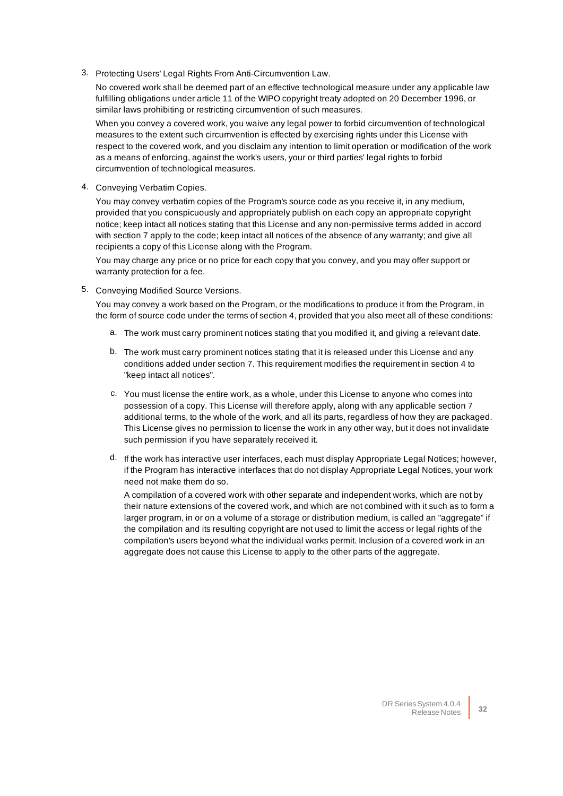3. Protecting Users' Legal Rights From Anti-Circumvention Law.

No covered work shall be deemed part of an effective technological measure under any applicable law fulfilling obligations under article 11 of the WIPO copyright treaty adopted on 20 December 1996, or similar laws prohibiting or restricting circumvention of such measures.

When you convey a covered work, you waive any legal power to forbid circumvention of technological measures to the extent such circumvention is effected by exercising rights under this License with respect to the covered work, and you disclaim any intention to limit operation or modification of the work as a means of enforcing, against the work's users, your or third parties' legal rights to forbid circumvention of technological measures.

4. Conveying Verbatim Copies.

You may convey verbatim copies of the Program's source code as you receive it, in any medium, provided that you conspicuously and appropriately publish on each copy an appropriate copyright notice; keep intact all notices stating that this License and any non-permissive terms added in accord with section 7 apply to the code; keep intact all notices of the absence of any warranty; and give all recipients a copy of this License along with the Program.

You may charge any price or no price for each copy that you convey, and you may offer support or warranty protection for a fee.

5. Conveying Modified Source Versions.

You may convey a work based on the Program, or the modifications to produce it from the Program, in the form of source code under the terms of section 4, provided that you also meet all of these conditions:

- a. The work must carry prominent notices stating that you modified it, and giving a relevant date.
- b. The work must carry prominent notices stating that it is released under this License and any conditions added under section 7. This requirement modifies the requirement in section 4 to "keep intact all notices".
- c. You must license the entire work, as a whole, under this License to anyone who comes into possession of a copy. This License will therefore apply, along with any applicable section 7 additional terms, to the whole of the work, and all its parts, regardless of how they are packaged. This License gives no permission to license the work in any other way, but it does not invalidate such permission if you have separately received it.
- d. If the work has interactive user interfaces, each must display Appropriate Legal Notices; however, if the Program has interactive interfaces that do not display Appropriate Legal Notices, your work need not make them do so.

A compilation of a covered work with other separate and independent works, which are not by their nature extensions of the covered work, and which are not combined with it such as to form a larger program, in or on a volume of a storage or distribution medium, is called an "aggregate" if the compilation and its resulting copyright are not used to limit the access or legal rights of the compilation's users beyond what the individual works permit. Inclusion of a covered work in an aggregate does not cause this License to apply to the other parts of the aggregate.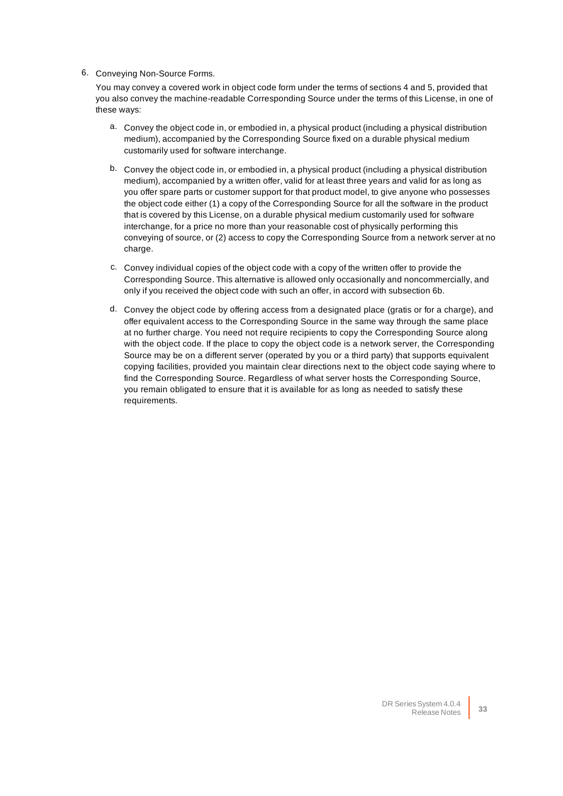#### 6. Conveying Non-Source Forms.

You may convey a covered work in object code form under the terms of sections 4 and 5, provided that you also convey the machine-readable Corresponding Source under the terms of this License, in one of these ways:

- a. Convey the object code in, or embodied in, a physical product (including a physical distribution medium), accompanied by the Corresponding Source fixed on a durable physical medium customarily used for software interchange.
- b. Convey the object code in, or embodied in, a physical product (including a physical distribution medium), accompanied by a written offer, valid for at least three years and valid for as long as you offer spare parts or customer support for that product model, to give anyone who possesses the object code either (1) a copy of the Corresponding Source for all the software in the product that is covered by this License, on a durable physical medium customarily used for software interchange, for a price no more than your reasonable cost of physically performing this conveying of source, or (2) access to copy the Corresponding Source from a network server at no charge.
- c. Convey individual copies of the object code with a copy of the written offer to provide the Corresponding Source. This alternative is allowed only occasionally and noncommercially, and only if you received the object code with such an offer, in accord with subsection 6b.
- d. Convey the object code by offering access from a designated place (gratis or for a charge), and offer equivalent access to the Corresponding Source in the same way through the same place at no further charge. You need not require recipients to copy the Corresponding Source along with the object code. If the place to copy the object code is a network server, the Corresponding Source may be on a different server (operated by you or a third party) that supports equivalent copying facilities, provided you maintain clear directions next to the object code saying where to find the Corresponding Source. Regardless of what server hosts the Corresponding Source, you remain obligated to ensure that it is available for as long as needed to satisfy these requirements.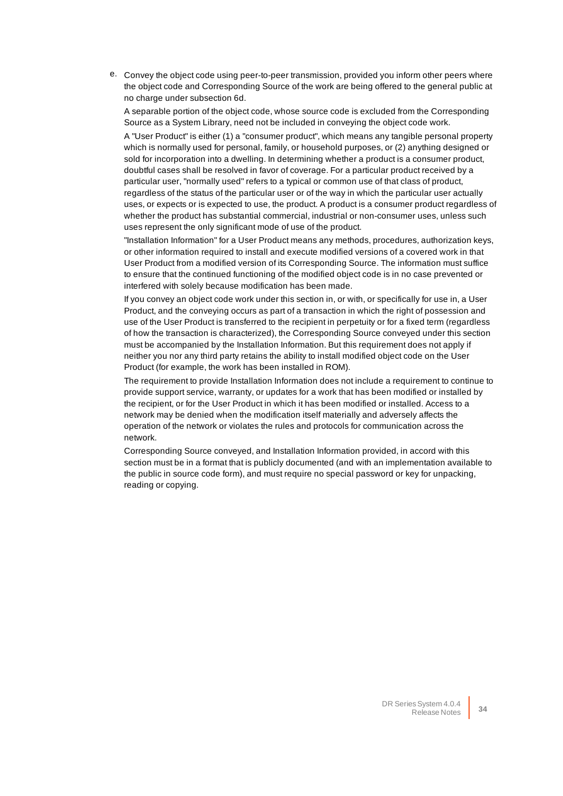e. Convey the object code using peer-to-peer transmission, provided you inform other peers where the object code and Corresponding Source of the work are being offered to the general public at no charge under subsection 6d.

A separable portion of the object code, whose source code is excluded from the Corresponding Source as a System Library, need not be included in conveying the object code work.

A "User Product" is either (1) a "consumer product", which means any tangible personal property which is normally used for personal, family, or household purposes, or (2) anything designed or sold for incorporation into a dwelling. In determining whether a product is a consumer product, doubtful cases shall be resolved in favor of coverage. For a particular product received by a particular user, "normally used" refers to a typical or common use of that class of product, regardless of the status of the particular user or of the way in which the particular user actually uses, or expects or is expected to use, the product. A product is a consumer product regardless of whether the product has substantial commercial, industrial or non-consumer uses, unless such uses represent the only significant mode of use of the product.

"Installation Information" for a User Product means any methods, procedures, authorization keys, or other information required to install and execute modified versions of a covered work in that User Product from a modified version of its Corresponding Source. The information must suffice to ensure that the continued functioning of the modified object code is in no case prevented or interfered with solely because modification has been made.

If you convey an object code work under this section in, or with, or specifically for use in, a User Product, and the conveying occurs as part of a transaction in which the right of possession and use of the User Product is transferred to the recipient in perpetuity or for a fixed term (regardless of how the transaction is characterized), the Corresponding Source conveyed under this section must be accompanied by the Installation Information. But this requirement does not apply if neither you nor any third party retains the ability to install modified object code on the User Product (for example, the work has been installed in ROM).

The requirement to provide Installation Information does not include a requirement to continue to provide support service, warranty, or updates for a work that has been modified or installed by the recipient, or for the User Product in which it has been modified or installed. Access to a network may be denied when the modification itself materially and adversely affects the operation of the network or violates the rules and protocols for communication across the network.

Corresponding Source conveyed, and Installation Information provided, in accord with this section must be in a format that is publicly documented (and with an implementation available to the public in source code form), and must require no special password or key for unpacking, reading or copying.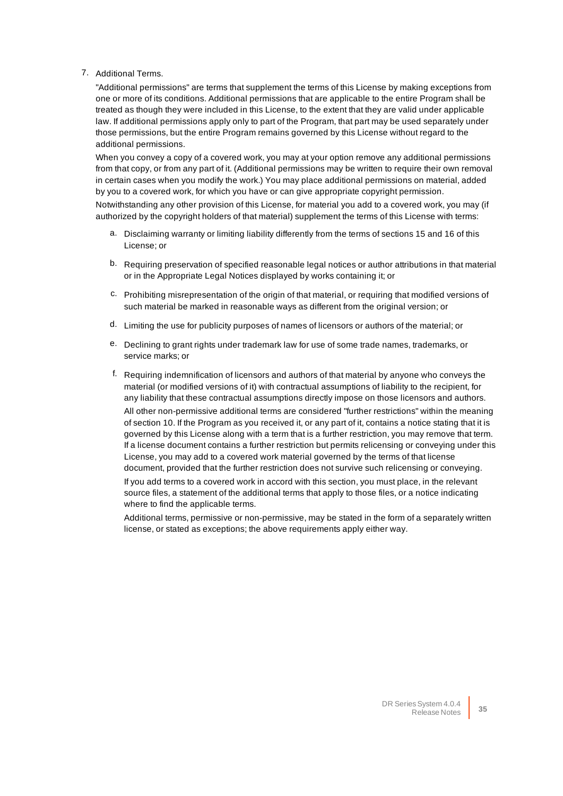#### 7. Additional Terms.

"Additional permissions" are terms that supplement the terms of this License by making exceptions from one or more of its conditions. Additional permissions that are applicable to the entire Program shall be treated as though they were included in this License, to the extent that they are valid under applicable law. If additional permissions apply only to part of the Program, that part may be used separately under those permissions, but the entire Program remains governed by this License without regard to the additional permissions.

When you convey a copy of a covered work, you may at your option remove any additional permissions from that copy, or from any part of it. (Additional permissions may be written to require their own removal in certain cases when you modify the work.) You may place additional permissions on material, added by you to a covered work, for which you have or can give appropriate copyright permission.

Notwithstanding any other provision of this License, for material you add to a covered work, you may (if authorized by the copyright holders of that material) supplement the terms of this License with terms:

- a. Disclaiming warranty or limiting liability differently from the terms of sections 15 and 16 of this License; or
- b. Requiring preservation of specified reasonable legal notices or author attributions in that material or in the Appropriate Legal Notices displayed by works containing it; or
- c. Prohibiting misrepresentation of the origin of that material, or requiring that modified versions of such material be marked in reasonable ways as different from the original version; or
- d. Limiting the use for publicity purposes of names of licensors or authors of the material; or
- e. Declining to grant rights under trademark law for use of some trade names, trademarks, or service marks; or
- f. Requiring indemnification of licensors and authors of that material by anyone who conveys the material (or modified versions of it) with contractual assumptions of liability to the recipient, for any liability that these contractual assumptions directly impose on those licensors and authors. All other non-permissive additional terms are considered "further restrictions" within the meaning of section 10. If the Program as you received it, or any part of it, contains a notice stating that it is governed by this License along with a term that is a further restriction, you may remove that term. If a license document contains a further restriction but permits relicensing or conveying under this License, you may add to a covered work material governed by the terms of that license document, provided that the further restriction does not survive such relicensing or conveying. If you add terms to a covered work in accord with this section, you must place, in the relevant source files, a statement of the additional terms that apply to those files, or a notice indicating where to find the applicable terms.

Additional terms, permissive or non-permissive, may be stated in the form of a separately written license, or stated as exceptions; the above requirements apply either way.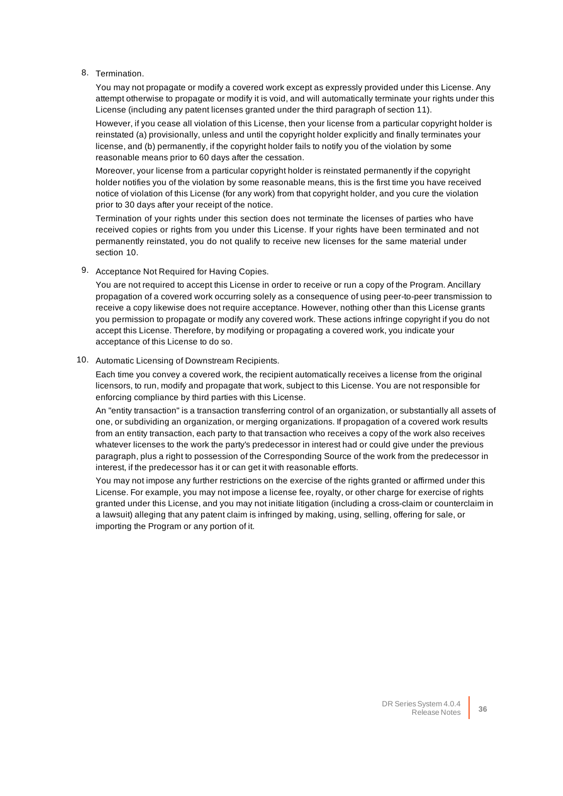#### 8. Termination.

You may not propagate or modify a covered work except as expressly provided under this License. Any attempt otherwise to propagate or modify it is void, and will automatically terminate your rights under this License (including any patent licenses granted under the third paragraph of section 11).

However, if you cease all violation of this License, then your license from a particular copyright holder is reinstated (a) provisionally, unless and until the copyright holder explicitly and finally terminates your license, and (b) permanently, if the copyright holder fails to notify you of the violation by some reasonable means prior to 60 days after the cessation.

Moreover, your license from a particular copyright holder is reinstated permanently if the copyright holder notifies you of the violation by some reasonable means, this is the first time you have received notice of violation of this License (for any work) from that copyright holder, and you cure the violation prior to 30 days after your receipt of the notice.

Termination of your rights under this section does not terminate the licenses of parties who have received copies or rights from you under this License. If your rights have been terminated and not permanently reinstated, you do not qualify to receive new licenses for the same material under section 10.

9. Acceptance Not Required for Having Copies.

You are not required to accept this License in order to receive or run a copy of the Program. Ancillary propagation of a covered work occurring solely as a consequence of using peer-to-peer transmission to receive a copy likewise does not require acceptance. However, nothing other than this License grants you permission to propagate or modify any covered work. These actions infringe copyright if you do not accept this License. Therefore, by modifying or propagating a covered work, you indicate your acceptance of this License to do so.

#### 10. Automatic Licensing of Downstream Recipients.

Each time you convey a covered work, the recipient automatically receives a license from the original licensors, to run, modify and propagate that work, subject to this License. You are not responsible for enforcing compliance by third parties with this License.

An "entity transaction" is a transaction transferring control of an organization, or substantially all assets of one, or subdividing an organization, or merging organizations. If propagation of a covered work results from an entity transaction, each party to that transaction who receives a copy of the work also receives whatever licenses to the work the party's predecessor in interest had or could give under the previous paragraph, plus a right to possession of the Corresponding Source of the work from the predecessor in interest, if the predecessor has it or can get it with reasonable efforts.

You may not impose any further restrictions on the exercise of the rights granted or affirmed under this License. For example, you may not impose a license fee, royalty, or other charge for exercise of rights granted under this License, and you may not initiate litigation (including a cross-claim or counterclaim in a lawsuit) alleging that any patent claim is infringed by making, using, selling, offering for sale, or importing the Program or any portion of it.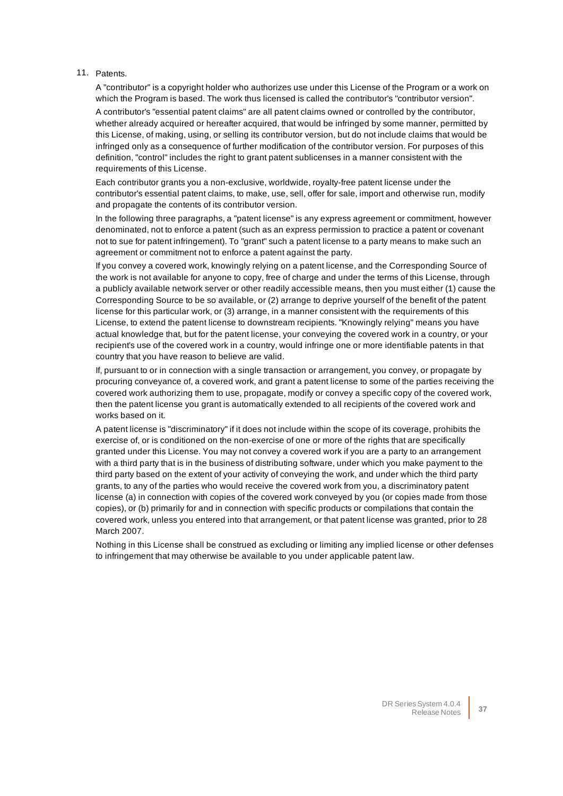#### 11. Patents.

A "contributor" is a copyright holder who authorizes use under this License of the Program or a work on which the Program is based. The work thus licensed is called the contributor's "contributor version".

A contributor's "essential patent claims" are all patent claims owned or controlled by the contributor, whether already acquired or hereafter acquired, that would be infringed by some manner, permitted by this License, of making, using, or selling its contributor version, but do not include claims that would be infringed only as a consequence of further modification of the contributor version. For purposes of this definition, "control" includes the right to grant patent sublicenses in a manner consistent with the requirements of this License.

Each contributor grants you a non-exclusive, worldwide, royalty-free patent license under the contributor's essential patent claims, to make, use, sell, offer for sale, import and otherwise run, modify and propagate the contents of its contributor version.

In the following three paragraphs, a "patent license" is any express agreement or commitment, however denominated, not to enforce a patent (such as an express permission to practice a patent or covenant not to sue for patent infringement). To "grant" such a patent license to a party means to make such an agreement or commitment not to enforce a patent against the party.

If you convey a covered work, knowingly relying on a patent license, and the Corresponding Source of the work is not available for anyone to copy, free of charge and under the terms of this License, through a publicly available network server or other readily accessible means, then you must either (1) cause the Corresponding Source to be so available, or (2) arrange to deprive yourself of the benefit of the patent license for this particular work, or (3) arrange, in a manner consistent with the requirements of this License, to extend the patent license to downstream recipients. "Knowingly relying" means you have actual knowledge that, but for the patent license, your conveying the covered work in a country, or your recipient's use of the covered work in a country, would infringe one or more identifiable patents in that country that you have reason to believe are valid.

If, pursuant to or in connection with a single transaction or arrangement, you convey, or propagate by procuring conveyance of, a covered work, and grant a patent license to some of the parties receiving the covered work authorizing them to use, propagate, modify or convey a specific copy of the covered work, then the patent license you grant is automatically extended to all recipients of the covered work and works based on it.

A patent license is "discriminatory" if it does not include within the scope of its coverage, prohibits the exercise of, or is conditioned on the non-exercise of one or more of the rights that are specifically granted under this License. You may not convey a covered work if you are a party to an arrangement with a third party that is in the business of distributing software, under which you make payment to the third party based on the extent of your activity of conveying the work, and under which the third party grants, to any of the parties who would receive the covered work from you, a discriminatory patent license (a) in connection with copies of the covered work conveyed by you (or copies made from those copies), or (b) primarily for and in connection with specific products or compilations that contain the covered work, unless you entered into that arrangement, or that patent license was granted, prior to 28 March 2007.

Nothing in this License shall be construed as excluding or limiting any implied license or other defenses to infringement that may otherwise be available to you under applicable patent law.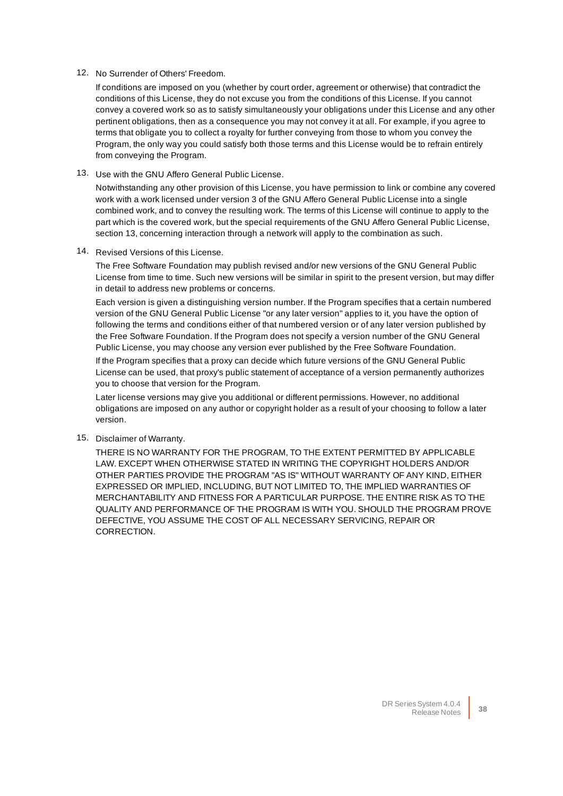#### 12. No Surrender of Others' Freedom.

If conditions are imposed on you (whether by court order, agreement or otherwise) that contradict the conditions of this License, they do not excuse you from the conditions of this License. If you cannot convey a covered work so as to satisfy simultaneously your obligations under this License and any other pertinent obligations, then as a consequence you may not convey it at all. For example, if you agree to terms that obligate you to collect a royalty for further conveying from those to whom you convey the Program, the only way you could satisfy both those terms and this License would be to refrain entirely from conveying the Program.

13. Use with the GNU Affero General Public License.

Notwithstanding any other provision of this License, you have permission to link or combine any covered work with a work licensed under version 3 of the GNU Affero General Public License into a single combined work, and to convey the resulting work. The terms of this License will continue to apply to the part which is the covered work, but the special requirements of the GNU Affero General Public License, section 13, concerning interaction through a network will apply to the combination as such.

14. Revised Versions of this License.

The Free Software Foundation may publish revised and/or new versions of the GNU General Public License from time to time. Such new versions will be similar in spirit to the present version, but may differ in detail to address new problems or concerns.

Each version is given a distinguishing version number. If the Program specifies that a certain numbered version of the GNU General Public License "or any later version" applies to it, you have the option of following the terms and conditions either of that numbered version or of any later version published by the Free Software Foundation. If the Program does not specify a version number of the GNU General Public License, you may choose any version ever published by the Free Software Foundation.

If the Program specifies that a proxy can decide which future versions of the GNU General Public License can be used, that proxy's public statement of acceptance of a version permanently authorizes you to choose that version for the Program.

Later license versions may give you additional or different permissions. However, no additional obligations are imposed on any author or copyright holder as a result of your choosing to follow a later version.

15. Disclaimer of Warranty.

THERE IS NO WARRANTY FOR THE PROGRAM, TO THE EXTENT PERMITTED BY APPLICABLE LAW. EXCEPT WHEN OTHERWISE STATED IN WRITING THE COPYRIGHT HOLDERS AND/OR OTHER PARTIES PROVIDE THE PROGRAM "AS IS" WITHOUT WARRANTY OF ANY KIND, EITHER EXPRESSED OR IMPLIED, INCLUDING, BUT NOT LIMITED TO, THE IMPLIED WARRANTIES OF MERCHANTABILITY AND FITNESS FOR A PARTICULAR PURPOSE. THE ENTIRE RISK AS TO THE QUALITY AND PERFORMANCE OF THE PROGRAM IS WITH YOU. SHOULD THE PROGRAM PROVE DEFECTIVE, YOU ASSUME THE COST OF ALL NECESSARY SERVICING, REPAIR OR CORRECTION.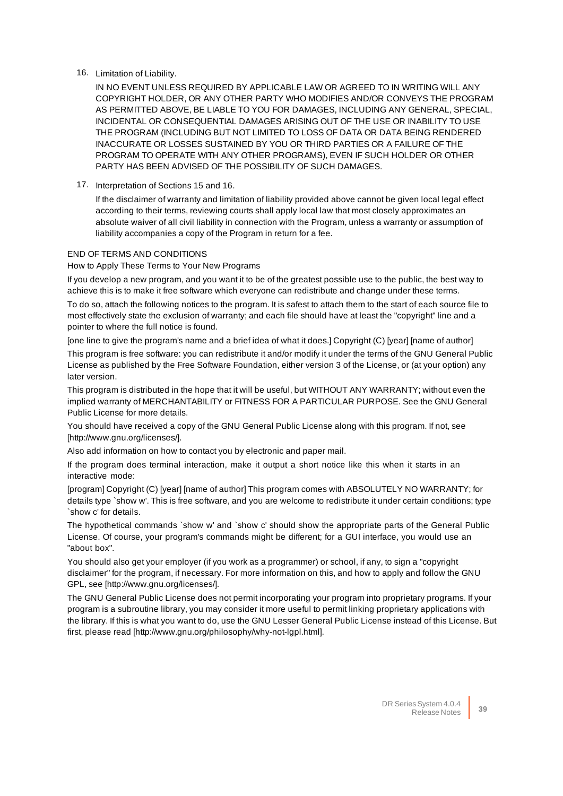#### 16. Limitation of Liability.

IN NO EVENT UNLESS REQUIRED BY APPLICABLE LAW OR AGREED TO IN WRITING WILL ANY COPYRIGHT HOLDER, OR ANY OTHER PARTY WHO MODIFIES AND/OR CONVEYS THE PROGRAM AS PERMITTED ABOVE, BE LIABLE TO YOU FOR DAMAGES, INCLUDING ANY GENERAL, SPECIAL, INCIDENTAL OR CONSEQUENTIAL DAMAGES ARISING OUT OF THE USE OR INABILITY TO USE THE PROGRAM (INCLUDING BUT NOT LIMITED TO LOSS OF DATA OR DATA BEING RENDERED INACCURATE OR LOSSES SUSTAINED BY YOU OR THIRD PARTIES OR A FAILURE OF THE PROGRAM TO OPERATE WITH ANY OTHER PROGRAMS), EVEN IF SUCH HOLDER OR OTHER PARTY HAS BEEN ADVISED OF THE POSSIBILITY OF SUCH DAMAGES.

17. Interpretation of Sections 15 and 16.

If the disclaimer of warranty and limitation of liability provided above cannot be given local legal effect according to their terms, reviewing courts shall apply local law that most closely approximates an absolute waiver of all civil liability in connection with the Program, unless a warranty or assumption of liability accompanies a copy of the Program in return for a fee.

#### END OF TERMS AND CONDITIONS

How to Apply These Terms to Your New Programs

If you develop a new program, and you want it to be of the greatest possible use to the public, the best way to achieve this is to make it free software which everyone can redistribute and change under these terms.

To do so, attach the following notices to the program. It is safest to attach them to the start of each source file to most effectively state the exclusion of warranty; and each file should have at least the "copyright" line and a pointer to where the full notice is found.

[one line to give the program's name and a brief idea of what it does.] Copyright (C) [year] [name of author]

This program is free software: you can redistribute it and/or modify it under the terms of the GNU General Public License as published by the Free Software Foundation, either version 3 of the License, or (at your option) any later version.

This program is distributed in the hope that it will be useful, but WITHOUT ANY WARRANTY; without even the implied warranty of MERCHANTABILITY or FITNESS FOR A PARTICULAR PURPOSE. See the GNU General Public License for more details.

You should have received a copy of the GNU General Public License along with this program. If not, see [http://www.gnu.org/licenses/].

Also add information on how to contact you by electronic and paper mail.

If the program does terminal interaction, make it output a short notice like this when it starts in an interactive mode:

[program] Copyright (C) [year] [name of author] This program comes with ABSOLUTELY NO WARRANTY; for details type `show w'. This is free software, and you are welcome to redistribute it under certain conditions; type `show c' for details.

The hypothetical commands `show w' and `show c' should show the appropriate parts of the General Public License. Of course, your program's commands might be different; for a GUI interface, you would use an "about box".

You should also get your employer (if you work as a programmer) or school, if any, to sign a "copyright disclaimer" for the program, if necessary. For more information on this, and how to apply and follow the GNU GPL, see [http://www.gnu.org/licenses/].

The GNU General Public License does not permit incorporating your program into proprietary programs. If your program is a subroutine library, you may consider it more useful to permit linking proprietary applications with the library. If this is what you want to do, use the GNU Lesser General Public License instead of this License. But first, please read [http://www.gnu.org/philosophy/why-not-lgpl.html].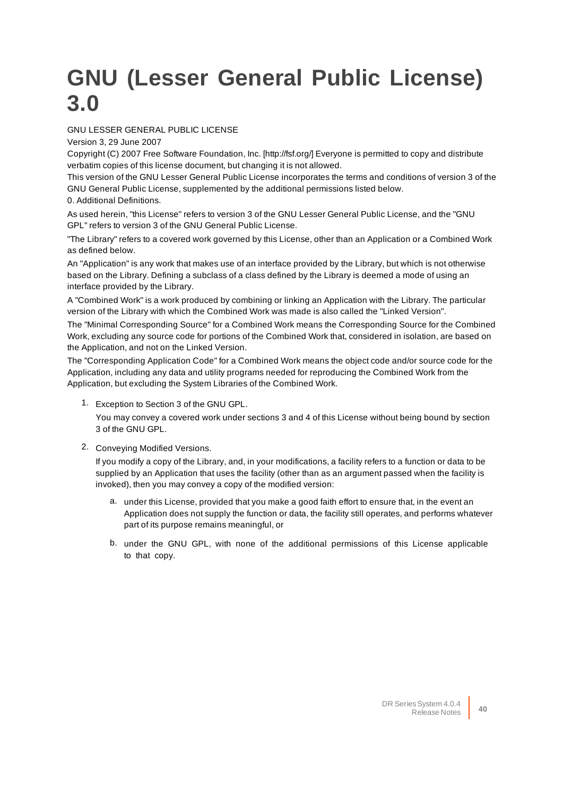# <span id="page-39-0"></span>**GNU (Lesser General Public License) 3.0**

#### GNU LESSER GENERAL PUBLIC LICENSE

Version 3, 29 June 2007

Copyright (C) 2007 Free Software Foundation, Inc. [http://fsf.org/] Everyone is permitted to copy and distribute verbatim copies of this license document, but changing it is not allowed.

This version of the GNU Lesser General Public License incorporates the terms and conditions of version 3 of the GNU General Public License, supplemented by the additional permissions listed below.

0. Additional Definitions.

As used herein, "this License" refers to version 3 of the GNU Lesser General Public License, and the "GNU GPL" refers to version 3 of the GNU General Public License.

"The Library" refers to a covered work governed by this License, other than an Application or a Combined Work as defined below.

An "Application" is any work that makes use of an interface provided by the Library, but which is not otherwise based on the Library. Defining a subclass of a class defined by the Library is deemed a mode of using an interface provided by the Library.

A "Combined Work" is a work produced by combining or linking an Application with the Library. The particular version of the Library with which the Combined Work was made is also called the "Linked Version".

The "Minimal Corresponding Source" for a Combined Work means the Corresponding Source for the Combined Work, excluding any source code for portions of the Combined Work that, considered in isolation, are based on the Application, and not on the Linked Version.

The "Corresponding Application Code" for a Combined Work means the object code and/or source code for the Application, including any data and utility programs needed for reproducing the Combined Work from the Application, but excluding the System Libraries of the Combined Work.

1. Exception to Section 3 of the GNU GPL.

You may convey a covered work under sections 3 and 4 of this License without being bound by section 3 of the GNU GPL.

2. Conveying Modified Versions.

If you modify a copy of the Library, and, in your modifications, a facility refers to a function or data to be supplied by an Application that uses the facility (other than as an argument passed when the facility is invoked), then you may convey a copy of the modified version:

- a. under this License, provided that you make a good faith effort to ensure that, in the event an Application does not supply the function or data, the facility still operates, and performs whatever part of its purpose remains meaningful, or
- b. under the GNU GPL, with none of the additional permissions of this License applicable to that copy.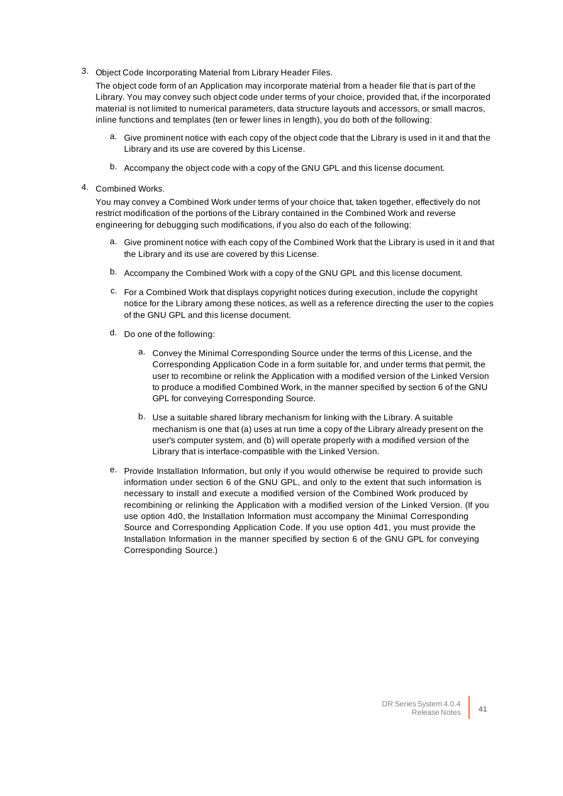3. Object Code Incorporating Material from Library Header Files.

The object code form of an Application may incorporate material from a header file that is part of the Library. You may convey such object code under terms of your choice, provided that, if the incorporated material is not limited to numerical parameters, data structure layouts and accessors, or small macros, inline functions and templates (ten or fewer lines in length), you do both of the following:

- a. Give prominent notice with each copy of the object code that the Library is used in it and that the Library and its use are covered by this License.
- b. Accompany the object code with a copy of the GNU GPL and this license document.
- 4. Combined Works.

You may convey a Combined Work under terms of your choice that, taken together, effectively do not restrict modification of the portions of the Library contained in the Combined Work and reverse engineering for debugging such modifications, if you also do each of the following:

- a. Give prominent notice with each copy of the Combined Work that the Library is used in it and that the Library and its use are covered by this License.
- b. Accompany the Combined Work with a copy of the GNU GPL and this license document.
- c. For a Combined Work that displays copyright notices during execution, include the copyright notice for the Library among these notices, as well as a reference directing the user to the copies of the GNU GPL and this license document.
- d. Do one of the following:
	- a. Convey the Minimal Corresponding Source under the terms of this License, and the Corresponding Application Code in a form suitable for, and under terms that permit, the user to recombine or relink the Application with a modified version of the Linked Version to produce a modified Combined Work, in the manner specified by section 6 of the GNU GPL for conveying Corresponding Source.
	- b. Use a suitable shared library mechanism for linking with the Library. A suitable mechanism is one that (a) uses at run time a copy of the Library already present on the user's computer system, and (b) will operate properly with a modified version of the Library that is interface-compatible with the Linked Version.
- e. Provide Installation Information, but only if you would otherwise be required to provide such information under section 6 of the GNU GPL, and only to the extent that such information is necessary to install and execute a modified version of the Combined Work produced by recombining or relinking the Application with a modified version of the Linked Version. (If you use option 4d0, the Installation Information must accompany the Minimal Corresponding Source and Corresponding Application Code. If you use option 4d1, you must provide the Installation Information in the manner specified by section 6 of the GNU GPL for conveying Corresponding Source.)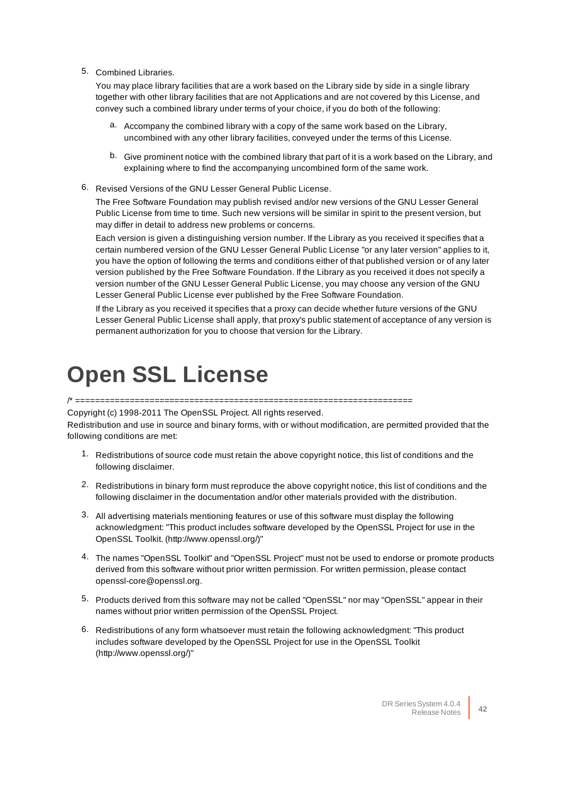5. Combined Libraries.

You may place library facilities that are a work based on the Library side by side in a single library together with other library facilities that are not Applications and are not covered by this License, and convey such a combined library under terms of your choice, if you do both of the following:

- a. Accompany the combined library with a copy of the same work based on the Library, uncombined with any other library facilities, conveyed under the terms of this License.
- b. Give prominent notice with the combined library that part of it is a work based on the Library, and explaining where to find the accompanying uncombined form of the same work.
- 6. Revised Versions of the GNU Lesser General Public License.

The Free Software Foundation may publish revised and/or new versions of the GNU Lesser General Public License from time to time. Such new versions will be similar in spirit to the present version, but may differ in detail to address new problems or concerns.

Each version is given a distinguishing version number. If the Library as you received it specifies that a certain numbered version of the GNU Lesser General Public License "or any later version" applies to it, you have the option of following the terms and conditions either of that published version or of any later version published by the Free Software Foundation. If the Library as you received it does not specify a version number of the GNU Lesser General Public License, you may choose any version of the GNU Lesser General Public License ever published by the Free Software Foundation.

If the Library as you received it specifies that a proxy can decide whether future versions of the GNU Lesser General Public License shall apply, that proxy's public statement of acceptance of any version is permanent authorization for you to choose that version for the Library.

### <span id="page-41-0"></span>**Open SSL License**

/\* ====================================================================

Copyright (c) 1998-2011 The OpenSSL Project. All rights reserved.

Redistribution and use in source and binary forms, with or without modification, are permitted provided that the following conditions are met:

- 1. Redistributions of source code must retain the above copyright notice, this list of conditions and the following disclaimer.
- 2. Redistributions in binary form must reproduce the above copyright notice, this list of conditions and the following disclaimer in the documentation and/or other materials provided with the distribution.
- 3. All advertising materials mentioning features or use of this software must display the following acknowledgment: "This product includes software developed by the OpenSSL Project for use in the OpenSSL Toolkit. (http://www.openssl.org/)"
- 4. The names "OpenSSL Toolkit" and "OpenSSL Project" must not be used to endorse or promote products derived from this software without prior written permission. For written permission, please contact openssl-core@openssl.org.
- 5. Products derived from this software may not be called "OpenSSL" nor may "OpenSSL" appear in their names without prior written permission of the OpenSSL Project.
- 6. Redistributions of any form whatsoever must retain the following acknowledgment: "This product includes software developed by the OpenSSL Project for use in the OpenSSL Toolkit (http://www.openssl.org/)"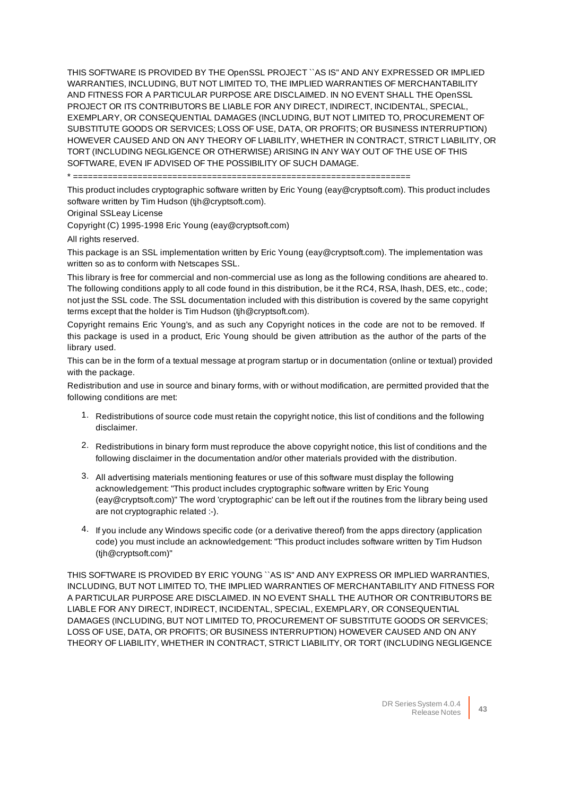THIS SOFTWARE IS PROVIDED BY THE OpenSSL PROJECT ``AS IS'' AND ANY EXPRESSED OR IMPLIED WARRANTIES, INCLUDING, BUT NOT LIMITED TO, THE IMPLIED WARRANTIES OF MERCHANTABILITY AND FITNESS FOR A PARTICULAR PURPOSE ARE DISCLAIMED. IN NO EVENT SHALL THE OpenSSL PROJECT OR ITS CONTRIBUTORS BE LIABLE FOR ANY DIRECT, INDIRECT, INCIDENTAL, SPECIAL, EXEMPLARY, OR CONSEQUENTIAL DAMAGES (INCLUDING, BUT NOT LIMITED TO, PROCUREMENT OF SUBSTITUTE GOODS OR SERVICES; LOSS OF USE, DATA, OR PROFITS; OR BUSINESS INTERRUPTION) HOWEVER CAUSED AND ON ANY THEORY OF LIABILITY, WHETHER IN CONTRACT, STRICT LIABILITY, OR TORT (INCLUDING NEGLIGENCE OR OTHERWISE) ARISING IN ANY WAY OUT OF THE USE OF THIS SOFTWARE, EVEN IF ADVISED OF THE POSSIBILITY OF SUCH DAMAGE.

\* ====================================================================

This product includes cryptographic software written by Eric Young (eay@cryptsoft.com). This product includes software written by Tim Hudson (tjh@cryptsoft.com).

Original SSLeay License

Copyright (C) 1995-1998 Eric Young (eay@cryptsoft.com)

All rights reserved.

This package is an SSL implementation written by Eric Young (eay@cryptsoft.com). The implementation was written so as to conform with Netscapes SSL.

This library is free for commercial and non-commercial use as long as the following conditions are aheared to. The following conditions apply to all code found in this distribution, be it the RC4, RSA, lhash, DES, etc., code; not just the SSL code. The SSL documentation included with this distribution is covered by the same copyright terms except that the holder is Tim Hudson (tjh@cryptsoft.com).

Copyright remains Eric Young's, and as such any Copyright notices in the code are not to be removed. If this package is used in a product, Eric Young should be given attribution as the author of the parts of the library used.

This can be in the form of a textual message at program startup or in documentation (online or textual) provided with the package.

Redistribution and use in source and binary forms, with or without modification, are permitted provided that the following conditions are met:

- 1. Redistributions of source code must retain the copyright notice, this list of conditions and the following disclaimer.
- 2. Redistributions in binary form must reproduce the above copyright notice, this list of conditions and the following disclaimer in the documentation and/or other materials provided with the distribution.
- 3. All advertising materials mentioning features or use of this software must display the following acknowledgement: "This product includes cryptographic software written by Eric Young (eay@cryptsoft.com)" The word 'cryptographic' can be left out if the routines from the library being used are not cryptographic related :-).
- 4. If you include any Windows specific code (or a derivative thereof) from the apps directory (application code) you must include an acknowledgement: "This product includes software written by Tim Hudson (tjh@cryptsoft.com)"

THIS SOFTWARE IS PROVIDED BY ERIC YOUNG ``AS IS'' AND ANY EXPRESS OR IMPLIED WARRANTIES, INCLUDING, BUT NOT LIMITED TO, THE IMPLIED WARRANTIES OF MERCHANTABILITY AND FITNESS FOR A PARTICULAR PURPOSE ARE DISCLAIMED. IN NO EVENT SHALL THE AUTHOR OR CONTRIBUTORS BE LIABLE FOR ANY DIRECT, INDIRECT, INCIDENTAL, SPECIAL, EXEMPLARY, OR CONSEQUENTIAL DAMAGES (INCLUDING, BUT NOT LIMITED TO, PROCUREMENT OF SUBSTITUTE GOODS OR SERVICES; LOSS OF USE, DATA, OR PROFITS; OR BUSINESS INTERRUPTION) HOWEVER CAUSED AND ON ANY THEORY OF LIABILITY, WHETHER IN CONTRACT, STRICT LIABILITY, OR TORT (INCLUDING NEGLIGENCE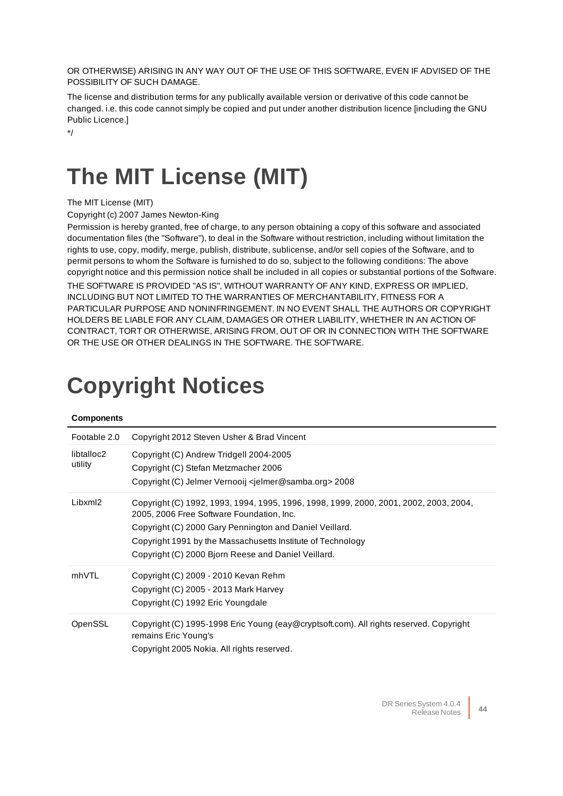OR OTHERWISE) ARISING IN ANY WAY OUT OF THE USE OF THIS SOFTWARE, EVEN IF ADVISED OF THE POSSIBILITY OF SUCH DAMAGE.

The license and distribution terms for any publically available version or derivative of this code cannot be changed. i.e. this code cannot simply be copied and put under another distribution licence [including the GNU Public Licence.]

<span id="page-43-1"></span>\*/

## **The MIT License (MIT)**

The MIT License (MIT)

Copyright (c) 2007 James Newton-King

Permission is hereby granted, free of charge, to any person obtaining a copy of this software and associated documentation files (the "Software"), to deal in the Software without restriction, including without limitation the rights to use, copy, modify, merge, publish, distribute, sublicense, and/or sell copies of the Software, and to permit persons to whom the Software is furnished to do so, subject to the following conditions: The above copyright notice and this permission notice shall be included in all copies or substantial portions of the Software. THE SOFTWARE IS PROVIDED "AS IS", WITHOUT WARRANTY OF ANY KIND, EXPRESS OR IMPLIED, INCLUDING BUT NOT LIMITED TO THE WARRANTIES OF MERCHANTABILITY, FITNESS FOR A PARTICULAR PURPOSE AND NONINFRINGEMENT. IN NO EVENT SHALL THE AUTHORS OR COPYRIGHT HOLDERS BE LIABLE FOR ANY CLAIM, DAMAGES OR OTHER LIABILITY, WHETHER IN AN ACTION OF CONTRACT, TORT OR OTHERWISE, ARISING FROM, OUT OF OR IN CONNECTION WITH THE SOFTWARE OR THE USE OR OTHER DEALINGS IN THE SOFTWARE. THE SOFTWARE.

# <span id="page-43-0"></span>**Copyright Notices**

| Footable 2.0          | Copyright 2012 Steven Usher & Brad Vincent                                                                                                                                                                                                                                                                          |
|-----------------------|---------------------------------------------------------------------------------------------------------------------------------------------------------------------------------------------------------------------------------------------------------------------------------------------------------------------|
| libtalloc2<br>utility | Copyright (C) Andrew Tridgell 2004-2005<br>Copyright (C) Stefan Metzmacher 2006<br>Copyright (C) Jelmer Vernooij <jelmer@samba.org> 2008</jelmer@samba.org>                                                                                                                                                         |
| Libxml2               | Copyright (C) 1992, 1993, 1994, 1995, 1996, 1998, 1999, 2000, 2001, 2002, 2003, 2004,<br>2005, 2006 Free Software Foundation, Inc.<br>Copyright (C) 2000 Gary Pennington and Daniel Veillard.<br>Copyright 1991 by the Massachusetts Institute of Technology<br>Copyright (C) 2000 Bjorn Reese and Daniel Veillard. |
| mhVTL                 | Copyright (C) 2009 - 2010 Kevan Rehm<br>Copyright (C) 2005 - 2013 Mark Harvey<br>Copyright (C) 1992 Eric Youngdale                                                                                                                                                                                                  |
| OpenSSL               | Copyright (C) 1995-1998 Eric Young (eay@cryptsoft.com). All rights reserved. Copyright<br>remains Eric Young's<br>Copyright 2005 Nokia. All rights reserved.                                                                                                                                                        |

#### **Components**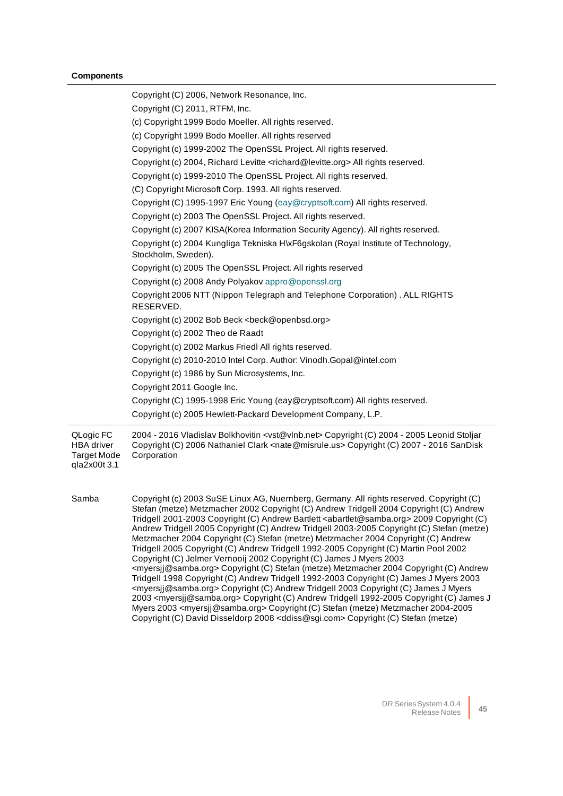#### **Components**

|                                                                      | Copyright (C) 2006, Network Resonance, Inc.                                                                                                                                                                                                                                                                                                                                                                                                                                                                                                                                                                                                                                                                                                                                                                                                                                                                                                                       |
|----------------------------------------------------------------------|-------------------------------------------------------------------------------------------------------------------------------------------------------------------------------------------------------------------------------------------------------------------------------------------------------------------------------------------------------------------------------------------------------------------------------------------------------------------------------------------------------------------------------------------------------------------------------------------------------------------------------------------------------------------------------------------------------------------------------------------------------------------------------------------------------------------------------------------------------------------------------------------------------------------------------------------------------------------|
|                                                                      | Copyright (C) 2011, RTFM, Inc.                                                                                                                                                                                                                                                                                                                                                                                                                                                                                                                                                                                                                                                                                                                                                                                                                                                                                                                                    |
|                                                                      | (c) Copyright 1999 Bodo Moeller. All rights reserved.                                                                                                                                                                                                                                                                                                                                                                                                                                                                                                                                                                                                                                                                                                                                                                                                                                                                                                             |
|                                                                      | (c) Copyright 1999 Bodo Moeller. All rights reserved                                                                                                                                                                                                                                                                                                                                                                                                                                                                                                                                                                                                                                                                                                                                                                                                                                                                                                              |
|                                                                      | Copyright (c) 1999-2002 The OpenSSL Project. All rights reserved.                                                                                                                                                                                                                                                                                                                                                                                                                                                                                                                                                                                                                                                                                                                                                                                                                                                                                                 |
|                                                                      | Copyright (c) 2004, Richard Levitte <richard@levitte.org> All rights reserved.</richard@levitte.org>                                                                                                                                                                                                                                                                                                                                                                                                                                                                                                                                                                                                                                                                                                                                                                                                                                                              |
|                                                                      | Copyright (c) 1999-2010 The OpenSSL Project. All rights reserved.                                                                                                                                                                                                                                                                                                                                                                                                                                                                                                                                                                                                                                                                                                                                                                                                                                                                                                 |
|                                                                      | (C) Copyright Microsoft Corp. 1993. All rights reserved.                                                                                                                                                                                                                                                                                                                                                                                                                                                                                                                                                                                                                                                                                                                                                                                                                                                                                                          |
|                                                                      | Copyright (C) 1995-1997 Eric Young (eay@cryptsoft.com) All rights reserved.                                                                                                                                                                                                                                                                                                                                                                                                                                                                                                                                                                                                                                                                                                                                                                                                                                                                                       |
|                                                                      | Copyright (c) 2003 The OpenSSL Project. All rights reserved.                                                                                                                                                                                                                                                                                                                                                                                                                                                                                                                                                                                                                                                                                                                                                                                                                                                                                                      |
|                                                                      | Copyright (c) 2007 KISA(Korea Information Security Agency). All rights reserved.                                                                                                                                                                                                                                                                                                                                                                                                                                                                                                                                                                                                                                                                                                                                                                                                                                                                                  |
|                                                                      | Copyright (c) 2004 Kungliga Tekniska H\xF6gskolan (Royal Institute of Technology,<br>Stockholm, Sweden).                                                                                                                                                                                                                                                                                                                                                                                                                                                                                                                                                                                                                                                                                                                                                                                                                                                          |
|                                                                      | Copyright (c) 2005 The OpenSSL Project. All rights reserved                                                                                                                                                                                                                                                                                                                                                                                                                                                                                                                                                                                                                                                                                                                                                                                                                                                                                                       |
|                                                                      | Copyright (c) 2008 Andy Polyakov appro@openssl.org                                                                                                                                                                                                                                                                                                                                                                                                                                                                                                                                                                                                                                                                                                                                                                                                                                                                                                                |
|                                                                      | Copyright 2006 NTT (Nippon Telegraph and Telephone Corporation). ALL RIGHTS<br>RESERVED.                                                                                                                                                                                                                                                                                                                                                                                                                                                                                                                                                                                                                                                                                                                                                                                                                                                                          |
|                                                                      | Copyright (c) 2002 Bob Beck <beck@openbsd.org></beck@openbsd.org>                                                                                                                                                                                                                                                                                                                                                                                                                                                                                                                                                                                                                                                                                                                                                                                                                                                                                                 |
|                                                                      | Copyright (c) 2002 Theo de Raadt                                                                                                                                                                                                                                                                                                                                                                                                                                                                                                                                                                                                                                                                                                                                                                                                                                                                                                                                  |
|                                                                      | Copyright (c) 2002 Markus Friedl All rights reserved.                                                                                                                                                                                                                                                                                                                                                                                                                                                                                                                                                                                                                                                                                                                                                                                                                                                                                                             |
|                                                                      | Copyright (c) 2010-2010 Intel Corp. Author: Vinodh.Gopal@intel.com                                                                                                                                                                                                                                                                                                                                                                                                                                                                                                                                                                                                                                                                                                                                                                                                                                                                                                |
|                                                                      | Copyright (c) 1986 by Sun Microsystems, Inc.                                                                                                                                                                                                                                                                                                                                                                                                                                                                                                                                                                                                                                                                                                                                                                                                                                                                                                                      |
|                                                                      | Copyright 2011 Google Inc.                                                                                                                                                                                                                                                                                                                                                                                                                                                                                                                                                                                                                                                                                                                                                                                                                                                                                                                                        |
|                                                                      | Copyright (C) 1995-1998 Eric Young (eay@cryptsoft.com) All rights reserved.                                                                                                                                                                                                                                                                                                                                                                                                                                                                                                                                                                                                                                                                                                                                                                                                                                                                                       |
|                                                                      | Copyright (c) 2005 Hewlett-Packard Development Company, L.P.                                                                                                                                                                                                                                                                                                                                                                                                                                                                                                                                                                                                                                                                                                                                                                                                                                                                                                      |
| QLogic FC<br><b>HBA</b> driver<br><b>Target Mode</b><br>qla2x00t 3.1 | 2004 - 2016 Vladislav Bolkhovitin <vst@vlnb.net> Copyright (C) 2004 - 2005 Leonid Stoljar<br/>Copyright (C) 2006 Nathaniel Clark <nate@misrule.us> Copyright (C) 2007 - 2016 SanDisk<br/>Corporation</nate@misrule.us></vst@vlnb.net>                                                                                                                                                                                                                                                                                                                                                                                                                                                                                                                                                                                                                                                                                                                             |
|                                                                      |                                                                                                                                                                                                                                                                                                                                                                                                                                                                                                                                                                                                                                                                                                                                                                                                                                                                                                                                                                   |
| Samba                                                                | Copyright (c) 2003 SuSE Linux AG, Nuernberg, Germany. All rights reserved. Copyright (C)<br>Stefan (metze) Metzmacher 2002 Copyright (C) Andrew Tridgell 2004 Copyright (C) Andrew<br>Tridgell 2001-2003 Copyright (C) Andrew Bartlett <abartlet@samba.org> 2009 Copyright (C)<br/>Andrew Tridgell 2005 Copyright (C) Andrew Tridgell 2003-2005 Copyright (C) Stefan (metze)<br/>Metzmacher 2004 Copyright (C) Stefan (metze) Metzmacher 2004 Copyright (C) Andrew<br/>Tridgell 2005 Copyright (C) Andrew Tridgell 1992-2005 Copyright (C) Martin Pool 2002<br/>Copyright (C) Jelmer Vernooij 2002 Copyright (C) James J Myers 2003<br/><myersjj@samba.org> Copyright (C) Stefan (metze) Metzmacher 2004 Copyright (C) Andrew<br/>Tridgell 1998 Copyright (C) Andrew Tridgell 1992-2003 Copyright (C) James J Myers 2003<br/><math>m</math>ornii @oombo oraz Convight (C) Androw Tridooll 2002 Convight (C) James UNvers</myersjj@samba.org></abartlet@samba.org> |

<myersjj@samba.org> Copyright (C) Andrew Tridgell 2003 Copyright (C) James J Myers 2003 <myersjj@samba.org> Copyright (C) Andrew Tridgell 1992-2005 Copyright (C) James J Myers 2003 <myersjj@samba.org> Copyright (C) Stefan (metze) Metzmacher 2004-2005 Copyright (C) David Disseldorp 2008 <ddiss@sgi.com> Copyright (C) Stefan (metze)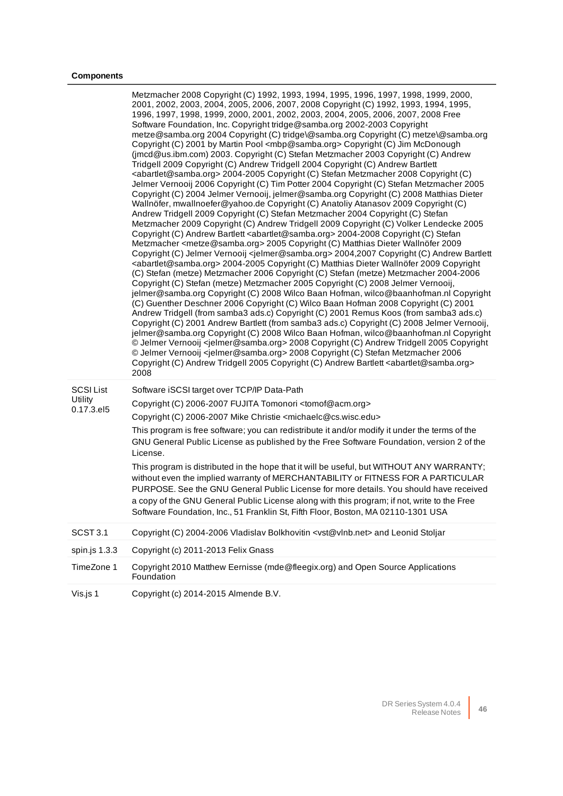#### **Components**

|                                           | Metzmacher 2008 Copyright (C) 1992, 1993, 1994, 1995, 1996, 1997, 1998, 1999, 2000,<br>2001, 2002, 2003, 2004, 2005, 2006, 2007, 2008 Copyright (C) 1992, 1993, 1994, 1995,<br>1996, 1997, 1998, 1999, 2000, 2001, 2002, 2003, 2004, 2005, 2006, 2007, 2008 Free<br>Software Foundation, Inc. Copyright tridge@samba.org 2002-2003 Copyright<br>metze@samba.org 2004 Copyright (C) tridge\@samba.org Copyright (C) metze\@samba.org<br>Copyright (C) 2001 by Martin Pool <mbp@samba.org> Copyright (C) Jim McDonough<br/>(jmcd@us.ibm.com) 2003. Copyright (C) Stefan Metzmacher 2003 Copyright (C) Andrew<br/>Tridgell 2009 Copyright (C) Andrew Tridgell 2004 Copyright (C) Andrew Bartlett<br/><abartlet@samba.org> 2004-2005 Copyright (C) Stefan Metzmacher 2008 Copyright (C)<br/>Jelmer Vernooij 2006 Copyright (C) Tim Potter 2004 Copyright (C) Stefan Metzmacher 2005<br/>Copyright (C) 2004 Jelmer Vernooij, jelmer@samba.org Copyright (C) 2008 Matthias Dieter<br/>Wallnöfer, mwallnoefer@yahoo.de Copyright (C) Anatoliy Atanasov 2009 Copyright (C)<br/>Andrew Tridgell 2009 Copyright (C) Stefan Metzmacher 2004 Copyright (C) Stefan<br/>Metzmacher 2009 Copyright (C) Andrew Tridgell 2009 Copyright (C) Volker Lendecke 2005<br/>Copyright (C) Andrew Bartlett <abartlet@samba.org> 2004-2008 Copyright (C) Stefan<br/>Metzmacher <metze@samba.org> 2005 Copyright (C) Matthias Dieter Wallnöfer 2009<br/>Copyright (C) Jelmer Vernooij <jelmer@samba.org> 2004,2007 Copyright (C) Andrew Bartlett<br/><abartlet@samba.org> 2004-2005 Copyright (C) Matthias Dieter Wallnöfer 2009 Copyright<br/>(C) Stefan (metze) Metzmacher 2006 Copyright (C) Stefan (metze) Metzmacher 2004-2006<br/>Copyright (C) Stefan (metze) Metzmacher 2005 Copyright (C) 2008 Jelmer Vernooij,<br/>jelmer@samba.org Copyright (C) 2008 Wilco Baan Hofman, wilco@baanhofman.nl Copyright<br/>(C) Guenther Deschner 2006 Copyright (C) Wilco Baan Hofman 2008 Copyright (C) 2001<br/>Andrew Tridgell (from samba3 ads.c) Copyright (C) 2001 Remus Koos (from samba3 ads.c)<br/>Copyright (C) 2001 Andrew Bartlett (from samba3 ads.c) Copyright (C) 2008 Jelmer Vernooij,<br/>jelmer@samba.org Copyright (C) 2008 Wilco Baan Hofman, wilco@baanhofman.nl Copyright<br/>© Jelmer Vernooij <jelmer@samba.org> 2008 Copyright (C) Andrew Tridgell 2005 Copyright<br/>© Jelmer Vernooij <jelmer@samba.org> 2008 Copyright (C) Stefan Metzmacher 2006<br/>Copyright (C) Andrew Tridgell 2005 Copyright (C) Andrew Bartlett <abartlet@samba.org><br/>2008</abartlet@samba.org></jelmer@samba.org></jelmer@samba.org></abartlet@samba.org></jelmer@samba.org></metze@samba.org></abartlet@samba.org></abartlet@samba.org></mbp@samba.org> |
|-------------------------------------------|---------------------------------------------------------------------------------------------------------------------------------------------------------------------------------------------------------------------------------------------------------------------------------------------------------------------------------------------------------------------------------------------------------------------------------------------------------------------------------------------------------------------------------------------------------------------------------------------------------------------------------------------------------------------------------------------------------------------------------------------------------------------------------------------------------------------------------------------------------------------------------------------------------------------------------------------------------------------------------------------------------------------------------------------------------------------------------------------------------------------------------------------------------------------------------------------------------------------------------------------------------------------------------------------------------------------------------------------------------------------------------------------------------------------------------------------------------------------------------------------------------------------------------------------------------------------------------------------------------------------------------------------------------------------------------------------------------------------------------------------------------------------------------------------------------------------------------------------------------------------------------------------------------------------------------------------------------------------------------------------------------------------------------------------------------------------------------------------------------------------------------------------------------------------------------------------------------------------------------------------------------------------------------------------------------------------------------------------------------------------------------------------------------------------------------------------------------------------------------------------------------------------------------------------------------------------------------------------------------------------------------------------------------------------------------------------------------------------------------|
| <b>SCSI List</b><br>Utility<br>0.17.3.el5 | Software iSCSI target over TCP/IP Data-Path<br>Copyright (C) 2006-2007 FUJITA Tomonori <tomof@acm.org><br/>Copyright (C) 2006-2007 Mike Christie <michaelc@cs.wisc.edu><br/>This program is free software; you can redistribute it and/or modify it under the terms of the<br/>GNU General Public License as published by the Free Software Foundation, version 2 of the<br/>License.<br/>This program is distributed in the hope that it will be useful, but WITHOUT ANY WARRANTY;<br/>without even the implied warranty of MERCHANTABILITY or FITNESS FOR A PARTICULAR<br/>PURPOSE. See the GNU General Public License for more details. You should have received<br/>a copy of the GNU General Public License along with this program; if not, write to the Free<br/>Software Foundation, Inc., 51 Franklin St, Fifth Floor, Boston, MA 02110-1301 USA</michaelc@cs.wisc.edu></tomof@acm.org>                                                                                                                                                                                                                                                                                                                                                                                                                                                                                                                                                                                                                                                                                                                                                                                                                                                                                                                                                                                                                                                                                                                                                                                                                                                                                                                                                                                                                                                                                                                                                                                                                                                                                                                                                                                                                                |
| SCST 3.1                                  | Copyright (C) 2004-2006 Vladislav Bolkhovitin <vst@vlnb.net> and Leonid Stoljar</vst@vlnb.net>                                                                                                                                                                                                                                                                                                                                                                                                                                                                                                                                                                                                                                                                                                                                                                                                                                                                                                                                                                                                                                                                                                                                                                                                                                                                                                                                                                                                                                                                                                                                                                                                                                                                                                                                                                                                                                                                                                                                                                                                                                                                                                                                                                                                                                                                                                                                                                                                                                                                                                                                                                                                                                  |
| spin.js 1.3.3                             | Copyright (c) 2011-2013 Felix Gnass                                                                                                                                                                                                                                                                                                                                                                                                                                                                                                                                                                                                                                                                                                                                                                                                                                                                                                                                                                                                                                                                                                                                                                                                                                                                                                                                                                                                                                                                                                                                                                                                                                                                                                                                                                                                                                                                                                                                                                                                                                                                                                                                                                                                                                                                                                                                                                                                                                                                                                                                                                                                                                                                                             |
| TimeZone 1                                | Copyright 2010 Matthew Eernisse (mde@fleegix.org) and Open Source Applications<br>Foundation                                                                                                                                                                                                                                                                                                                                                                                                                                                                                                                                                                                                                                                                                                                                                                                                                                                                                                                                                                                                                                                                                                                                                                                                                                                                                                                                                                                                                                                                                                                                                                                                                                                                                                                                                                                                                                                                                                                                                                                                                                                                                                                                                                                                                                                                                                                                                                                                                                                                                                                                                                                                                                    |
| Vis.js 1                                  | Copyright (c) 2014-2015 Almende B.V.                                                                                                                                                                                                                                                                                                                                                                                                                                                                                                                                                                                                                                                                                                                                                                                                                                                                                                                                                                                                                                                                                                                                                                                                                                                                                                                                                                                                                                                                                                                                                                                                                                                                                                                                                                                                                                                                                                                                                                                                                                                                                                                                                                                                                                                                                                                                                                                                                                                                                                                                                                                                                                                                                            |